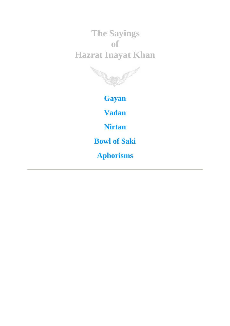**The Sayings of Hazrat Inayat Khan** 



**Gayan Vadan Nirtan Bowl of Saki Aphorisms**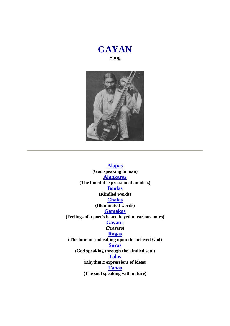



**Alapas (God speaking to man) Alankaras (The fanciful expression of an idea.) Boulas (Kindled words) Chalas (Illuminated words) Gamakas (Feelings of a poet's heart, keyed to various notes) Gayatri (Prayers) Ragas (The human soul calling upon the beloved God) Suras (God speaking through the kindled soul) Talas (Rhythmic expressions of ideas) Tanas (The soul speaking with nature)**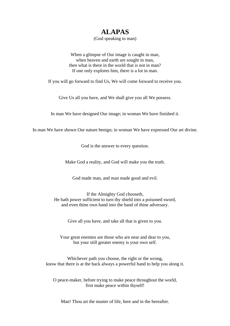## **ALAPAS**

(God speaking to man)

When a glimpse of Our image is caught in man, when heaven and earth are sought in man, then what is there in the world that is not in man? If one only explores him, there is a lot in man.

If you will go forward to find Us, We will come forward to receive you.

Give Us all you have, and We shall give you all We possess.

In man We have designed Our image; in woman We have finished it.

In man We have shown Our nature benign; in woman We have expressed Our art divine.

God is the answer to every question.

Make God a reality, and God will make you the truth.

God made man, and man made good and evil.

If the Almighty God chooseth, He hath power sufficient to turn thy shield into a poisoned sword, and even thine own hand into the hand of thine adversary.

Give all you have, and take all that is given to you.

Your great enemies are those who are near and dear to you, but your still greater enemy is your own self.

Whichever path you choose, the right or the wrong, know that there is at the back always a powerful hand to help you along it.

O peace-maker, before trying to make peace throughout the world, first make peace within thyself!

Man! Thou art the master of life, here and in the hereafter.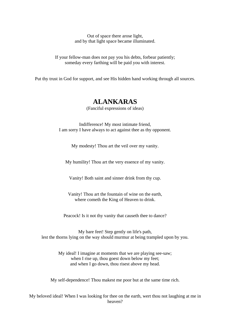Out of space there arose light, and by that light space became illuminated.

If your fellow-man does not pay you his debts, forbear patiently; someday every farthing will be paid you with interest.

Put thy trust in God for support, and see His hidden hand working through all sources.

### **ALANKARAS**

(Fanciful expressions of ideas)

Indifference! My most intimate friend, I am sorry I have always to act against thee as thy opponent.

My modesty! Thou art the veil over my vanity.

My humility! Thou art the very essence of my vanity.

Vanity! Both saint and sinner drink from thy cup.

Vanity! Thou art the fountain of wine on the earth, where cometh the King of Heaven to drink.

Peacock! Is it not thy vanity that causeth thee to dance?

My bare feet! Step gently on life's path, lest the thorns lying on the way should murmur at being trampled upon by you.

> My ideal! I imagine at moments that we are playing see-saw; when I rise up, thou goest down below my feet; and when I go down, thou risest above my head.

My self-dependence! Thou makest me poor but at the same time rich.

My beloved ideal! When I was looking for thee on the earth, wert thou not laughing at me in heaven?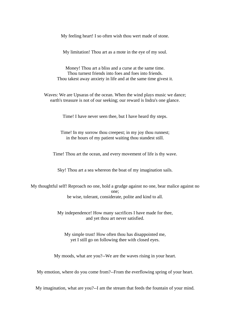My feeling heart! I so often wish thou wert made of stone.

My limitation! Thou art as a mote in the eye of my soul.

Money! Thou art a bliss and a curse at the same time. Thou turnest friends into foes and foes into friends. Thou takest away anxiety in life and at the same time givest it.

Waves: We are Upsaras of the ocean. When the wind plays music we dance; earth's treasure is not of our seeking; our reward is Indra's one glance.

Time! I have never seen thee, but I have heard thy steps.

Time! In my sorrow thou creepest; in my joy thou runnest; in the hours of my patient waiting thou standest still.

Time! Thou art the ocean, and every movement of life is thy wave.

Sky! Thou art a sea whereon the boat of my imagination sails.

My thoughtful self! Reproach no one, hold a grudge against no one, bear malice against no one; be wise, tolerant, considerate, polite and kind to all.

> My independence! How many sacrifices I have made for thee, and yet thou art never satisfied.

My simple trust! How often thou has disappointed me, yet I still go on following thee with closed eyes.

My moods, what are you?--We are the waves rising in your heart.

My emotion, where do you come from?--From the everflowing spring of your heart.

My imagination, what are you?--I am the stream that feeds the fountain of your mind.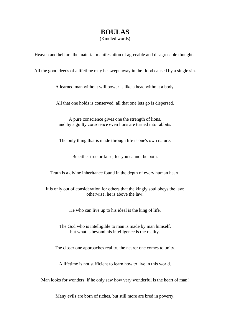# **BOULAS**

(Kindled words)

Heaven and hell are the material manifestation of agreeable and disagreeable thoughts.

All the good deeds of a lifetime may be swept away in the flood caused by a single sin.

A learned man without will power is like a head without a body.

All that one holds is conserved; all that one lets go is dispersed.

A pure conscience gives one the strength of lions, and by a guilty conscience even lions are turned into rabbits.

The only thing that is made through life is one's own nature.

Be either true or false, for you cannot be both.

Truth is a divine inheritance found in the depth of every human heart.

It is only out of consideration for others that the kingly soul obeys the law; otherwise, he is above the law.

He who can live up to his ideal is the king of life.

The God who is intelligible to man is made by man himself, but what is beyond his intelligence is the reality.

The closer one approaches reality, the nearer one comes to unity.

A lifetime is not sufficient to learn how to live in this world.

Man looks for wonders; if he only saw how very wonderful is the heart of man!

Many evils are born of riches, but still more are bred in poverty.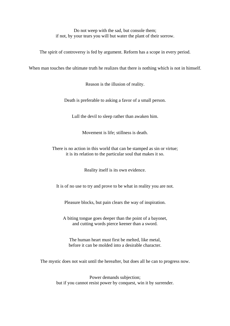Do not weep with the sad, but console them; if not, by your tears you will but water the plant of their sorrow.

The spirit of controversy is fed by argument. Reform has a scope in every period.

When man touches the ultimate truth he realizes that there is nothing which is not in himself.

Reason is the illusion of reality.

Death is preferable to asking a favor of a small person.

Lull the devil to sleep rather than awaken him.

Movement is life; stillness is death.

There is no action in this world that can be stamped as sin or virtue; it is its relation to the particular soul that makes it so.

Reality itself is its own evidence.

It is of no use to try and prove to be what in reality you are not.

Pleasure blocks, but pain clears the way of inspiration.

A biting tongue goes deeper than the point of a bayonet, and cutting words pierce keener than a sword.

The human heart must first be melted, like metal, before it can be molded into a desirable character.

The mystic does not wait until the hereafter, but does all he can to progress now.

Power demands subjection; but if you cannot resist power by conquest, win it by surrender.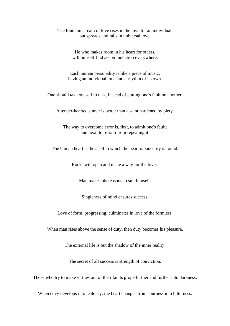#### The fountain stream of love rises in the love for an individual, but spreads and falls in universal love.

He who makes room in his heart for others, will himself find accommodation everywhere.

Each human personality is like a piece of music, having an individual tone and a rhythm of its own.

One should take oneself to task, instead of putting one's fault on another.

A tender-hearted sinner is better than a saint hardened by piety.

The way to overcome error is, first, to admit one's fault; and next, to refrain from repeating it.

The human heart is the shell in which the pearl of sincerity is found.

Rocks will open and make a way for the lover.

Man makes his reasons to suit himself.

Singleness of mind ensures success.

Love of form, progressing, culminates in love of the formless.

When man rises above the sense of duty, then duty becomes his pleasure.

The external life is but the shadow of the inner reality.

The secret of all success is strength of conviction.

Those who try to make virtues out of their faults grope further and further into darkness.

When envy develops into jealousy, the heart changes from sourness into bitterness.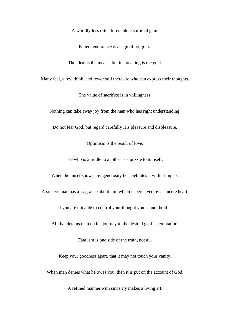A worldly loss often turns into a spiritual gain.

Patient endurance is a sign of progress.

The ideal is the means, but its breaking is the goal.

Many feel, a few think, and fewer still there are who can express their thoughts.

The value of sacrifice is in willingness.

Nothing can take away joy from the man who has right understanding.

Do not fear God, but regard carefully His pleasure and displeasure.

Optimism is the result of love.

He who is a riddle to another is a puzzle to himself.

When the miser shows any generosity he celebrates it with trumpets.

A sincere man has a fragrance about him which is perceived by a sincere heart.

If you are not able to control your thought you cannot hold it.

All that detains man on his journey to the desired goal is temptation.

Fatalism is one side of the truth, not all.

Keep your goodness apart, that it may not touch your vanity.

When man denies what he owes you, then it is put on the account of God.

A refined manner with sincerity makes a living art.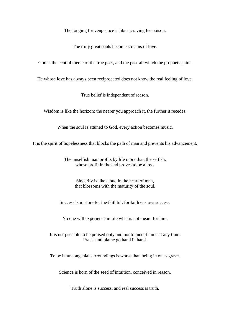The longing for vengeance is like a craving for poison.

The truly great souls become streams of love.

God is the central theme of the true poet, and the portrait which the prophets paint.

He whose love has always been reciprocated does not know the real feeling of love.

True belief is independent of reason.

Wisdom is like the horizon: the nearer you approach it, the further it recedes.

When the soul is attuned to God, every action becomes music.

It is the spirit of hopelessness that blocks the path of man and prevents his advancement.

The unselfish man profits by life more than the selfish, whose profit in the end proves to be a loss.

> Sincerity is like a bud in the heart of man, that blossoms with the maturity of the soul.

Success is in store for the faithful, for faith ensures success.

No one will experience in life what is not meant for him.

It is not possible to be praised only and not to incur blame at any time. Praise and blame go hand in hand.

To be in uncongenial surroundings is worse than being in one's grave.

Science is born of the seed of intuition, conceived in reason.

Truth alone is success, and real success is truth.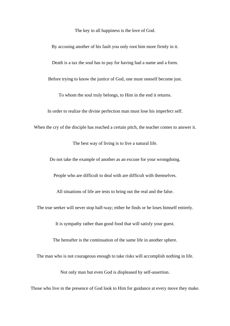The key to all happiness is the love of God.

By accusing another of his fault you only root him more firmly in it. Death is a tax the soul has to pay for having had a name and a form. Before trying to know the justice of God, one must oneself become just. To whom the soul truly belongs, to Him in the end it returns.

In order to realize the divine perfection man must lose his imperfect self.

When the cry of the disciple has reached a certain pitch, the teacher comes to answer it.

The best way of living is to live a natural life.

Do not take the example of another as an excuse for your wrongdoing.

People who are difficult to deal with are difficult with themselves.

All situations of life are tests to bring out the real and the false.

The true seeker will never stop half-way; either he finds or he loses himself entirely.

It is sympathy rather than good food that will satisfy your guest.

The hereafter is the continuation of the same life in another sphere.

The man who is not courageous enough to take risks will accomplish nothing in life.

Not only man but even God is displeased by self-assertion.

Those who live in the presence of God look to Him for guidance at every move they make.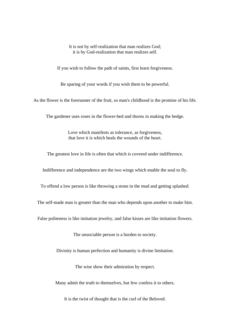It is not by self-realization that man realizes God; it is by God-realization that man realizes self.

If you wish to follow the path of saints, first learn forgiveness.

Be sparing of your words if you wish them to be powerful.

As the flower is the forerunner of the fruit, so man's childhood is the promise of his life.

The gardener uses roses in the flower-bed and thorns in making the hedge.

Love which manifests as tolerance, as forgiveness, that love it is which heals the wounds of the heart.

The greatest love in life is often that which is covered under indifference.

Indifference and independence are the two wings which enable the soul to fly.

To offend a low person is like throwing a stone in the mud and getting splashed.

The self-made man is greater than the man who depends upon another to make him.

False politeness is like imitation jewelry, and false kisses are like imitation flowers.

The unsociable person is a burden to society.

Divinity is human perfection and humanity is divine limitation.

The wise show their admiration by respect.

Many admit the truth to themselves, but few confess it to others.

It is the twist of thought that is the curl of the Beloved.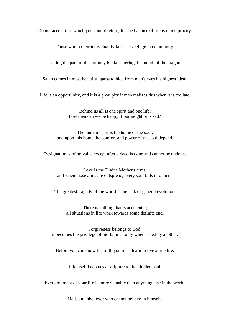Do not accept that which you cannot return, for the balance of life is in reciprocity.

Those whom their individuality fails seek refuge in community.

Taking the path of disharmony is like entering the mouth of the dragon.

Satan comes in most beautiful garbs to hide from man's eyes his highest ideal.

Life is an opportunity, and it is a great pity if man realizes this when it is too late.

Behind us all is one spirit and one life; how then can we be happy if our neighbor is sad?

The human heart is the home of the soul, and upon this home the comfort and power of the soul depend.

Resignation is of no value except after a deed is done and cannot be undone.

Love is the Divine Mother's arms; and when those arms are outspread, every soul falls into them.

The greatest tragedy of the world is the lack of general evolution.

There is nothing that is accidental; all situations in life work towards some definite end.

Forgiveness belongs to God; it becomes the privilege of mortal man only when asked by another.

Before you can know the truth you must learn to live a true life.

Life itself becomes a scripture to the kindled soul.

Every moment of your life is more valuable than anything else in the world.

He is an unbeliever who cannot believe in himself.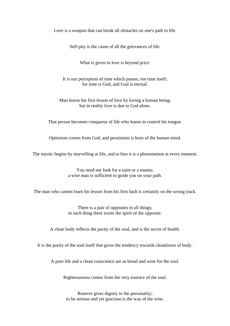Love is a weapon that can break all obstacles on one's path in life.

Self-pity is the cause of all the grievances of life.

What is given in love is beyond price.

It is our perception of time which passes, not time itself; for time is God, and God is eternal.

Man learns his first lesson of love by loving a human being; but in reality love is due to God alone.

That person becomes conqueror of life who learns to control his tongue.

Optimism comes from God, and pessimism is born of the human mind.

The mystic begins by marvelling at life, and to him it is a phenomenon at every moment.

You need not look for a saint or a master; a wise man is sufficient to guide you on your path.

The man who cannot learn his lesson from his first fault is certainly on the wrong track.

There is a pair of opposites in all things; in each thing there exists the spirit of the opposite.

A clean body reflects the purity of the soul, and is the secret of health.

It is the purity of the soul itself that gives the tendency towards cleanliness of body.

A pure life and a clean conscience are as bread and wine for the soul.

Righteousness comes from the very essence of the soul.

Reserve gives dignity to the personality; to be serious and yet gracious is the way of the wise.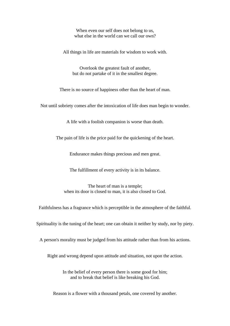When even our self does not belong to us, what else in the world can we call our own?

All things in life are materials for wisdom to work with.

Overlook the greatest fault of another, but do not partake of it in the smallest degree.

There is no source of happiness other than the heart of man.

Not until sobriety comes after the intoxication of life does man begin to wonder.

A life with a foolish companion is worse than death.

The pain of life is the price paid for the quickening of the heart.

Endurance makes things precious and men great.

The fulfillment of every activity is in its balance.

The heart of man is a temple; when its door is closed to man, it is also closed to God.

Faithfulness has a fragrance which is perceptible in the atmosphere of the faithful.

Spirituality is the tuning of the heart; one can obtain it neither by study, nor by piety.

A person's morality must be judged from his attitude rather than from his actions.

Right and wrong depend upon attitude and situation, not upon the action.

In the belief of every person there is some good for him; and to break that belief is like breaking his God.

Reason is a flower with a thousand petals, one covered by another.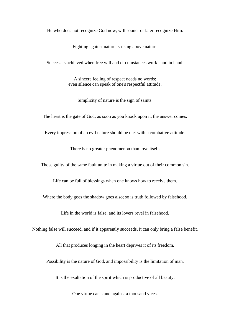He who does not recognize God now, will sooner or later recognize Him.

Fighting against nature is rising above nature.

Success is achieved when free will and circumstances work hand in hand.

A sincere feeling of respect needs no words; even silence can speak of one's respectful attitude.

Simplicity of nature is the sign of saints.

The heart is the gate of God; as soon as you knock upon it, the answer comes.

Every impression of an evil nature should be met with a combative attitude.

There is no greater phenomenon than love itself.

Those guilty of the same fault unite in making a virtue out of their common sin.

Life can be full of blessings when one knows how to receive them.

Where the body goes the shadow goes also; so is truth followed by falsehood.

Life in the world is false, and its lovers revel in falsehood.

Nothing false will succeed, and if it apparently succeeds, it can only bring a false benefit.

All that produces longing in the heart deprives it of its freedom.

Possibility is the nature of God, and impossibility is the limitation of man.

It is the exaltation of the spirit which is productive of all beauty.

One virtue can stand against a thousand vices.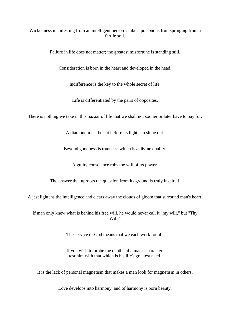Wickedness manifesting from an intelligent person is like a poisonous fruit springing from a fertile soil.

Failure in life does not matter; the greatest misfortune is standing still.

Consideration is born in the heart and developed in the head.

Indifference is the key to the whole secret of life.

Life is differentiated by the pairs of opposites.

There is nothing we take in this bazaar of life that we shall not sooner or later have to pay for.

A diamond must be cut before its light can shine out.

Beyond goodness is trueness, which is a divine quality.

A guilty conscience robs the will of its power.

The answer that uproots the question from its ground is truly inspired.

A jest lightens the intelligence and clears away the clouds of gloom that surround man's heart.

If man only knew what is behind his free will, he would never call it "my will," but "Thy Will."

The service of God means that we each work for all.

If you wish to probe the depths of a man's character, test him with that which is his life's greatest need.

It is the lack of personal magnetism that makes a man look for magnetism in others.

Love develops into harmony, and of harmony is born beauty.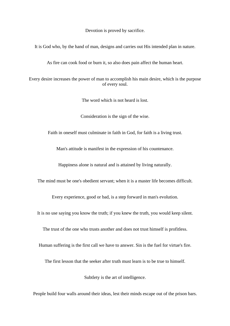Devotion is proved by sacrifice.

It is God who, by the hand of man, designs and carries out His intended plan in nature.

As fire can cook food or burn it, so also does pain affect the human heart.

Every desire increases the power of man to accomplish his main desire, which is the purpose of every soul.

The word which is not heard is lost.

Consideration is the sign of the wise.

Faith in oneself must culminate in faith in God, for faith is a living trust.

Man's attitude is manifest in the expression of his countenance.

Happiness alone is natural and is attained by living naturally.

The mind must be one's obedient servant; when it is a master life becomes difficult.

Every experience, good or bad, is a step forward in man's evolution.

It is no use saying you know the truth; if you knew the truth, you would keep silent.

The trust of the one who trusts another and does not trust himself is profitless.

Human suffering is the first call we have to answer. Sin is the fuel for virtue's fire.

The first lesson that the seeker after truth must learn is to be true to himself.

Subtlety is the art of intelligence.

People build four walls around their ideas, lest their minds escape out of the prison bars.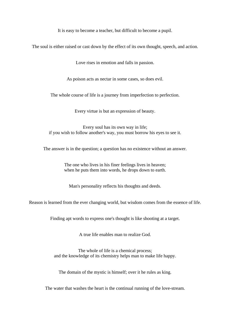It is easy to become a teacher, but difficult to become a pupil.

The soul is either raised or cast down by the effect of its own thought, speech, and action.

Love rises in emotion and falls in passion.

As poison acts as nectar in some cases, so does evil.

The whole course of life is a journey from imperfection to perfection.

Every virtue is but an expression of beauty.

Every soul has its own way in life; if you wish to follow another's way, you must borrow his eyes to see it.

The answer is in the question; a question has no existence without an answer.

The one who lives in his finer feelings lives in heaven; when he puts them into words, he drops down to earth.

Man's personality reflects his thoughts and deeds.

Reason is learned from the ever changing world, but wisdom comes from the essence of life.

Finding apt words to express one's thought is like shooting at a target.

A true life enables man to realize God.

The whole of life is a chemical process; and the knowledge of its chemistry helps man to make life happy.

The domain of the mystic is himself; over it he rules as king.

The water that washes the heart is the continual running of the love-stream.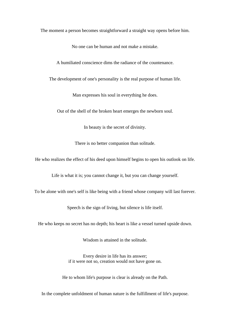The moment a person becomes straightforward a straight way opens before him.

No one can be human and not make a mistake.

A humiliated conscience dims the radiance of the countenance.

The development of one's personality is the real purpose of human life.

Man expresses his soul in everything he does.

Out of the shell of the broken heart emerges the newborn soul.

In beauty is the secret of divinity.

There is no better companion than solitude.

He who realizes the effect of his deed upon himself begins to open his outlook on life.

Life is what it is; you cannot change it, but you can change yourself.

To be alone with one's self is like being with a friend whose company will last forever.

Speech is the sign of living, but silence is life itself.

He who keeps no secret has no depth; his heart is like a vessel turned upside down.

Wisdom is attained in the solitude.

Every desire in life has its answer; if it were not so, creation would not have gone on.

He to whom life's purpose is clear is already on the Path.

In the complete unfoldment of human nature is the fulfillment of life's purpose.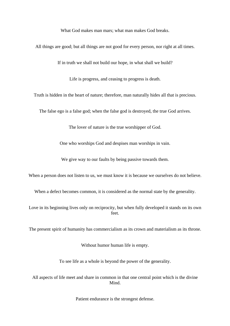What God makes man mars; what man makes God breaks.

All things are good; but all things are not good for every person, nor right at all times.

If in truth we shall not build our hope, in what shall we build?

Life is progress, and ceasing to progress is death.

Truth is hidden in the heart of nature; therefore, man naturally hides all that is precious.

The false ego is a false god; when the false god is destroyed, the true God arrives.

The lover of nature is the true worshipper of God.

One who worships God and despises man worships in vain.

We give way to our faults by being passive towards them.

When a person does not listen to us, we must know it is because we ourselves do not believe.

When a defect becomes common, it is considered as the normal state by the generality.

Love in its beginning lives only on reciprocity, but when fully developed it stands on its own feet.

The present spirit of humanity has commercialism as its crown and materialism as its throne.

Without humor human life is empty.

To see life as a whole is beyond the power of the generality.

All aspects of life meet and share in common in that one central point which is the divine Mind.

Patient endurance is the strongest defense.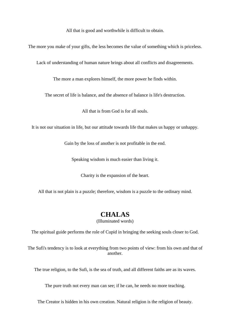All that is good and worthwhile is difficult to obtain.

The more you make of your gifts, the less becomes the value of something which is priceless.

Lack of understanding of human nature brings about all conflicts and disagreements.

The more a man explores himself, the more power he finds within.

The secret of life is balance, and the absence of balance is life's destruction.

All that is from God is for all souls.

It is not our situation in life, but our attitude towards life that makes us happy or unhappy.

Gain by the loss of another is not profitable in the end.

Speaking wisdom is much easier than living it.

Charity is the expansion of the heart.

All that is not plain is a puzzle; therefore, wisdom is a puzzle to the ordinary mind.

### **CHALAS**

(Illuminated words)

The spiritual guide performs the role of Cupid in bringing the seeking souls closer to God.

The Sufi's tendency is to look at everything from two points of view: from his own and that of another.

The true religion, to the Sufi, is the sea of truth, and all different faiths are as its waves.

The pure truth not every man can see; if he can, he needs no more teaching.

The Creator is hidden in his own creation. Natural religion is the religion of beauty.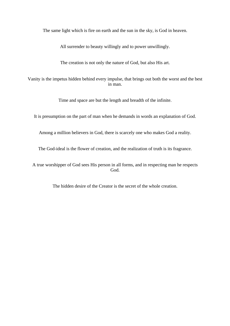The same light which is fire on earth and the sun in the sky, is God in heaven.

All surrender to beauty willingly and to power unwillingly.

The creation is not only the nature of God, but also His art.

Vanity is the impetus hidden behind every impulse, that brings out both the worst and the best in man.

Time and space are but the length and breadth of the infinite.

It is presumption on the part of man when he demands in words an explanation of God.

Among a million believers in God, there is scarcely one who makes God a reality.

The God-ideal is the flower of creation, and the realization of truth is its fragrance.

A true worshipper of God sees His person in all forms, and in respecting man he respects God.

The hidden desire of the Creator is the secret of the whole creation.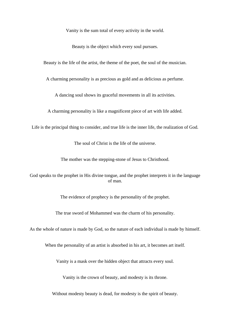Vanity is the sum total of every activity in the world.

Beauty is the object which every soul pursues.

Beauty is the life of the artist, the theme of the poet, the soul of the musician.

A charming personality is as precious as gold and as delicious as perfume.

A dancing soul shows its graceful movements in all its activities.

A charming personality is like a magnificent piece of art with life added.

Life is the principal thing to consider, and true life is the inner life, the realization of God.

The soul of Christ is the life of the universe.

The mother was the stepping-stone of Jesus to Christhood.

God speaks to the prophet in His divine tongue, and the prophet interprets it in the language of man.

The evidence of prophecy is the personality of the prophet.

The true sword of Mohammed was the charm of his personality.

As the whole of nature is made by God, so the nature of each individual is made by himself.

When the personality of an artist is absorbed in his art, it becomes art itself.

Vanity is a mask over the hidden object that attracts every soul.

Vanity is the crown of beauty, and modesty is its throne.

Without modesty beauty is dead, for modesty is the spirit of beauty.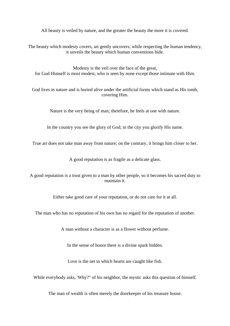All beauty is veiled by nature, and the greater the beauty the more it is covered.

The beauty which modesty covers, art gently uncovers; while respecting the human tendency, it unveils the beauty which human conventions hide.

Modesty is the veil over the face of the great, for God Himself is most modest, who is seen by none except those intimate with Him.

God lives in nature and is buried alive under the artificial forms which stand as His tomb, covering Him.

Nature is the very being of man; therefore, he feels at one with nature.

In the country you see the glory of God; in the city you glorify His name.

True art does not take man away from nature; on the contrary, it brings him closer to her.

A good reputation is as fragile as a delicate glass.

A good reputation is a trust given to a man by other people, so it becomes his sacred duty to maintain it.

Either take good care of your reputation, or do not care for it at all.

The man who has no reputation of his own has no regard for the reputation of another.

A man without a character is as a flower without perfume.

In the sense of honor there is a divine spark hidden.

Love is the net in which hearts are caught like fish.

While everybody asks, 'Why?" of his neighbor, the mystic asks this question of himself.

The man of wealth is often merely the doorkeeper of his treasure house.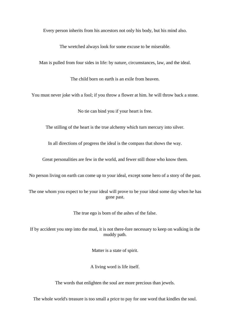Every person inherits from his ancestors not only his body, but his mind also.

The wretched always look for some excuse to be miserable.

Man is pulled from four sides in life: by nature, circumstances, law, and the ideal.

The child born on earth is an exile from heaven.

You must never joke with a fool; if you throw a flower at him. he will throw back a stone.

No tie can bind you if your heart is free.

The stilling of the heart is the true alchemy which turn mercury into silver.

In all directions of progress the ideal is the compass that shows the way.

Great personalities are few in the world, and fewer still those who know them.

No person living on earth can come up to your ideal, except some hero of a story of the past.

The one whom you expect to be your ideal will prove to be your ideal some day when he has gone past.

The true ego is born of the ashes of the false.

If by accident you step into the mud, it is not there-fore necessary to keep on walking in the muddy path.

Matter is a state of spirit.

A living word is life itself.

The words that enlighten the soul are more precious than jewels.

The whole world's treasure is too small a price to pay for one word that kindles the soul.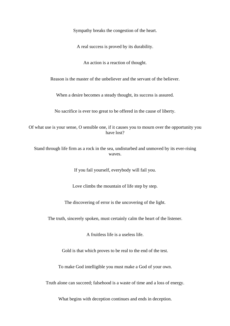Sympathy breaks the congestion of the heart.

A real success is proved by its durability.

An action is a reaction of thought.

Reason is the master of the unbeliever and the servant of the believer.

When a desire becomes a steady thought, its success is assured.

No sacrifice is ever too great to be offered in the cause of liberty.

Of what use is your sense, O sensible one, if it causes you to mourn over the opportunity you have lost?

Stand through life firm as a rock in the sea, undisturbed and unmoved by its ever-rising waves.

If you fail yourself, everybody will fail you.

Love climbs the mountain of life step by step.

The discovering of error is the uncovering of the light.

The truth, sincerely spoken, must certainly calm the heart of the listener.

A fruitless life is a useless life.

Gold is that which proves to be real to the end of the test.

To make God intelligible you must make a God of your own.

Truth alone can succeed; falsehood is a waste of time and a loss of energy.

What begins with deception continues and ends in deception.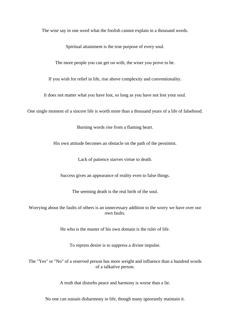The wise say in one word what the foolish cannot explain in a thousand words.

Spiritual attainment is the true purpose of every soul.

The more people you can get on with, the wiser you prove to be.

If you wish for relief in life, rise above complexity and conventionality.

It does not matter what you have lost, so long as you have not lost your soul.

One single moment of a sincere life is worth more than a thousand years of a life of falsehood.

Burning words rise from a flaming heart.

His own attitude becomes an obstacle on the path of the pessimist.

Lack of patience starves virtue to death.

Success gives an appearance of reality even to false things.

The seeming death is the real birth of the soul.

Worrying about the faults of others is an unnecessary addition to the worry we have over our own faults.

He who is the master of his own domain is the ruler of life.

To repress desire is to suppress a divine impulse.

The "Yes" or "No" of a reserved person has more weight and influence than a hundred words of a talkative person.

A truth that disturbs peace and harmony is worse than a lie.

No one can sustain disharmony in life, though many ignorantly maintain it.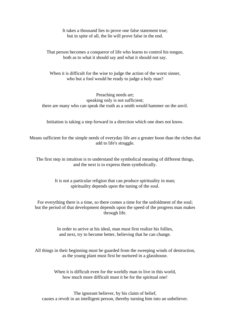It takes a thousand lies to prove one false statement true; but in spite of all, the lie will prove false in the end.

That person becomes a conqueror of life who learns to control his tongue, both as to what it should say and what it should not say.

When it is difficult for the wise to judge the action of the worst sinner, who but a fool would be ready to judge a holy man?

Preaching needs art; speaking only is not sufficient; there are many who can speak the truth as a smith would hammer on the anvil.

Initiation is taking a step forward in a direction which one does not know.

Means sufficient for the simple needs of everyday life are a greater boon than the riches that add to life's struggle.

The first step in intuition is to understand the symbolical meaning of different things, and the next is to express them symbolically.

> It is not a particular religion that can produce spirituality in man; spirituality depends upon the tuning of the soul.

For everything there is a time, so there comes a time for the unfoldment of the soul; but the period of that development depends upon the speed of the progress man makes through life.

> In order to arrive at his ideal, man must first realize his follies, and next, try to become better, believing that he can change.

All things in their beginning must be guarded from the sweeping winds of destruction, as the young plant must first be nurtured in a glasshouse.

> When it is difficult even for the worldly man to live in this world, how much more difficult must it be for the spiritual one!

The ignorant believer, by his claim of belief, causes a revolt in an intelligent person, thereby turning him into an unbeliever.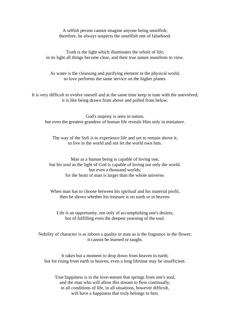A selfish person cannot imagine anyone being unselfish; therefore, he always suspects the unselfish one of falsehood.

Truth is the light which illuminates the whole of life; in its light all things become clear, and their true nature manifests to view.

As water is the cleansing and purifying element in the physical world, so love performs the same service on the higher planes.

It is very difficult to evolve oneself and at the same time keep in tune with the unevolved; it is like being drawn from above and pulled from below.

God's majesty is seen in nature, but even the greatest grandeur of human life reveals Him only in miniature.

The way of the Sufi is to experience life and yet to remain above it; to live in the world and not let the world own him.

Man as a human being is capable of loving one, but his soul as the light of God is capable of loving not only the world, but even a thousand worlds; for the heart of man is larger than the whole universe.

When man has to choose between his spiritual and his material profit, then he shows whether his treasure is on earth or in heaven.

Life is an opportunity, not only of accomplishing one's desires, but of fulfilling even the deepest yearning of the soul.

Nobility of character is as inborn a quality in man as is the fragrance in the flower; it cannot be learned or taught.

It takes but a moment to drop down from heaven to earth; but for rising from earth to heaven, even a long lifetime may be insufficient.

True happiness is in the love-stream that springs from one's soul, and the man who will allow this stream to flow continually, in all conditions of life, in all situations, however difficult, will have a happiness that truly belongs to him.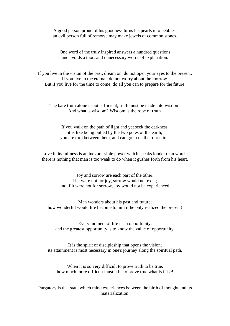A good person proud of his goodness turns his pearls into pebbles; an evil person full of remorse may make jewels of common stones.

One word of the truly inspired answers a hundred questions and avoids a thousand unnecessary words of explanation.

If you live in the vision of the past, dream on, do not open your eyes to the present. If you live in the eternal, do not worry about the morrow. But if you live for the time to come, do all you can to prepare for the future.

The bare truth alone is not sufficient; truth must be made into wisdom. And what is wisdom? Wisdom is the robe of truth.

If you walk on the path of light and yet seek the darkness, it is like being pulled by the two poles of the earth; you are torn between them, and can go in neither direction.

Love in its fullness is an inexpressible power which speaks louder than words; there is nothing that man is too weak to do when it gushes forth from his heart.

> Joy and sorrow are each part of the other. If it were not for joy, sorrow would not exist; and if it were not for sorrow, joy would not be experienced.

Man wonders about his past and future; how wonderful would life become to him if he only realized the present!

Every moment of life is an opportunity, and the greatest opportunity is to know the value of opportunity.

It is the spirit of discipleship that opens the vision; its attainment is most necessary in one's journey along the spiritual path.

When it is so very difficult to prove truth to be true, how much more difficult must it be to prove true what is false!

Purgatory is that state which mind experiences between the birth of thought and its materialization.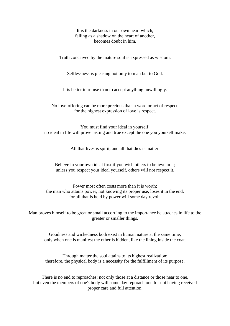It is the darkness in our own heart which, falling as a shadow on the heart of another, becomes doubt in him.

Truth conceived by the mature soul is expressed as wisdom.

Selflessness is pleasing not only to man but to God.

It is better to refuse than to accept anything unwillingly.

No love-offering can be more precious than a word or act of respect, for the highest expression of love is respect.

You must find your ideal in yourself; no ideal in life will prove lasting and true except the one you yourself make.

All that lives is spirit, and all that dies is matter.

Believe in your own ideal first if you wish others to believe in it; unless you respect your ideal yourself, others will not respect it.

Power most often costs more than it is worth; the man who attains power, not knowing its proper use, loses it in the end, for all that is held by power will some day revolt.

Man proves himself to be great or small according to the importance he attaches in life to the greater or smaller things.

Goodness and wickedness both exist in human nature at the same time; only when one is manifest the other is hidden, like the lining inside the coat.

Through matter the soul attains to its highest realization; therefore, the physical body is a necessity for the fulfillment of its purpose.

There is no end to reproaches; not only those at a distance or those near to one, but even the members of one's body will some day reproach one for not having received proper care and full attention.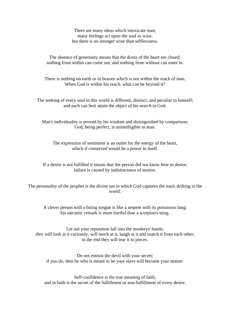There are many ideas which intoxicate man; many feelings act upon the soul as wine, but there is no stronger wine than selflessness.

The absence of generosity means that the doors of the heart are closed; nothing from within can come out, and nothing from without can enter in.

There is nothing on earth or in heaven which is not within the reach of man. When God is within his reach, what can be beyond it?

The seeking of every soul in this world is different, distinct, and peculiar to himself; and each can best attain the object of his search in God.

Man's individuality is proved by his wisdom and distinguished by comparison; God, being perfect, is unintelligible to man.

The expression of sentiment is an outlet for the energy of the heart, which if conserved would be a power in itself.

If a desire is not fulfilled it means that the person did not know how to desire; failure is caused by indistinctness of motive.

The personality of the prophet is the divine net in which God captures the souls drifting in the world.

A clever person with a biting tongue is like a serpent with its poisonous fang; his sarcastic remark is more hurtful than a scorpion's sting.

Let not your reputation fall into the monkeys' hands; they will look at it curiously, will mock at it, laugh at it and snatch it from each other; in the end they will tear it to pieces.

Do not entrust the devil with your secret; if you do, then he who is meant to be your slave will become your master.

Self-confidence is the true meaning of faith, and in faith is the secret of the fulfillment or non-fulfillment of every desire.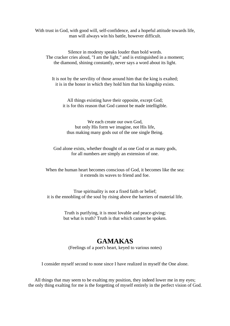With trust in God, with good will, self-confidence, and a hopeful attitude towards life, man will always win his battle, however difficult.

Silence in modesty speaks louder than bold words. The cracker cries aloud, "I am the light," and is extinguished in a moment; the diamond, shining constantly, never says a word about its light.

It is not by the servility of those around him that the king is exalted; it is in the honor in which they hold him that his kingship exists.

All things existing have their opposite, except God; it is for this reason that God cannot be made intelligible.

We each create our own God. but only His form we imagine, not His life, thus making many gods out of the one single Being.

God alone exists, whether thought of as one God or as many gods, for all numbers are simply an extension of one.

When the human heart becomes conscious of God, it becomes like the sea: it extends its waves to friend and foe.

True spirituality is not a fixed faith or belief; it is the ennobling of the soul by rising above the barriers of material life.

> Truth is purifying, it is most lovable and peace-giving; but what is truth? Truth is that which cannot be spoken.

## **GAMAKAS**

(Feelings of a poet's heart, keyed to various notes)

I consider myself second to none since I have realized in myself the One alone.

All things that may seem to be exalting my position, they indeed lower me in my eyes; the only thing exalting for me is the forgetting of myself entirely in the perfect vision of God.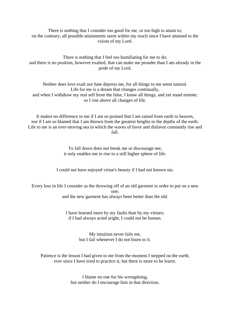There is nothing that I consider too good for me, or too high to attain to; on the contrary, all possible attainments seem within my reach since I have attained to the vision of my Lord.

There is nothing that I feel too humiliating for me to do; and there is no position, however exalted, that can make me prouder than I am already in the pride of my Lord.

Neither does love exalt nor hate depress me, for all things to me seem natural. Life for me is a dream that changes continually, and when I withdraw my real self from the false, I know all things, and yet stand remote; so I rise above all changes of life.

It makes no difference to me if I am so praised that I am raised from earth to heaven, nor if I am so blamed that I am thrown from the greatest heights to the depths of the earth. Life to me is an ever-moving sea in which the waves of favor and disfavor constantly rise and fall.

> To fall down does not break me or discourage me; it only enables me to rise to a still higher sphere of life.

I could not have enjoyed virtue's beauty if I had not known sin.

Every loss in life I consider as the throwing off of an old garment in order to put on a new one; and the new garment has always been better than the old.

> I have learned more by my faults than by my virtues; if I had always acted aright, I could not be human.

> > My intuition never fails me, but I fail whenever I do not listen to it.

Patience is the lesson I had given to me from the moment I stepped on the earth; ever since I have tried to practice it, but there is more to be learnt.

> I blame no one for his wrongdoing, but neither do I encourage him in that direction.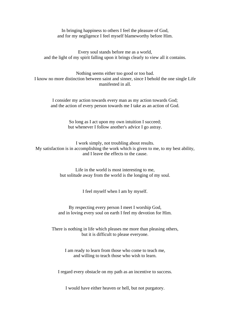In bringing happiness to others I feel the pleasure of God, and for my negligence I feel myself blameworthy before Him.

Every soul stands before me as a world, and the light of my spirit falling upon it brings clearly to view all it contains.

Nothing seems either too good or too bad. I know no more distinction between saint and sinner, since I behold the one single Life manifested in all.

I consider my action towards every man as my action towards God; and the action of every person towards me I take as an action of God.

> So long as I act upon my own intuition I succeed; but whenever I follow another's advice I go astray.

I work simply, not troubling about results. My satisfaction is in accomplishing the work which is given to me, to my best ability, and I leave the effects to the cause.

> Life in the world is most interesting to me, but solitude away from the world is the longing of my soul.

> > I feel myself when I am by myself.

By respecting every person I meet I worship God, and in loving every soul on earth I feel my devotion for Him.

There is nothing in life which pleases me more than pleasing others, but it is difficult to please everyone.

I am ready to learn from those who come to teach me, and willing to teach those who wish to learn.

I regard every obstacle on my path as an incentive to success.

I would have either heaven or hell, but not purgatory.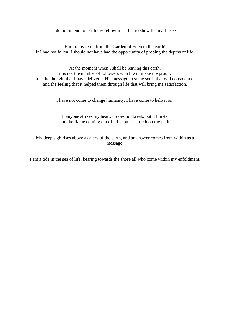I do not intend to teach my fellow-men, but to show them all I see.

Hail to my exile from the Garden of Eden to the earth! If I had not fallen, I should not have had the opportunity of probing the depths of life.

At the moment when I shall be leaving this earth, it is not the number of followers which will make me proud; it is the thought that I have delivered His message to some souls that will console me, and the feeling that it helped them through life that will bring me satisfaction.

I have not come to change humanity; I have come to help it on.

If anyone strikes my heart, it does not break, but it bursts, and the flame coming out of it becomes a torch on my path.

My deep sigh rises above as a cry of the earth, and an answer comes from within as a message.

I am a tide in the sea of life, bearing towards the shore all who come within my enfoldment.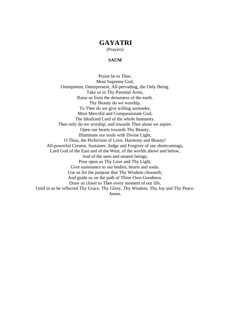# **GAYATRI**

(Prayers)

### **SAUM**

Praise be to Thee, Most Supreme God, Omnipotent, Omnipresent, All-pervading, the Only Being. Take us in Thy Parental Arms, Raise us from the denseness of the earth. Thy Beauty do we worship, To Thee do we give willing surrender, Most Merciful and Compassionate God, The Idealized Lord of the whole humanity. Thee only do we worship; and towards Thee alone we aspire. Open our hearts towards Thy Beauty, Illuminate our souls with Divine Light, O Thou, the Perfection of Love, Harmony and Beauty! All-powerful Creator, Sustainer, Judge and Forgiver of our shortcomings, Lord God of the East and of the West, of the worlds above and below, And of the seen and unseen beings, Pour upon us Thy Love and Thy Light, Give sustenance to our bodies, hearts and souls. Use us for the purpose that Thy Wisdom chooseth, And guide us on the path of Thine Own Goodness. Draw us closer to Thee every moment of our life, Until in us be reflected Thy Grace, Thy Glory, Thy Wisdom, Thy Joy and Thy Peace. Amen.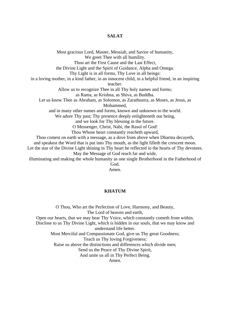#### **SALAT**

Most gracious Lord, Master, Messiah, and Savior of humanity, We greet Thee with all humility. Thou art the First Cause and the Last Effect, the Divine Light and the Spirit of Guidance, Alpha and Omega. Thy Light is in all forms, Thy Love in all beings: in a loving mother, in a kind father, in an innocent child, in a helpful friend, in an inspiring teacher. Allow us to recognize Thee in all Thy holy names and forms; as Rama, as Krishna, as Shiva, as Buddha. Let us know Thee as Abraham, as Solomon, as Zarathustra, as Moses, as Jesus, as Mohammed, and in many other names and forms, known and unknown to the world. We adore Thy past; Thy presence deeply enlighteneth our being, and we look for Thy blessing in the future. O Messenger, Christ, Nabi, the Rasul of God! Thou Whose heart constantly reacheth upward, Thou comest on earth with a message, as a dove from above when Dharma decayeth, and speakest the Word that is put into Thy mouth, as the light filleth the crescent moon. Let the star of the Divine Light shining in Thy heart be reflected in the hearts of Thy devotees. May the Message of God reach far and wide, illuminating and making the whole humanity as one single Brotherhood in the Fatherhood of God.

Amen.

### **KHATUM**

O Thou, Who art the Perfection of Love, Harmony, and Beauty, The Lord of heaven and earth, Open our hearts, that we may hear Thy Voice, which constantly cometh from within. Disclose to us Thy Divine Light, which is hidden in our souls, that we may know and understand life better. Most Merciful and Compassionate God, give us Thy great Goodness; Teach us Thy loving Forgiveness; Raise us above the distinctions and differences which divide men; Send us the Peace of Thy Divine Spirit, And unite us all in Thy Perfect Being.

Amen.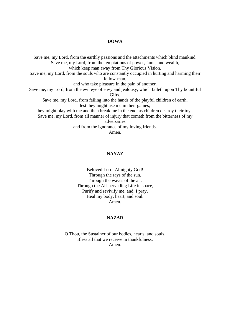### **DOWA**

Save me, my Lord, from the earthly passions and the attachments which blind mankind. Save me, my Lord, from the temptations of power, fame, and wealth, which keep man away from Thy Glorious Vision. Save me, my Lord, from the souls who are constantly occupied in hurting and harming their fellow-man, and who take pleasure in the pain of another. Save me, my Lord, from the evil eye of envy and jealousy, which falleth upon Thy bountiful Gifts. Save me, my Lord, from failing into the hands of the playful children of earth, lest they might use me in their games; they might play with me and then break me in the end, as children destroy their toys. Save me, my Lord, from all manner of injury that cometh from the bitterness of my adversaries and from the ignorance of my loving friends.

Amen.

### **NAYAZ**

Beloved Lord, Almighty God! Through the rays of the sun, Through the waves of the air. Through the All-pervading Life in space, Purify and revivify me, and, I pray, Heal my body, heart, and soul. Amen.

### **NAZAR**

O Thou, the Sustainer of our bodies, hearts, and souls, Bless all that we receive in thankfulness. Amen.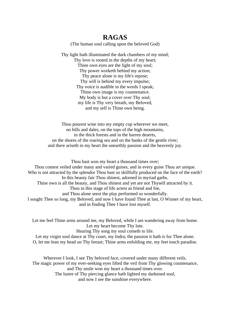# **RAGAS**

(The human soul calling upon the beloved God)

Thy light hath illuminated the dark chambers of my mind; Thy love is rooted in the depths of my heart; Thine own eyes are the light of my soul; Thy power worketh behind my action; Thy peace alone is my life's repose; Thy will is behind my every impulse; Thy voice is audible in the words I speak; Thine own image is my countenance. My body is but a cover over Thy soul; my life is Thy very breath, my Beloved, and my self is Thine own being.

Thou pourest wine into my empty cup wherever we meet, on hills and dales, on the tops of the high mountains, in the thick forests and in the barren deserts, on the shores of the roaring sea and on the banks of the gentle river; and there ariseth in my heart the unearthly passion and the heavenly joy.

Thou hast won my heart a thousand times over; Thou comest veiled under many and varied guises, and in every guise Thou art unique. Who is not attracted by the splendor Thou hast so skillfully produced on the face of the earth? In this beauty fair Thou shinest, adorned in myriad garbs. Thine own is all the beauty, and Thou shinest and yet are not Thyself attracted by it. Thou in this stage of life actest as friend and foe, and Thou alone seest the play performed so wonderfully. I sought Thee so long, my Beloved, and now I have found Thee at last, O Winner of my heart, and in finding Thee I have lost myself.

Let me feel Thine arms around me, my Beloved, while I am wandering away from home. Let my heart become Thy lute. Hearing Thy song my soul cometh to life. Let my virgin soul dance at Thy court, my Indra; the passion it hath is for Thee alone. O, let me lean my head on Thy breast; Thine arms enfolding me, my feet touch paradise.

Wherever I look, I see Thy beloved face, covered under many different veils. The magic power of my ever-seeking eyes lifted the veil from Thy glowing countenance, and Thy smile won my heart a thousand times over. The lustre of Thy piercing glance hath lighted my darkened soul, and now I see the sunshine everywhere.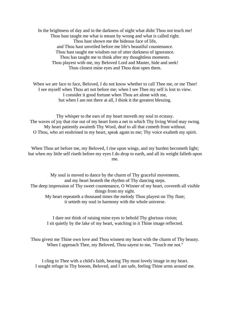In the brightness of day and in the darkness of night what didst Thou not teach me! Thou hast taught me what is meant by wrong and what is called right. Thou hast shown me the hideous face of life, and Thou hast unveiled before me life's beautiful countenance. Thou hast taught me wisdom out of utter darkness of ignorance. Thou has taught me to think after my thoughtless moments. Thou playest with me, my Beloved Lord and Master, hide and seek! Thou closest mine eyes and Thou dost open them.

When we are face to face, Beloved, I do not know whether to call Thee me, or me Thee! I see myself when Thou art not before me; when I see Thee my self is lost to view. I consider it good fortune when Thou art alone with me, but when I am not there at all, I think it the greatest blessing.

Thy whisper to the ears of my heart moveth my soul to ecstasy. The waves of joy that rise out of my heart form a net in which Thy living Word may swing. My heart patiently awaiteth Thy Word, deaf to all that cometh from without. O Thou, who art enshrined in my heart, speak again to me; Thy voice exalteth my spirit.

When Thou art before me, my Beloved, I rise upon wings, and my burden becometh light; but when my little self riseth before my eyes I do drop to earth, and all its weight falleth upon me.

My soul is moved to dance by the charm of Thy graceful movements, and my heart beateth the rhythm of Thy dancing steps. The deep impression of Thy sweet countenance, O Winner of my heart, covereth all visible things from my sight. My heart repeateth a thousand times the melody Thou playest on Thy flute; it setteth my soul in harmony with the whole universe.

I dare not think of raising mine eyes to behold Thy glorious vision; I sit quietly by the lake of my heart, watching in it Thine image reflected.

Thou givest me Thine own love and Thou winnest my heart with the charm of Thy beauty. When I approach Thee, my Beloved, Thou sayest to me, "Touch me not."

I cling to Thee with a child's faith, bearing Thy most lovely image in my heart. I sought refuge in Thy bosom, Beloved, and I am safe, feeling Thine arms around me.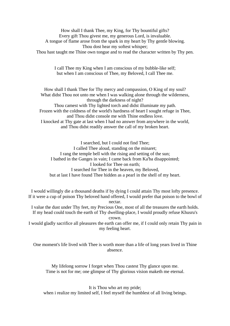How shall I thank Thee, my King, for Thy bountiful gifts? Every gift Thou givest me, my generous Lord, is invaluable. A tongue of flame arose from the spark in my heart by Thy gentle blowing. Thou dost hear my softest whisper; Thou hast taught me Thine own tongue and to read the character written by Thy pen.

> I call Thee my King when I am conscious of my bubble-like self; but when I am conscious of Thee, my Beloved, I call Thee me.

How shall I thank Thee for Thy mercy and compassion, O King of my soul? What didst Thou not unto me when I was walking alone through the wilderness, through the darkness of night? Thou camest with Thy lighted torch and didst illuminate my path. Frozen with the coldness of the world's hardness of heart I sought refuge in Thee, and Thou didst console me with Thine endless love. I knocked at Thy gate at last when I had no answer from anywhere in the world, and Thou didst readily answer the call of my broken heart.

I searched, but I could not find Thee; I called Thee aloud, standing on the minaret; I rang the temple bell with the rising and setting of the sun; I bathed in the Ganges in vain; I came back from Ka'ba disappointed; I looked for Thee on earth; I searched for Thee in the heaven, my Beloved, but at last I have found Thee hidden as a pearl in the shell of my heart.

I would willingly die a thousand deaths if by dying I could attain Thy most lofty presence. If it were a cup of poison Thy beloved hand offered, I would prefer that poison to the bowl of nectar.

I value the dust under Thy feet, my Precious One, most of all the treasures the earth holds. If my head could touch the earth of Thy dwelling-place, I would proudly refuse Khusru's crown.

I would gladly sacrifice all pleasures the earth can offer me, if I could only retain Thy pain in my feeling heart.

One moment's life lived with Thee is worth more than a life of long years lived in Thine absence.

My lifelong sorrow I forget when Thou castest Thy glance upon me. Time is not for me; one glimpse of Thy glorious vision maketh me eternal.

It is Thou who art my pride; when i realize my limited self, I feel myself the humblest of all living beings.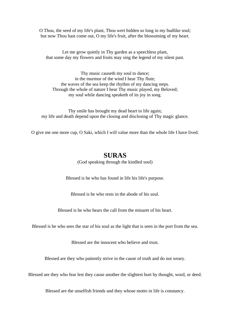O Thou, the seed of my life's plant, Thou wert hidden so long in my budlike soul; but now Thou hast come out, O my life's fruit, after the blossoming of my heart.

Let me grow quietly in Thy garden as a speechless plant, that some day my flowers and fruits may sing the legend of my silent past.

Thy music causeth my soul to dance; in the murmur of the wind I hear Thy flute; the waves of the sea keep the rhythm of my dancing steps. Through the whole of nature I hear Thy music played, my Beloved; my soul while dancing speaketh of its joy in song.

Thy smile has brought my dead heart to life again; my life and death depend upon the closing and disclosing of Thy magic glance.

O give me one more cup, O Saki, which I will value more than the whole life I have lived.

## **SURAS**

(God speaking through the kindled soul)

Blessed is he who has found in life his life's purpose.

Blessed is he who rests in the abode of his soul.

Blessed is he who hears the call from the minaret of his heart.

Blessed is he who sees the star of his soul as the light that is seen in the port from the sea.

Blessed are the innocent who believe and trust.

Blessed are they who patiently strive in the cause of truth and do not weary.

Blessed are they who fear lest they cause another the slightest hurt by thought, word, or deed.

Blessed are the unselfish friends and they whose motto in life is constancy.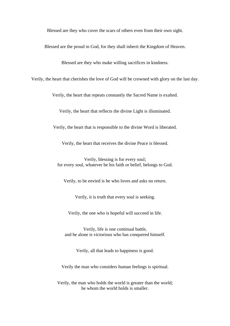Blessed are they who cover the scars of others even from their own sight.

Blessed are the proud in God, for they shall inherit the Kingdom of Heaven.

Blessed are they who make willing sacrifices in kindness.

Verily, the heart that cherishes the love of God will be crowned with glory on the last day.

Verily, the heart that repeats constantly the Sacred Name is exalted.

Verily, the heart that reflects the divine Light is illuminated.

Verily, the heart that is responsible to the divine Word is liberated.

Verily, the heart that receives the divine Peace is blessed.

Verily, blessing is for every soul; for every soul, whatever be his faith or belief, belongs to God.

Verily, to be envied is he who loves and asks no return.

Verily, it is truth that every soul is seeking.

Verily, the one who is hopeful will succeed in life.

Verily, life is one continual battle, and he alone is victorious who has conquered himself.

Verily, all that leads to happiness is good.

Verily the man who considers human feelings is spiritual.

Verily, the man who holds the world is greater than the world; he whom the world holds is smaller.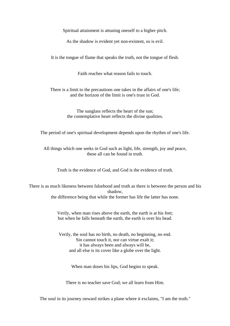Spiritual attainment is attuning oneself to a higher pitch.

As the shadow is evident yet non-existent, so is evil.

It is the tongue of flame that speaks the truth, not the tongue of flesh.

Faith reaches what reason fails to touch.

There is a limit to the precautions one takes in the affairs of one's life; and the horizon of the limit is one's trust in God.

> The sunglass reflects the heart of the sun; the contemplative heart reflects the divine qualities.

The period of one's spiritual development depends upon the rhythm of one's life.

All things which one seeks in God such as light, life, strength, joy and peace, these all can be found in truth.

Truth is the evidence of God, and God is the evidence of truth.

There is as much likeness between falsehood and truth as there is between the person and his shadow, the difference being that while the former has life the latter has none.

> Verily, when man rises above the earth, the earth is at his feet; but when he falls beneath the earth, the earth is over his head.

Verily, the soul has no birth, no death, no beginning, no end. Sin cannot touch it, nor can virtue exalt it; it has always been and always will be, and all else is its cover like a globe over the light.

When man doses his lips, God begins to speak.

There is no teacher save God; we all learn from Him.

The soul in its journey onward strikes a plane where it exclaims, "I am the truth."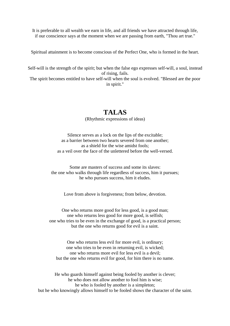It is preferable to all wealth we earn in life, and all friends we have attracted through life, if our conscience says at the moment when we are passing from earth, "Thou art true."

Spiritual attainment is to become conscious of the Perfect One, who is formed in the heart.

Self-will is the strength of the spirit; but when the false ego expresses self-will, a soul, instead of rising, fails.

The spirit becomes entitled to have self-will when the soul is evolved. "Blessed are the poor in spirit."

## **TALAS**

(Rhythmic expressions of ideas)

Silence serves as a lock on the lips of the excitable; as a barrier between two hearts severed from one another; as a shield for the wise amidst fools; as a veil over the face of the unlettered before the well-versed.

Some are masters of success and some its slaves: the one who walks through life regardless of success, him it pursues; he who pursues success, him it eludes.

Love from above is forgiveness; from below, devotion.

One who returns more good for less good, is a good man; one who returns less good for more good, is selfish; one who tries to be even in the exchange of good, is a practical person; but the one who returns good for evil is a saint.

One who returns less evil for more evil, is ordinary; one who tries to be even in returning evil, is wicked; one who returns more evil for less evil is a devil; but the one who returns evil for good, for him there is no name.

He who guards himself against being fooled by another is clever; he who does not allow another to fool him is wise; he who is fooled by another is a simpleton; but he who knowingly allows himself to be fooled shows the character of the saint.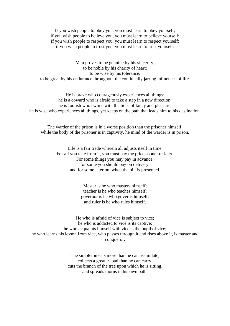If you wish people to obey you, you must learn to obey yourself; if you wish people to believe you, you must learn to believe yourself; if you wish people to respect you, you must learn to respect yourself; if you wish people to trust you, you must learn to trust yourself.

Man proves to be genuine by his sincerity; to be noble by his charity of heart; to be wise by his tolerance; to be great by his endurance throughout the continually jarring influences of life.

He is brave who courageously experiences all things; he is a coward who is afraid to take a step in a new direction; he is foolish who swims with the tides of fancy and pleasure; he is wise who experiences all things, yet keeps on the path that leads him to his destination.

The warder of the prison is in a worse position than the prisoner himself; while the body of the prisoner is in captivity, he mind of the warder is in prison.

> Life is a fair trade wherein all adjusts itself in time. For all you take from it, you must pay the price sooner or later. For some things you may pay in advance; for some you should pay on delivery; and for some later on, when the bill is presented.

> > Master is he who masters himself; teacher is he who teaches himself; governor is he who governs himself; and ruler is he who rules himself.

He who is afraid of vice is subject to vice; he who is addicted to vice is its captive; he who acquaints himself with vice is the pupil of vice; he who learns his lesson from vice, who passes through it and rises above it, is master and conqueror.

> The simpleton eats more than he can assimilate, collects a greater load than he can carry, cuts the branch of the tree upon which he is sitting, and spreads thorns in his own path.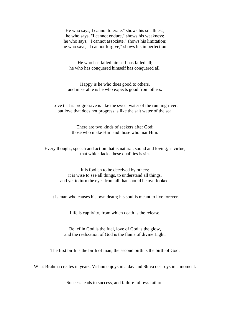He who says, I cannot tolerate," shows his smallness; he who says, "I cannot endure," shows his weakness; he who says, "I cannot associate," shows his limitation; he who says, "I cannot forgive," shows his imperfection.

He who has failed himself has failed all; he who has conquered himself has conquered all.

Happy is he who does good to others, and miserable is he who expects good from others.

Love that is progressive is like the sweet water of the running river, but love that does not progress is like the salt water of the sea.

> There are two kinds of seekers after God: those who make Him and those who mar Him.

Every thought, speech and action that is natural, sound and loving, is virtue; that which lacks these qualities is sin.

> It is foolish to be deceived by others; it is wise to see all things, to understand all things, and yet to turn the eyes from all that should be overlooked.

It is man who causes his own death; his soul is meant to live forever.

Life is captivity, from which death is the release.

Belief in God is the fuel, love of God is the glow, and the realization of God is the flame of divine Light.

The first birth is the birth of man; the second birth is the birth of God.

What Brahma creates in years, Vishnu enjoys in a day and Shiva destroys in a moment.

Success leads to success, and failure follows failure.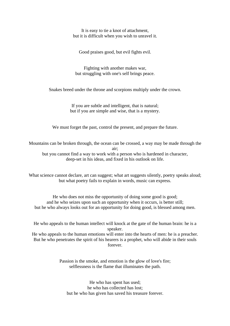It is easy to tie a knot of attachment, but it is difficult when you wish to unravel it.

Good praises good, but evil fights evil.

Fighting with another makes war, but struggling with one's self brings peace.

Snakes breed under the throne and scorpions multiply under the crown.

If you are subtle and intelligent, that is natural; but if you are simple and wise, that is a mystery.

We must forget the past, control the present, and prepare the future.

Mountains can be broken through, the ocean can be crossed, a way may be made through the air;

but you cannot find a way to work with a person who is hardened in character, deep-set in his ideas, and fixed in his outlook on life.

What science cannot declare, art can suggest; what art suggests silently, poetry speaks aloud; but what poetry fails to explain in words, music can express.

He who does not miss the opportunity of doing some good is good; and he who seizes upon such an opportunity when it occurs, is better still; but he who always looks out for an opportunity for doing good, is blessed among men.

He who appeals to the human intellect will knock at the gate of the human brain: he is a speaker. He who appeals to the human emotions will enter into the hearts of men: he is a preacher. But he who penetrates the spirit of his hearers is a prophet, who will abide in their souls forever.

> Passion is the smoke, and emotion is the glow of love's fire; selflessness is the flame that illuminates the path.

He who has spent has used; he who has collected has lost; but he who has given has saved his treasure forever.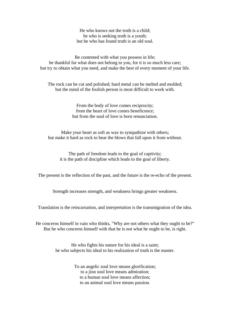He who knows not the truth is a child; he who is seeking truth is a youth; but he who has found truth is an old soul.

Be contented with what you possess in life; be thankful for what does not belong to you, for it is so much less care; but try to obtain what you need, and make the best of every moment of your life.

The rock can be cut and polished; hard metal can be melted and molded; but the mind of the foolish person is most difficult to work with.

> From the body of love comes reciprocity; from the heart of love comes beneficence; but from the soul of love is born renunciation.

Make your heart as soft as wax to sympathize with others; but make it hard as rock to bear the blows that fall upon it from without.

The path of freedom leads to the goal of captivity; it is the path of discipline which leads to the goal of liberty.

The present is the reflection of the past, and the future is the re-echo of the present.

Strength increases strength, and weakness brings greater weakness.

Translation is the reincarnation, and interpretation is the transmigration of the idea.

He concerns himself in vain who thinks, "Why are not others what they ought to be?" But he who concerns himself with that he is not what he ought to be, is right.

> He who fights his nature for his ideal is a saint; he who subjects his ideal to his realization of truth is the master.

> > To an angelic soul love means glorification; to a jinn soul love means admiration; to a human soul love means affection; to an animal soul love means passion.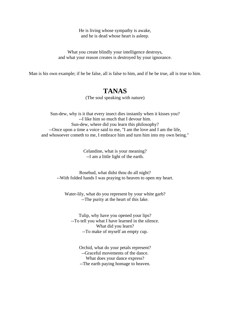He is living whose sympathy is awake, and he is dead whose heart is asleep.

What you create blindly your intelligence destroys, and what your reason creates is destroyed by your ignorance.

Man is his own example; if he be false, all is false to him, and if he be true, all is true to him.

## **TANAS**

(The soul speaking with nature)

Sun-dew, why is it that every insect dies instantly when it kisses you? --I like him so much that I devour him. Sun-dew, where did you learn this philosophy? --Once upon a time a voice said to me, "I am the love and I am the life, and whosoever cometh to me, I embrace him and turn him into my own being."

> Celandine, what is your meaning? --I am a little light of the earth.

Rosebud, what didst thou do all night? --With folded hands I was praying to heaven to open my heart.

Water-lily, what do you represent by your white garb? --The purity at the heart of this lake.

Tulip, why have you opened your lips? --To tell you what I have learned in the silence. What did you learn? --To make of myself an empty cup.

Orchid, what do your petals represent? --Graceful movements of the dance. What does your dance express? --The earth paying homage to heaven.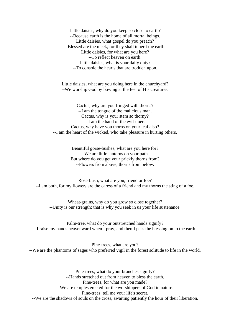Little daisies, why do you keep so close to earth? --Because earth is the home of all mortal beings. Little daisies, what gospel do you preach? --Blessed are the meek, for they shall inherit the earth. Little daisies, for what are you here? --To reflect heaven on earth. Little daisies, what is your daily duty? --To console the hearts that are trodden upon.

Little daisies, what are you doing here in the churchyard? --We worship God by bowing at the feet of His creatures.

Cactus, why are you fringed with thorns? --I am the tongue of the malicious man. Cactus, why is your stem so thorny? --I am the hand of the evil-doer. Cactus, why have you thorns on your leaf also? --I am the heart of the wicked, who take pleasure in hurting others.

> Beautiful gorse-bushes, what are you here for? --We are little lanterns on your path. But where do you get your prickly thorns from? --Flowers from above, thorns from below.

Rose-bush, what are you, friend or foe? --I am both, for my flowers are the caress of a friend and my thorns the sting of a foe.

Wheat-grains, why do you grow so close together? --Unity is our strength; that is why you seek in us your life sustenance.

Palm-tree, what do your outstretched hands signify? --I raise my hands heavenward when I pray, and then I pass the blessing on to the earth.

Pine-trees, what are you? --We are the phantoms of sages who preferred vigil in the forest solitude to life in the world.

Pine-trees, what do your branches signify? --Hands stretched out from heaven to bless the earth. Pine-trees, for what are you made? --We are temples erected for the worshippers of God in nature. Pine-trees, tell me your life's secret. --We are the shadows of souls on the cross, awaiting patiently the hour of their liberation.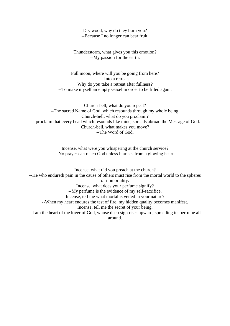Dry wood, why do they burn you? --Because I no longer can bear fruit.

Thunderstorm, what gives you this emotion? --My passion for the earth.

Full moon, where will you be going from here? --Into a retreat. Why do you take a retreat after fullness? --To make myself an empty vessel in order to be filled again.

Church-bell, what do you repeat? --The sacred Name of God, which resounds through my whole being. Church-bell, what do you proclaim? --I proclaim that every head which resounds like mine, spreads abroad the Message of God. Church-bell, what makes you move? --The Word of God.

> Incense, what were you whispering at the church service? --No prayer can reach God unless it arises from a glowing heart.

Incense, what did you preach at the church? --He who endureth pain in the cause of others must rise from the mortal world to the spheres of immortality. Incense, what does your perfume signify? --My perfume is the evidence of my self-sacrifice. Incense, tell me what mortal is veiled in your nature? --When my heart endures the test of fire, my hidden quality becomes manifest. Incense, tell me the secret of your being. --I am the heart of the lover of God, whose deep sign rises upward, spreading its perfume all around.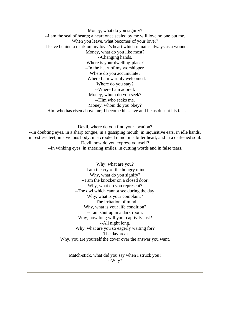Money, what do you signify? --I am the seal of hearts; a heart once sealed by me will love no one but me. When you leave, what becomes of your lover? --I leave behind a mark on my lover's heart which remains always as a wound. Money, what do you like most? --Changing hands. Where is your dwelling-place? --In the heart of my worshipper. Where do you accumulate? --Where I am warmly welcomed. Where do you stay? --Where I am adored. Money, whom do you seek? --Him who seeks me. Money, whom do you obey? --Him who has risen above me; I become his slave and lie as dust at his feet.

Devil, where do you find your location? --In doubting eyes, in a sharp tongue, in a gossiping mouth, in inquisitive ears, in idle hands, in restless feet, in a vicious body, in a crooked mind, in a bitter heart, and in a darkened soul. Devil, how do you express yourself?

--In winking eyes, in sneering smiles, in cutting words and in false tears.

Why, what are you? --I am the cry of the hungry mind. Why, what do you signify? --I am the knocker on a closed door. Why, what do you represent? --The owl which cannot see during the day. Why, what is your complaint? --The irritation of mind. Why, what is your life condition? --I am shut up in a dark room. Why, how long will your captivity last? --All night long. Why, what are you so eagerly waiting for? --The daybreak. Why, you are yourself the cover over the answer you want.

Match-stick, what did you say when I struck you?  $-W$ hy?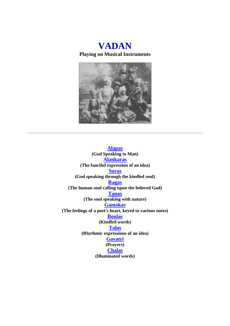**VADAN Playing on Musical Instruments**



**Alapas (God Speaking to Man) Alankaras (The fanciful expression of an idea) Suras (God speaking through the kindled soul) Ragas (The human soul calling upon the beloved God) Tanas (The soul speaking with nature) Gamakas (The feelings of a poet's heart, keyed to various notes) Boulas (Kindled words) Talas (Rhythmic expressions of an idea) Gayatri (Prayers) Chalas (Illuminated words)**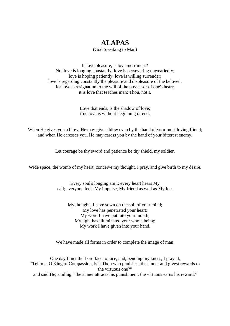# **ALAPAS**

(God Speaking to Man)

Is love pleasure, is love merriment? No, love is longing constantly; love is persevering unweariedly; love is hoping patiently; love is willing surrender; love is regarding constantly the pleasure and displeasure of the beloved, for love is resignation to the will of the possessor of one's heart; it is love that teaches man: Thou, not I.

> Love that ends, is the shadow of love; true love is without beginning or end.

When He gives you a blow, He may give a blow even by the hand of your most loving friend; and when He caresses you, He may caress you by the hand of your bitterest enemy.

Let courage be thy sword and patience be thy shield, my soldier.

Wide space, the womb of my heart, conceive my thought, I pray, and give birth to my desire.

Every soul's longing am I; every heart hears My call; everyone feels My impulse, My friend as well as My foe.

My thoughts I have sown on the soil of your mind; My love has penetrated your heart; My word I have put into your mouth; My light has illuminated your whole being; My work I have given into your hand.

We have made all forms in order to complete the image of man.

One day I met the Lord face to face, and, bending my knees, I prayed, "Tell me, O King of Compassion, is it Thou who punishest the sinner and givest rewards to the virtuous one?" and said He, smiling, "the sinner attracts his punishment; the virtuous earns his reward."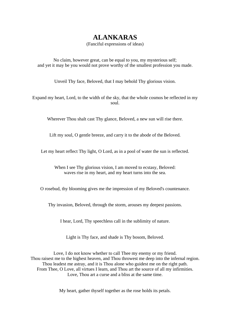# **ALANKARAS**

(Fanciful expressions of ideas)

No claim, however great, can be equal to you, my mysterious self; and yet it may be you would not prove worthy of the smallest profession you made.

Unveil Thy face, Beloved, that I may behold Thy glorious vision.

Expand my heart, Lord, to the width of the sky, that the whole cosmos be reflected in my soul.

Wherever Thou shalt cast Thy glance, Beloved, a new sun will rise there.

Lift my soul, O gentle breeze, and carry it to the abode of the Beloved.

Let my heart reflect Thy light, O Lord, as in a pool of water the sun is reflected.

When I see Thy glorious vision, I am moved to ecstasy, Beloved: waves rise in my heart, and my heart turns into the sea.

O rosebud, thy blooming gives me the impression of my Beloved's countenance.

Thy invasion, Beloved, through the storm, arouses my deepest passions.

I hear, Lord, Thy speechless call in the sublimity of nature.

Light is Thy face, and shade is Thy bosom, Beloved.

Love, I do not know whether to call Thee my enemy or my friend. Thou raisest me to the highest heaven, and Thou throwest me deep into the infernal region. Thou leadest me astray, and it is Thou alone who guidest me on the right path. From Thee, O Love, all virtues I learn, and Thou art the source of all my infirmities. Love, Thou art a curse and a bliss at the same time.

My heart, gather thyself together as the rose holds its petals.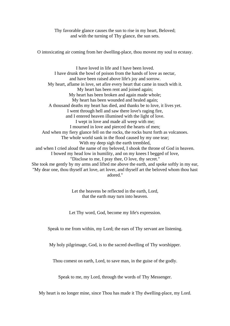Thy favorable glance causes the sun to rise in my heart, Beloved; and with the turning of Thy glance, the sun sets.

O intoxicating air coming from her dwelling-place, thou movest my soul to ecstasy.

I have loved in life and I have been loved. I have drunk the bowl of poison from the hands of love as nectar, and have been raised above life's joy and sorrow. My heart, aflame in love, set afire every heart that came in touch with it. My heart has been rent and joined again; My heart has been broken and again made whole; My heart has been wounded and healed again; A thousand deaths my heart has died, and thanks be to love, it lives yet. I went through hell and saw there love's raging fire, and I entered heaven illumined with the light of love. I wept in love and made all weep with me; I mourned in love and pierced the hearts of men; And when my fiery glance fell on the rocks, the rocks burst forth as volcanoes. The whole world sank in the flood caused by my one tear; With my deep sigh the earth trembled, and when I cried aloud the name of my beloved, I shook the throne of God in heaven. I bowed my head low in humility, and on my knees I begged of love, "Disclose to me, I pray thee, O love, thy secret." She took me gently by my arms and lifted me above the earth, and spoke softly in my ear, "My dear one, thou thyself art love, art lover, and thyself art the beloved whom thou hast adored."

> Let the heavens be reflected in the earth, Lord, that the earth may turn into heaven.

Let Thy word, God, become my life's expression.

Speak to me from within, my Lord; the ears of Thy servant are listening.

My holy pilgrimage, God, is to the sacred dwelling of Thy worshipper.

Thou comest on earth, Lord, to save man, in the guise of the godly.

Speak to me, my Lord, through the words of Thy Messenger.

My heart is no longer mine, since Thou has made it Thy dwelling-place, my Lord.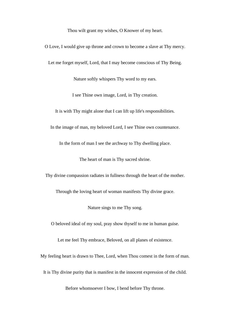Thou wilt grant my wishes, O Knower of my heart.

O Love, I would give up throne and crown to become a slave at Thy mercy.

Let me forget myself, Lord, that I may become conscious of Thy Being.

Nature softly whispers Thy word to my ears.

I see Thine own image, Lord, in Thy creation.

It is with Thy might alone that I can lift up life's responsibilities.

In the image of man, my beloved Lord, I see Thine own countenance.

In the form of man I see the archway to Thy dwelling place.

The heart of man is Thy sacred shrine.

Thy divine compassion radiates in fullness through the heart of the mother.

Through the loving heart of woman manifests Thy divine grace.

Nature sings to me Thy song.

O beloved ideal of my soul, pray show thyself to me in human guise.

Let me feel Thy embrace, Beloved, on all planes of existence.

My feeling heart is drawn to Thee, Lord, when Thou comest in the form of man.

It is Thy divine purity that is manifest in the innocent expression of the child.

Before whomsoever I bow, I bend before Thy throne.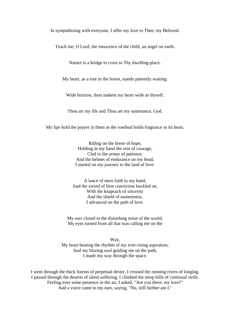In sympathizing with everyone, I offer my love to Thee, my Beloved.

Teach me, O Lord, the innocence of the child, an angel on earth.

Nature is a bridge to cross to Thy dwelling-place.

My heart, as a tree in the forest, stands patiently waiting.

Wide horizon, thou makest my heart wide as thyself.

Thou art my life and Thou art my sustenance, God.

My lips hold the prayer in them as the rosebud holds fragrance in its heart.

Riding on the horse of hope, Holding in my hand the rein of courage, Clad in the armor of patience, And the helmet of endurance on my head, I started on my journey to the land of love.

A lance of stern faith in my hand, And the sword of firm conviction buckled on, With the knapsack of sincerity And the shield of earnestness, I advanced on the path of love.

My ears closed to the disturbing noise of the world, My eyes turned from all that was calling me on the

Way, My heart beating the rhythm of my ever-rising aspiration, And my blazing soul guiding me on the path, I made my way through the space.

I went through the thick forests of perpetual desire, I crossed the running rivers of longing. I passed through the deserts of silent suffering, I climbed the steep hills of continual strife. Feeling ever some presence in the air, I asked, "Are you there, my love?" And a voice came to my ears, saying, "No, still further am I."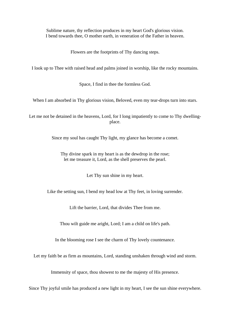Sublime nature, thy reflection produces in my heart God's glorious vision. I bend towards thee, O mother earth, in veneration of the Father in heaven.

Flowers are the footprints of Thy dancing steps.

I look up to Thee with raised head and palms joined in worship, like the rocky mountains.

Space, I find in thee the formless God.

When I am absorbed in Thy glorious vision, Beloved, even my tear-drops turn into stars.

Let me not be detained in the heavens, Lord, for I long impatiently to come to Thy dwellingplace.

Since my soul has caught Thy light, my glance has become a comet.

Thy divine spark in my heart is as the dewdrop in the rose; let me treasure it, Lord, as the shell preserves the pearl.

Let Thy sun shine in my heart.

Like the setting sun, I bend my head low at Thy feet, in loving surrender.

Lift the barrier, Lord, that divides Thee from me.

Thou wilt guide me aright, Lord; I am a child on life's path.

In the blooming rose I see the charm of Thy lovely countenance.

Let my faith be as firm as mountains, Lord, standing unshaken through wind and storm.

Immensity of space, thou showest to me the majesty of His presence.

Since Thy joyful smile has produced a new light in my heart, I see the sun shine everywhere.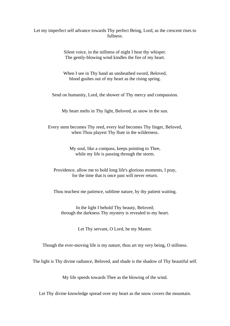Let my imperfect self advance towards Thy perfect Being, Lord, as the crescent rises to fullness.

> Silent voice, in the stillness of night I hear thy whisper. The gently-blowing wind kindles the fire of my heart.

> When I see in Thy hand an unsheathed sword, Beloved, blood gushes out of my heart as the rising spring.

Send on humanity, Lord, the shower of Thy mercy and compassion.

My heart melts in Thy light, Beloved, as snow in the sun.

Every stem becomes Thy reed, every leaf becomes Thy finger, Beloved, when Thou playest Thy flute in the wilderness.

> My soul, like a compass, keeps pointing to Thee, while my life is passing through the storm.

Providence, allow me to hold long life's glorious moments, I pray, for the time that is once past will never return.

Thou teachest me patience, sublime nature, by thy patient waiting.

In the light I behold Thy beauty, Beloved; through the darkness Thy mystery is revealed to my heart.

Let Thy servant, O Lord, be my Master.

Though the ever-moving life is my nature, thou art my very being, O stillness.

The light is Thy divine radiance, Beloved, and shade is the shadow of Thy beautiful self.

My life speeds towards Thee as the blowing of the wind.

Let Thy divine knowledge spread over my heart as the snow covers the mountain.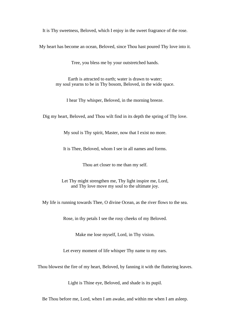It is Thy sweetness, Beloved, which I enjoy in the sweet fragrance of the rose.

My heart has become an ocean, Beloved, since Thou hast poured Thy love into it.

Tree, you bless me by your outstretched hands.

Earth is attracted to earth; water is drawn to water; my soul yearns to be in Thy bosom, Beloved, in the wide space.

I hear Thy whisper, Beloved, in the morning breeze.

Dig my heart, Beloved, and Thou wilt find in its depth the spring of Thy love.

My soul is Thy spirit, Master, now that I exist no more.

It is Thee, Beloved, whom I see in all names and forms.

Thou art closer to me than my self.

Let Thy might strengthen me, Thy light inspire me, Lord, and Thy love move my soul to the ultimate joy.

My life is running towards Thee, O divine Ocean, as the river flows to the sea.

Rose, in thy petals I see the rosy cheeks of my Beloved.

Make me lose myself, Lord, in Thy vision.

Let every moment of life whisper Thy name to my ears.

Thou blowest the fire of my heart, Beloved, by fanning it with the fluttering leaves.

Light is Thine eye, Beloved, and shade is its pupil.

Be Thou before me, Lord, when I am awake, and within me when I am asleep.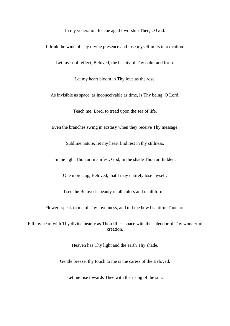In my veneration for the aged I worship Thee, O God.

I drink the wine of Thy divine presence and lose myself in its intoxication.

Let my soul reflect, Beloved, the beauty of Thy color and form.

Let my heart bloom in Thy love as the rose.

As invisible as space, as inconceivable as time, is Thy being, O Lord.

Teach me, Lord, to tread upon the sea of life.

Even the branches swing in ecstasy when they receive Thy message.

Sublime nature, let my heart find rest in thy stillness.

In the light Thou art manifest, God; in the shade Thou art hidden.

One more cup, Beloved, that I may entirely lose myself.

I see the Beloved's beauty in all colors and in all forms.

Flowers speak to me of Thy loveliness, and tell me how beautiful Thou art.

Fill my heart with Thy divine beauty as Thou fillest space with the splendor of Thy wonderful creation.

Heaven has Thy light and the earth Thy shade.

Gentle breeze, thy touch to me is the caress of the Beloved.

Let me rise towards Thee with the rising of the sun.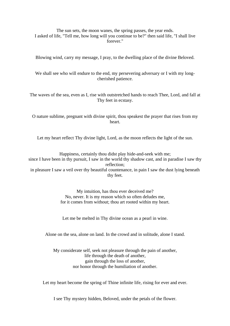The sun sets, the moon wanes, the spring passes, the year ends. I asked of life, "Tell me, how long will you continue to be?" then said life, "I shall live forever."

Blowing wind, carry my message, I pray, to the dwelling place of the divine Beloved.

We shall see who will endure to the end, my persevering adversary or I with my longcherished patience.

The waves of the sea, even as I, rise with outstretched hands to reach Thee, Lord, and fall at Thy feet in ecstasy.

O nature sublime, pregnant with divine spirit, thou speakest the prayer that rises from my heart.

Let my heart reflect Thy divine light, Lord, as the moon reflects the light of the sun.

Happiness, certainly thou didst play hide-and-seek with me; since I have been in thy pursuit, I saw in the world thy shadow cast, and in paradise I saw thy reflection; in pleasure I saw a veil over thy beautiful countenance, in pain I saw the dust lying beneath thy feet.

> My intuition, has thou ever deceived me? No, never. It is my reason which so often deludes me, for it comes from without; thou art rooted within my heart.

Let me be melted in Thy divine ocean as a pearl in wine.

Alone on the sea, alone on land. In the crowd and in solitude, alone I stand.

My considerate self, seek not pleasure through the pain of another, life through the death of another, gain through the loss of another, nor honor through the humiliation of another.

Let my heart become the spring of Thine infinite life, rising for ever and ever.

I see Thy mystery hidden, Beloved, under the petals of the flower.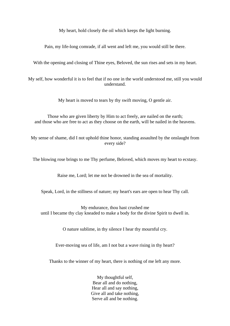My heart, hold closely the oil which keeps the light burning.

Pain, my life-long comrade, if all went and left me, you would still be there.

With the opening and closing of Thine eyes, Beloved, the sun rises and sets in my heart.

My self, how wonderful it is to feel that if no one in the world understood me, still you would understand.

My heart is moved to tears by thy swift moving, O gentle air.

Those who are given liberty by Him to act freely, are nailed on the earth; and those who are free to act as they choose on the earth, will be nailed in the heavens.

My sense of shame, did I not uphold thine honor, standing assaulted by the onslaught from every side?

The blowing rose brings to me Thy perfume, Beloved, which moves my heart to ecstasy.

Raise me, Lord; let me not be drowned in the sea of mortality.

Speak, Lord, in the stillness of nature; my heart's ears are open to hear Thy call.

My endurance, thou hast crushed me until I became thy clay kneaded to make a body for the divine Spirit to dwell in.

O nature sublime, in thy silence I hear thy mournful cry.

Ever-moving sea of life, am I not but a wave rising in thy heart?

Thanks to the winner of my heart, there is nothing of me left any more.

My thoughtful self, Bear all and do nothing, Hear all and say nothing, Give all and take nothing, Serve all and be nothing.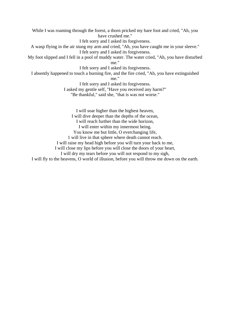While I was roaming through the forest, a thorn pricked my bare foot and cried, "Ah, you have crushed me." I felt sorry and I asked its forgiveness. A wasp flying in the air stung my arm and cried, "Ah, you have caught me in your sleeve." I felt sorry and I asked its forgiveness. My foot slipped and I fell in a pool of muddy water. The water cried, "Ah, you have disturbed me." I felt sorry and I asked its forgiveness. I absently happened to touch a burning fire, and the fire cried, "Ah, you have extinguished me." I felt sorry and I asked its forgiveness. I asked my gentle self, "Have you received any harm?" "Be thankful," said she, "that is was not worse." I will soar higher than the highest heaven, I will dive deeper than the depths of the ocean, I will reach further than the wide horizon, I will enter within my innermost being. You know me but little, O everchanging life, 1 will live in that sphere where death cannot reach. I will raise my head high before you will turn your back to me, I will close my lips before you will close the doors of your heart, I will dry my tears before you will not respond to my sigh, I will fly to the heavens, O world of illusion, before you will throw me down on the earth.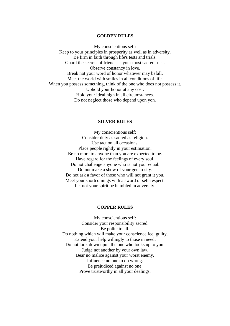#### **GOLDEN RULES**

My conscientious self: Keep to your principles in prosperity as well as in adversity. Be firm in faith through life's tests and trials. Guard the secrets of friends as your most sacred trust. Observe constancy in love. Break not your word of honor whatever may befall. Meet the world with smiles in all conditions of life. When you possess something, think of the one who does not possess it. Uphold your honor at any cost. Hold your ideal high in all circumstances. Do not neglect those who depend upon yon.

#### **SILVER RULES**

My conscientious self: Consider duty as sacred as religion. Use tact on all occasions. Place people rightly in your estimation. Be no more to anyone than you are expected to be. Have regard for the feelings of every soul. Do not challenge anyone who is not your equal. Do not make a show of your generosity. Do not ask a favor of those who will not grant it you. Meet your shortcomings with a sword of self-respect. Let not your spirit be humbled in adversity.

### **COPPER RULES**

My conscientious self: Consider your responsibility sacred. Be polite to all. Do nothing which will make your conscience feel guilty. Extend your help willingly to those in need. Do not look down upon the one who looks up to you. Judge not another by your own law. Bear no malice against your worst enemy. Influence no one to do wrong. Be prejudiced against no one. Prove trustworthy in all your dealings.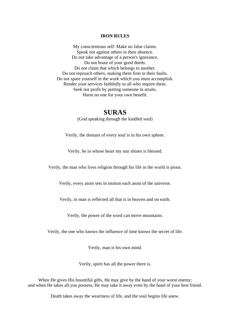#### **IRON RULES**

My conscientious self: Make no false claims. Speak not against others in their absence. Do not take advantage of a person's ignorance. Do not boast of your good deeds. Do not claim that which belongs to another. Do not reproach others, making them firm in their faults. Do not spare yourself in the work which you must accomplish. Render your services faithfully to all who require them. Seek not profit by putting someone in straits. Harm no one for your own benefit.

### **SURAS**

(God speaking through the kindled soul)

Verily, the domain of every soul is in his own sphere.

Verily, he in whose heart my star shines is blessed.

Verily, the man who lives religion through his life in the world is pious.

Verily, every atom sets in motion each atom of the universe.

Verily, in man is reflected all that is in heaven and on earth.

Verily, the power of the word can move mountains.

Verily, the one who knows the influence of time knows the secret of life.

Verily, man is his own mind.

Verily, spirit has all the power there is.

When He gives His bountiful gifts, He may give by the hand of your worst enemy; and when He takes all you possess, He may take it away even by the hand of your best friend.

Death takes away the weariness of life, and the soul begins life anew.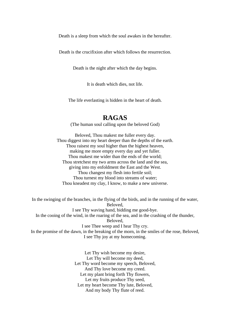Death is a sleep from which the soul awakes in the hereafter.

Death is the crucifixion after which follows the resurrection.

Death is the night after which the day begins.

It is death which dies, not life.

The life everlasting is hidden in the heart of death.

## **RAGAS**

(The human soul calling upon the beloved God)

Beloved, Thou makest me fuller every day. Thou diggest into my heart deeper than the depths of the earth. Thou raisest my soul higher than the highest heaven, making me more empty every day and yet fuller. Thou makest me wider than the ends of the world; Thou stretchest my two arms across the land and the sea, giving into my enfoldment the East and the West. Thou changest my flesh into fertile soil; Thou turnest my blood into streams of water; Thou kneadest my clay, I know, to make a new universe.

In the swinging of the branches, in the flying of the birds, and in the running of the water, Beloved, I see Thy waving hand, bidding me good-bye. In the cooing of the wind, in the roaring of the sea, and in the crashing of the thunder, Beloved, I see Thee weep and I hear Thy cry. In the promise of the dawn, in the breaking of the morn, in the smiles of the rose, Beloved, I see Thy joy at my homecoming.

> Let Thy wish become my desire, Let Thy will become my deed, Let Thy word become my speech, Beloved, And Thy love become my creed. Let my plant bring forth Thy flowers, Let my fruits produce Thy seed, Let my heart become Thy lute, Beloved, And my body Thy flute of reed.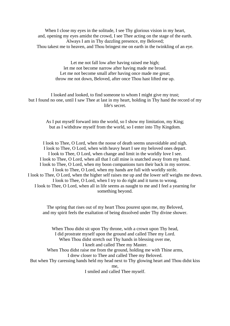When I close my eyes in the solitude, I see Thy glorious vision in my heart, and, opening my eyes amidst the crowd, I see Thee acting on the stage of the earth. Always I am in Thy dazzling presence, my Beloved; Thou takest me to heaven, and Thou bringest me on earth in the twinkling of an eye.

> Let me not fall low after having raised me high; let me not become narrow after having made me broad. Let me not become small after having once made me great; throw me not down, Beloved, after once Thou hast lifted me up.

I looked and looked, to find someone to whom I might give my trust; but I found no one, until I saw Thee at last in my heart, holding in Thy hand the record of my life's secret.

> As I put myself forward into the world, so I show my limitation, my King; but as I withdraw myself from the world, so I enter into Thy Kingdom.

I look to Thee, O Lord, when the noose of death seems unavoidable and nigh. I look to Thee, O Lord, when with heavy heart I see my beloved ones depart. I look to Thee, O Lord, when change and limit in the worldly love I see. I look to Thee, O Lord, when all that I call mine is snatched away from my hand. I look to Thee, O Lord, when my boon companions turn their back in my sorrow. I look to Thee, O Lord, when my hands are full with worldly strife. I look to Thee, O Lord, when the higher self raises me up and the lower self weighs me down. I look to Thee, O Lord, when I try to do right and it turns to wrong. I look to Thee, O Lord, when all in life seems as naught to me and I feel a yearning for something beyond.

The spring that rises out of my heart Thou pourest upon me, my Beloved, and my spirit feels the exaltation of being dissolved under Thy divine shower.

When Thou didst sit upon Thy throne, with a crown upon Thy head, I did prostrate myself upon the ground and called Thee my Lord. When Thou didst stretch out Thy hands in blessing over me, I knelt and called Thee my Master. When Thou didst raise me from the ground, holding me with Thine arms, I drew closer to Thee and called Thee my Beloved. But when Thy caressing hands held my head next to Thy glowing heart and Thou didst kiss me,

I smiled and called Thee myself.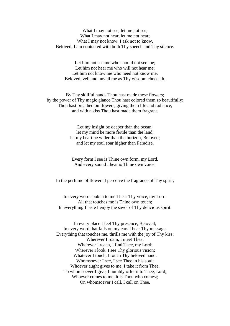What I may not see, let me not see; What I may not hear, let me not hear; What I may not know. I ask not to know. Beloved, I am contented with both Thy speech and Thy silence.

Let him not see me who should not see me; Let him not hear me who will not hear me; Let him not know me who need not know me. Beloved, veil and unveil me as Thy wisdom chooseth.

By Thy skillful hands Thou hast made these flowers; by the power of Thy magic glance Thou hast colored them so beautifully: Thou hast breathed on flowers, giving them life and radiance, and with a kiss Thou hast made them fragrant.

> Let my insight be deeper than the ocean; let my mind be more fertile than the land; let my heart be wider than the horizon, Beloved; and let my soul soar higher than Paradise.

Every form I see is Thine own form, my Lord, And every sound I hear is Thine own voice;

In the perfume of flowers I perceive the fragrance of Thy spirit;

In every word spoken to me I hear Thy voice, my Lord. All that touches me is Thine own touch; In everything I taste I enjoy the savor of Thy delicious spirit.

In every place I feel Thy presence, Beloved; In every word that falls on my ears I hear Thy message. Everything that touches me, thrills me with the joy of Thy kiss; Wherever I roam, I meet Thee; Wherever I reach, I find Thee, my Lord; Wherever I look, I see Thy glorious vision; Whatever I touch, I touch Thy beloved hand. Whomsoever I see, I see Thee in his soul; Whoever aught gives to me, I take it from Thee. To whomsoever I give, I humbly offer it to Thee, Lord; Whoever comes to me, it is Thou who comest; On whomsoever I call, I call on Thee.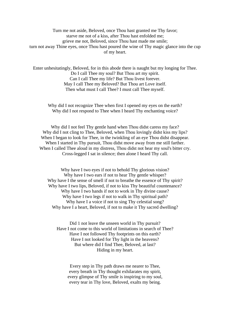Turn me not aside, Beloved, once Thou hast granted me Thy favor; starve me not of a kiss, after Thou hast enfolded me; grieve me not, Beloved, since Thou hast made me smile; turn not away Thine eyes, once Thou hast poured the wine of Thy magic glance into the cup of my heart.

Enter unhesitatingly, Beloved, for in this abode there is naught but my longing for Thee. Do I call Thee my soul? But Thou art my spirit. Can I call Thee my life? But Thou livest forever. May I call Thee my Beloved? But Thou art Love itself. Then what must I call Thee? I must call Thee myself.

Why did I not recognize Thee when first I opened my eyes on the earth? Why did I not respond to Thee when I heard Thy enchanting voice?

Why did I not feel Thy gentle hand when Thou didst caress my face? Why did I not cling to Thee, Beloved, when Thou lovingly didst kiss my lips? When I began to look for Thee, in the twinkling of an eye Thou didst disappear. When I started in Thy pursuit, Thou didst move away from me still farther. When I called Thee aloud in my distress, Thou didst not hear my soul's bitter cry. Cross-legged I sat in silence; then alone I heard Thy call.

Why have I two eyes if not to behold Thy glorious vision? Why have I two ears if not to hear Thy gentle whisper? Why have I the sense of smell if not to breathe the essence of Thy spirit? Why have I two lips, Beloved, if not to kiss Thy beautiful countenance? Why have I two hands if not to work in Thy divine cause? Why have I two legs if not to walk in Thy spiritual path? Why have I a voice if not to sing Thy celestial song? Why have I a heart, Beloved, if not to make it Thy sacred dwelling?

Did 1 not leave the unseen world in Thy pursuit? Have I not come to this world of limitations in search of Thee? Have I not followed Thy footprints on this earth? Have I not looked for Thy light in the heavens? But where did I find Thee, Beloved, at last? Hiding in my heart.

Every step in Thy path draws me nearer to Thee, every breath in Thy thought exhilarates my spirit, every glimpse of Thy smile is inspiring to my soul, every tear in Thy love, Beloved, exalts my being.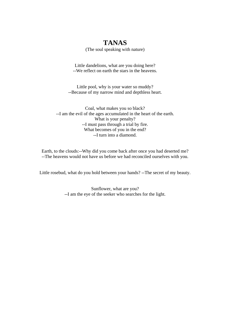## **TANAS**

(The soul speaking with nature)

Little dandelions, what are you doing here? --We reflect on earth the stars in the heavens.

Little pool, why is your water so muddy? --Because of my narrow mind and depthless heart.

Coal, what makes you so black? --I am the evil of the ages accumulated in the heart of the earth. What is your penalty? --I must pass through a trial by fire. What becomes of you in the end? --I turn into a diamond.

Earth, to the clouds:--Why did you come back after once you had deserted me? --The heavens would not have us before we had reconciled ourselves with you.

Little rosebud, what do you hold between your hands? --The secret of my beauty.

Sunflower, what are you? --I am the eye of the seeker who searches for the light.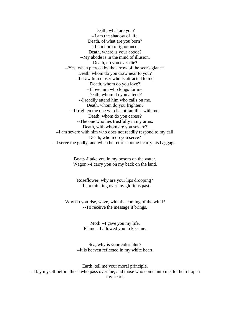Death, what are you? --I am the shadow of life. Death, of what are you born? --I am born of ignorance. Death, where is your abode? --My abode is in the mind of illusion. Death, do you ever die? --Yes, when pierced by the arrow of the seer's glance. Death, whom do you draw near to you? --I draw him closer who is attracted to me. Death, whom do you love? --I love him who longs for me. Death, whom do you attend? --I readily attend him who calls on me. Death, whom do you frighten? --I frighten the one who is not familiar with me. Death, whom do you caress? --The one who lies trustfully in my arms. Death, with whom are you severe? --I am severe with him who does not readily respond to my call. Death, whom do you serve? --I serve the godly, and when he returns home I carry his baggage.

> Boat:--I take you in my bosom on the water. Wagon:--I carry you on my back on the land.

Roseflower, why are your lips drooping? --I am thinking over my glorious past.

Why do you rise, wave, with the coming of the wind? --To receive the message it brings.

> Moth:--I gave you my life. Flame:--I allowed you to kiss me.

Sea, why is your color blue? --It is heaven reflected in my white heart.

Earth, tell me your moral principle. --I lay myself before those who pass over me, and those who come unto me, to them I open my heart.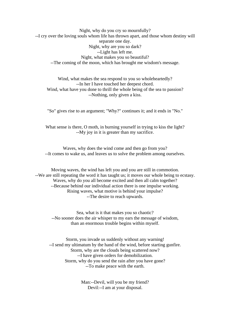Night, why do you cry so mournfully? --I cry over the loving souls whom life has thrown apart, and those whom destiny will separate one day. Night, why are you so dark? --Light has left me. Night, what makes you so beautiful? --The coming of the moon, which has brought me wisdom's message.

Wind, what makes the sea respond to you so wholeheartedly? --In her I have touched her deepest chord. Wind, what have you done to thrill the whole being of the sea to passion? --Nothing, only given a kiss.

"So" gives rise to an argument; "Why?" continues it; and it ends in "No."

What sense is there, O moth, in burning yourself in trying to kiss the light? --My joy in it is greater than my sacrifice.

Waves, why does the wind come and then go from you? --It comes to wake us, and leaves us to solve the problem among ourselves.

Moving waves, the wind has left you and you are still in commotion. --We are still repeating the word it has taught us; it moves our whole being to ecstasy. Waves, why do you all become excited and then all calm together? --Because behind our individual action there is one impulse working. Rising waves, what motive is behind your impulse? --The desire to reach upwards.

Sea, what is it that makes you so chaotic? --No sooner does the air whisper to my ears the message of wisdom, than an enormous trouble begins within myself.

Storm, you invade us suddenly without any warning! --I send my ultimatum by the hand of the wind, before starting gunfire. Storm, why are the clouds being scattered now? --I have given orders for demobilization. Storm, why do you send the rain after you have gone? --To make peace with the earth.

> Man:--Devil, will you be my friend? Devil:--I am at your disposal.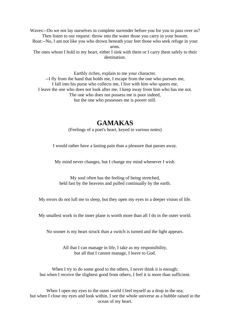Waves:--Do we not lay ourselves in complete surrender before you for you to pass over us? Then listen to our request: throw into the water those you carry in your bosom.

Boat:--No, I am not like you who drown beneath your feet those who seek refuge in your arms.

The ones whom I hold in my heart, either I sink with them or I carry them safely to their destination.

Earthly riches, explain to me your character. --I fly from the hand that holds me, I escape from the one who pursues me, I fall into his purse who collects me, I live with him who spares me, I leave the one who does not look after me, I keep away from him who has me not. The one who does not possess me is poor indeed, but the one who possesses me is poorer still.

### **GAMAKAS**

(Feelings of a poet's heart, keyed to various notes)

I would rather have a lasting pain than a pleasure that passes away.

My mind never changes, but I change my mind whenever I wish.

My soul often has the feeling of being stretched, held fast by the heavens and pulled continually by the earth.

My errors do not lull me to sleep, but they open my eyes to a deeper vision of life.

My smallest work in the inner plane is worth more than all I do in the outer world.

No sooner is my heart struck than a switch is turned and the light appears.

All that I can manage in life, I take as my responsibility, but all that I cannot manage, I leave to God.

When I try to do some good to the others. I never think it is enough: but when I receive the slightest good from others, I feel it is more than sufficient.

When I open my eyes to the outer world I feel myself as a drop in the sea; but when I close my eyes and look within, I see the whole universe as a bubble raised in the ocean of my heart.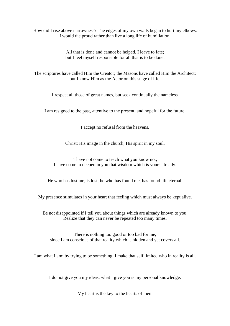How did I rise above narrowness? The edges of my own walls began to hurt my elbows. I would die proud rather than live a long life of humiliation.

> All that is done and cannot be helped, I leave to fate; but I feel myself responsible for all that is to be done.

The scriptures have called Him the Creator; the Masons have called Him the Architect; but I know Him as the Actor on this stage of life.

1 respect all those of great names, but seek continually the nameless.

I am resigned to the past, attentive to the present, and hopeful for the future.

I accept no refusal from the heavens.

Christ: His image in the church, His spirit in my soul.

1 have not come to teach what you know not; I have come to deepen in you that wisdom which is yours already.

He who has lost me, is lost; he who has found me, has found life eternal.

My presence stimulates in your heart that feeling which must always be kept alive.

Be not disappointed if I tell you about things which are already known to you. Realize that they can never be repeated too many times.

There is nothing too good or too bad for me, since I am conscious of that reality which is hidden and yet covers all.

I am what I am; by trying to be something, I make that self limited who in reality is all.

I do not give you my ideas; what I give you is my personal knowledge.

My heart is the key to the hearts of men.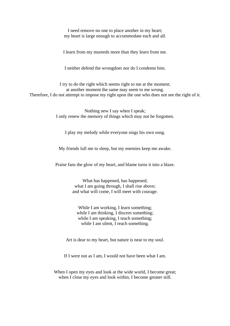I need remove no one to place another in my heart; my heart is large enough to accommodate each and all.

I learn from my mureeds more than they learn from me.

I neither defend the wrongdoer nor do I condemn him.

I try to do the right which seems right to me at the moment; at another moment the same may seem to me wrong. Therefore, I do not attempt to impose my right upon the one who does not see the right of it.

> Nothing new I say when I speak; I only renew the memory of things which may not be forgotten.

I play my melody while everyone sings his own song.

My friends lull me to sleep, but my enemies keep me awake.

Praise fans the glow of my heart, and blame turns it into a blaze.

What has happened, has happened; what I am going through, I shall rise above; and what will come, I will meet with courage.

While I am working, I learn something; while I am thinking, I discern something; while I am speaking, I teach something; while I am silent, I reach something.

Art is dear to my heart, but nature is near to my soul.

If I were not as I am, I would not have been what I am.

When I open my eyes and look at the wide world, I become great; when I close my eyes and look within, I become greater still.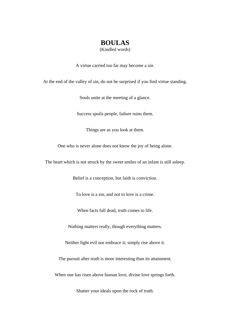# **BOULAS**

(Kindled words)

A virtue carried too far may become a sin.

At the end of the valley of sin, do not be surprised if you find virtue standing.

Souls unite at the meeting of a glance.

Success spoils people, failure ruins them.

Things are as you look at them.

One who is never alone does not know the joy of being alone.

The heart which is not struck by the sweet smiles of an infant is still asleep.

Belief is a conception, but faith is conviction.

To love is a sin, and not to love is a crime.

When facts fall dead, truth comes to life.

Nothing matters really, though everything matters.

Neither fight evil nor embrace it; simply rise above it.

The pursuit after truth is more interesting than its attainment.

When one has risen above human love, divine love springs forth.

Shatter your ideals upon the rock of truth.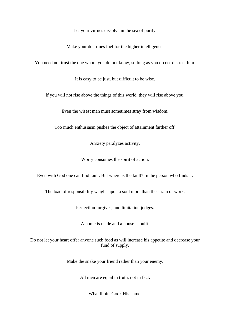Let your virtues dissolve in the sea of purity.

Make your doctrines fuel for the higher intelligence.

You need not trust the one whom you do not know, so long as you do not distrust him.

It is easy to be just, but difficult to be wise.

If you will not rise above the things of this world, they will rise above you.

Even the wisest man must sometimes stray from wisdom.

Too much enthusiasm pushes the object of attainment farther off.

Anxiety paralyzes activity.

Worry consumes the spirit of action.

Even with God one can find fault. But where is the fault? In the person who finds it.

The load of responsibility weighs upon a soul more than the strain of work.

Perfection forgives, and limitation judges.

A home is made and a house is built.

Do not let your heart offer anyone such food as will increase his appetite and decrease your fund of supply.

Make the snake your friend rather than your enemy.

All men are equal in truth, not in fact.

What limits God? His name.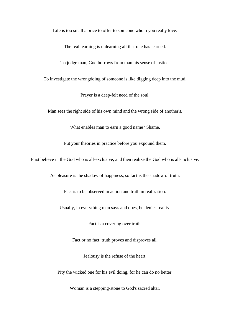Life is too small a price to offer to someone whom you really love.

The real learning is unlearning all that one has learned.

To judge man, God borrows from man his sense of justice.

To investigate the wrongdoing of someone is like digging deep into the mud.

Prayer is a deep-felt need of the soul.

Man sees the right side of his own mind and the wrong side of another's.

What enables man to earn a good name? Shame.

Put your theories in practice before you expound them.

First believe in the God who is all-exclusive, and then realize the God who is all-inclusive.

As pleasure is the shadow of happiness, so fact is the shadow of truth.

Fact is to be observed in action and truth in realization.

Usually, in everything man says and does, he denies reality.

Fact is a covering over truth.

Fact or no fact, truth proves and disproves all.

Jealousy is the refuse of the heart.

Pity the wicked one for his evil doing, for he can do no better.

Woman is a stepping-stone to God's sacred altar.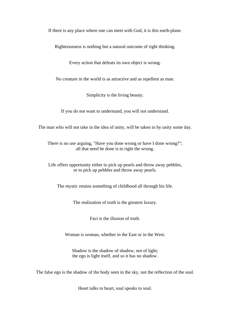If there is any place where one can meet with God, it is this earth-plane.

Righteousness is nothing but a natural outcome of right thinking.

Every action that defeats its own object is wrong.

No creature in the world is as attractive and as repellent as man.

Simplicity is the living beauty.

If you do not want to understand, you will not understand.

The man who will not take in the idea of unity, will be taken in by unity some day.

There is no use arguing, "Have you done wrong or have I done wrong?"; all that need be done is to right the wrong.

Life offers opportunity either to pick up pearls and throw away pebbles, or to pick up pebbles and throw away pearls.

The mystic retains something of childhood all through his life.

The realization of truth is the greatest luxury.

Fact is the illusion of truth.

Woman is woman, whether in the East or in the West.

Shadow is the shadow of shadow, not of light; the ego is light itself, and so it has no shadow.

The false ego is the shadow of the body seen in the sky, not the reflection of the soul.

Heart talks to heart, soul speaks to soul.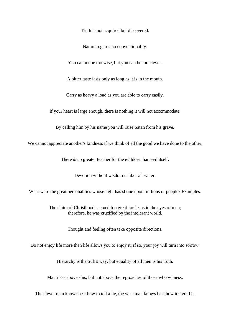Truth is not acquired but discovered.

Nature regards no conventionality.

You cannot be too wise, but you can be too clever.

A bitter taste lasts only as long as it is in the mouth.

Carry as heavy a load as you are able to carry easily.

If your heart is large enough, there is nothing it will not accommodate.

By calling him by his name you will raise Satan from his grave.

We cannot appreciate another's kindness if we think of all the good we have done to the other.

There is no greater teacher for the evildoer than evil itself.

Devotion without wisdom is like salt water.

What were the great personalities whose light has shone upon millions of people? Examples.

The claim of Christhood seemed too great for Jesus in the eyes of men; therefore, he was crucified by the intolerant world.

Thought and feeling often take opposite directions.

Do not enjoy life more than life allows you to enjoy it; if so, your joy will turn into sorrow.

Hierarchy is the Sufi's way, but equality of all men is his truth.

Man rises above sins, but not above the reproaches of those who witness.

The clever man knows best how to tell a lie, the wise man knows best how to avoid it.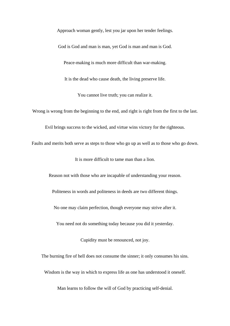Approach woman gently, lest you jar upon her tender feelings.

God is God and man is man, yet God is man and man is God.

Peace-making is much more difficult than war-making.

It is the dead who cause death, the living preserve life.

You cannot live truth; you can realize it.

Wrong is wrong from the beginning to the end, and right is right from the first to the last.

Evil brings success to the wicked, and virtue wins victory for the righteous.

Faults and merits both serve as steps to those who go up as well as to those who go down.

It is more difficult to tame man than a lion.

Reason not with those who are incapable of understanding your reason.

Politeness in words and politeness in deeds are two different things.

No one may claim perfection, though everyone may strive after it.

You need not do something today because you did it yesterday.

Cupidity must be renounced, not joy.

The burning fire of hell does not consume the sinner; it only consumes his sins.

Wisdom is the way in which to express life as one has understood it oneself.

Man learns to follow the will of God by practicing self-denial.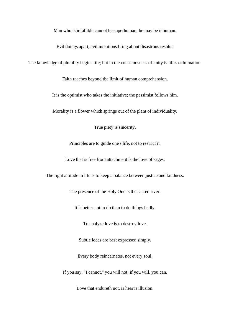Man who is infallible cannot be superhuman; he may be inhuman.

Evil doings apart, evil intentions bring about disastrous results.

The knowledge of plurality begins life; but in the consciousness of unity is life's culmination.

Faith reaches beyond the limit of human comprehension.

It is the optimist who takes the initiative; the pessimist follows him.

Morality is a flower which springs out of the plant of individuality.

True piety is sincerity.

Principles are to guide one's life, not to restrict it.

Love that is free from attachment is the love of sages.

The right attitude in life is to keep a balance between justice and kindness.

The presence of the Holy One is the sacred river.

It is better not to do than to do things badly.

To analyze love is to destroy love.

Subtle ideas are best expressed simply.

Every body reincarnates, not every soul.

If you say, "I cannot," you will not; if you will, you can.

Love that endureth not, is heart's illusion.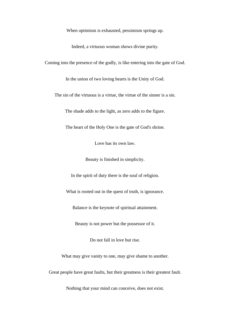When optimism is exhausted, pessimism springs up.

Indeed, a virtuous woman shows divine purity.

Coming into the presence of the godly, is like entering into the gate of God.

In the union of two loving hearts is the Unity of God.

The sin of the virtuous is a virtue, the virtue of the sinner is a sin.

The shade adds to the light, as zero adds to the figure.

The heart of the Holy One is the gate of God's shrine.

Love has its own law.

Beauty is finished in simplicity.

In the spirit of duty there is the soul of religion.

What is rooted out in the quest of truth, is ignorance.

Balance is the keynote of spiritual attainment.

Beauty is not power but the possessor of it.

Do not fall in love but rise.

What may give vanity to one, may give shame to another.

Great people have great faults, but their greatness is their greatest fault.

Nothing that your mind can conceive, does not exist.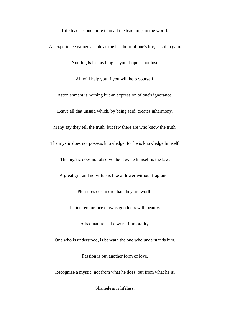Life teaches one more than all the teachings in the world.

An experience gained as late as the last hour of one's life, is still a gain.

Nothing is lost as long as your hope is not lost.

All will help you if you will help yourself.

Astonishment is nothing but an expression of one's ignorance.

Leave all that unsaid which, by being said, creates inharmony.

Many say they tell the truth, but few there are who know the truth.

The mystic does not possess knowledge, for he is knowledge himself.

The mystic does not observe the law; he himself is the law.

A great gift and no virtue is like a flower without fragrance.

Pleasures cost more than they are worth.

Patient endurance crowns goodness with beauty.

A bad nature is the worst immorality.

One who is understood, is beneath the one who understands him.

Passion is but another form of love.

Recognize a mystic, not from what he does, but from what he is.

Shameless is lifeless.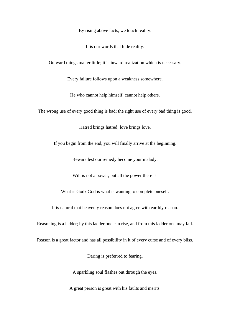By rising above facts, we touch reality.

It is our words that hide reality.

Outward things matter little; it is inward realization which is necessary.

Every failure follows upon a weakness somewhere.

He who cannot help himself, cannot help others.

The wrong use of every good thing is bad; the right use of every bad thing is good.

Hatred brings hatred; love brings love.

If you begin from the end, you will finally arrive at the beginning.

Beware lest our remedy become your malady.

Will is not a power, but all the power there is.

What is God? God is what is wanting to complete oneself.

It is natural that heavenly reason does not agree with earthly reason.

Reasoning is a ladder; by this ladder one can rise, and from this ladder one may fall.

Reason is a great factor and has all possibility in it of every curse and of every bliss.

Daring is preferred to fearing.

A sparkling soul flashes out through the eyes.

A great person is great with his faults and merits.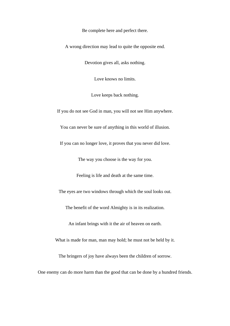Be complete here and perfect there.

A wrong direction may lead to quite the opposite end.

Devotion gives all, asks nothing.

Love knows no limits.

Love keeps back nothing.

If you do not see God in man, you will not see Him anywhere.

You can never be sure of anything in this world of illusion.

If you can no longer love, it proves that you never did love.

The way you choose is the way for you.

Feeling is life and death at the same time.

The eyes are two windows through which the soul looks out.

The benefit of the word Almighty is in its realization.

An infant brings with it the air of heaven on earth.

What is made for man, man may hold; he must not be held by it.

The bringers of joy have always been the children of sorrow.

One enemy can do more harm than the good that can be done by a hundred friends.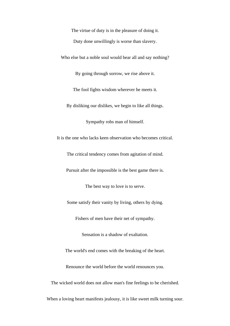The virtue of duty is in the pleasure of doing it. Duty done unwillingly is worse than slavery.

Who else but a noble soul would bear all and say nothing?

By going through sorrow, we rise above it.

The fool fights wisdom wherever he meets it.

By disliking our dislikes, we begin to like all things.

Sympathy robs man of himself.

It is the one who lacks keen observation who becomes critical.

The critical tendency comes from agitation of mind.

Pursuit after the impossible is the best game there is.

The best way to love is to serve.

Some satisfy their vanity by living, others by dying.

Fishers of men have their net of sympathy.

Sensation is a shadow of exaltation.

The world's end comes with the breaking of the heart.

Renounce the world before the world renounces you.

The wicked world does not allow man's fine feelings to be cherished.

When a loving heart manifests jealousy, it is like sweet milk turning sour.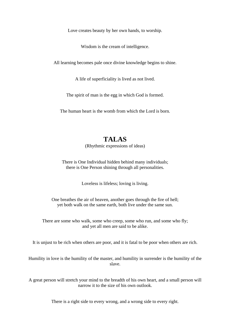Love creates beauty by her own hands, to worship.

Wisdom is the cream of intelligence.

All learning becomes pale once divine knowledge begins to shine.

A life of superficiality is lived as not lived.

The spirit of man is the egg in which God is formed.

The human heart is the womb from which the Lord is born.

## **TALAS**

(Rhythmic expressions of ideas)

There is One Individual hidden behind many individuals; there is One Person shining through all personalities.

Loveless is lifeless; loving is living.

One breathes the air of heaven, another goes through the fire of hell; yet both walk on the same earth, both live under the same sun.

There are some who walk, some who creep, some who run, and some who fly; and yet all men are said to be alike.

It is unjust to be rich when others are poor, and it is fatal to be poor when others are rich.

Humility in love is the humility of the master, and humility in surrender is the humility of the slave.

A great person will stretch your mind to the breadth of his own heart, and a small person will narrow it to the size of his own outlook.

There is a right side to every wrong, and a wrong side to every right.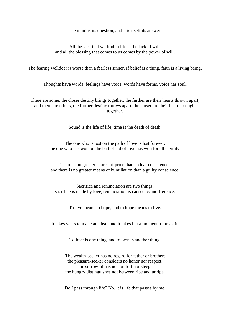The mind is its question, and it is itself its answer.

All the lack that we find in life is the lack of will, and all the blessing that comes to us comes by the power of will.

The fearing welldoer is worse than a fearless sinner. If belief is a thing, faith is a living being.

Thoughts have words, feelings have voice, words have forms, voice has soul.

There are some, the closer destiny brings together, the further are their hearts thrown apart; and there are others, the further destiny throws apart, the closer are their hearts brought together.

Sound is the life of life; time is the death of death.

The one who is lost on the path of love is lost forever; the one who has won on the battlefield of love has won for all eternity.

There is no greater source of pride than a clear conscience; and there is no greater means of humiliation than a guilty conscience.

Sacrifice and renunciation are two things; sacrifice is made by love, renunciation is caused by indifference.

To live means to hope, and to hope means to live.

It takes years to make an ideal, and it takes but a moment to break it.

To love is one thing, and to own is another thing.

The wealth-seeker has no regard for father or brother; the pleasure-seeker considers no honor nor respect; the sorrowful has no comfort nor sleep; the hungry distinguishes not between ripe and unripe.

Do I pass through life? No, it is life that passes by me.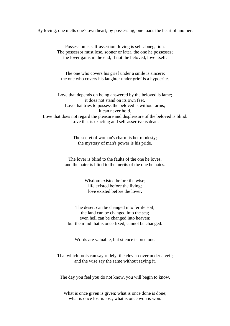By loving, one melts one's own heart; by possessing, one loads the heart of another.

Possession is self-assertion; loving is self-abnegation. The possessor must lose, sooner or later, the one he possesses; the lover gains in the end, if not the beloved, love itself.

The one who covers his grief under a smile is sincere; the one who covers his laughter under grief is a hypocrite.

Love that depends on being answered by the beloved is lame; it does not stand on its own feet. Love that tries to possess the beloved is without arms; it can never hold. Love that does not regard the pleasure and displeasure of the beloved is blind. Love that is exacting and self-assertive is dead.

> The secret of woman's charm is her modesty; the mystery of man's power is his pride.

The lover is blind to the faults of the one he loves, and the hater is blind to the merits of the one he hates.

> Wisdom existed before the wise; life existed before the living; love existed before the lover.

The desert can be changed into fertile soil; the land can be changed into the sea; even hell can be changed into heaven; but the mind that is once fixed, cannot be changed.

Words are valuable, but silence is precious.

That which fools can say rudely, the clever cover under a veil; and the wise say the same without saying it.

The day you feel you do not know, you will begin to know.

What is once given is given; what is once done is done; what is once lost is lost; what is once won is won.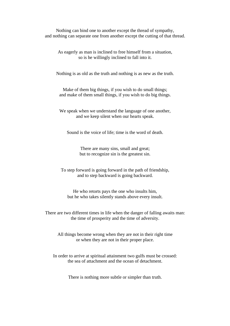Nothing can bind one to another except the thread of sympathy, and nothing can separate one from another except the cutting of that thread.

As eagerly as man is inclined to free himself from a situation, so is he willingly inclined to fall into it.

Nothing is as old as the truth and nothing is as new as the truth.

Make of them big things, if you wish to do small things; and make of them small things, if you wish to do big things.

We speak when we understand the language of one another, and we keep silent when our hearts speak.

Sound is the voice of life; time is the word of death.

There are many sins, small and great; but to recognize sin is the greatest sin.

To step forward is going forward in the path of friendship, and to step backward is going backward.

He who retorts pays the one who insults him, but he who takes silently stands above every insult.

There are two different times in life when the danger of falling awaits man: the time of prosperity and the time of adversity.

All things become wrong when they are not in their right time or when they are not in their proper place.

In order to arrive at spiritual attainment two gulfs must be crossed: the sea of attachment and the ocean of detachment.

There is nothing more subtle or simpler than truth.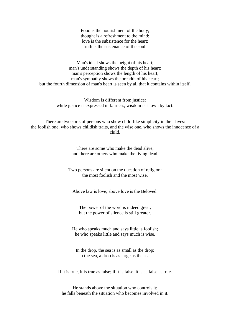Food is the nourishment of the body; thought is a refreshment to the mind; love is the subsistence for the heart; truth is the sustenance of the soul.

Man's ideal shows the height of his heart; man's understanding shows the depth of his heart; man's perception shows the length of his heart; man's sympathy shows the breadth of his heart; but the fourth dimension of man's heart is seen by all that it contains within itself.

> Wisdom is different from justice: while justice is expressed in fairness, wisdom is shown by tact.

There are two sorts of persons who show child-like simplicity in their lives: the foolish one, who shows childish traits, and the wise one, who shows the innocence of a child.

> There are some who make the dead alive, and there are others who make the living dead.

Two persons are silent on the question of religion: the most foolish and the most wise.

Above law is love; above love is the Beloved.

The power of the word is indeed great, but the power of silence is still greater.

He who speaks much and says little is foolish; he who speaks little and says much is wise.

In the drop, the sea is as small as the drop; in the sea, a drop is as large as the sea.

If it is true, it is true as false; if it is false, it is as false as true.

He stands above the situation who controls it; he falls beneath the situation who becomes involved in it.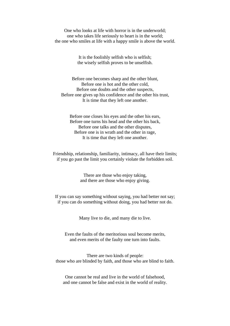One who looks at life with horror is in the underworld; one who takes life seriously to heart is in the world; the one who smiles at life with a happy smile is above the world.

> It is the foolishly selfish who is selfish; the wisely selfish proves to be unselfish.

Before one becomes sharp and the other blunt, Before one is hot and the other cold, Before one doubts and the other suspects, Before one gives up his confidence and the other his trust, It is time that they left one another.

Before one closes his eyes and the other his ears, Before one turns his head and the other his back, Before one talks and the other disputes, Before one is in wrath and the other in rage, It is time that they left one another.

Friendship, relationship, familiarity, intimacy, all have their limits; if you go past the limit you certainly violate the forbidden soil.

> There are those who enjoy taking, and there are those who enjoy giving.

If you can say something without saying, you had better not say; if you can do something without doing, you had better not do.

Many live to die, and many die to live.

Even the faults of the meritorious soul become merits, and even merits of the faulty one turn into faults.

There are two kinds of people: those who are blinded by faith, and those who are blind to faith.

One cannot be real and live in the world of falsehood, and one cannot be false and exist in the world of reality.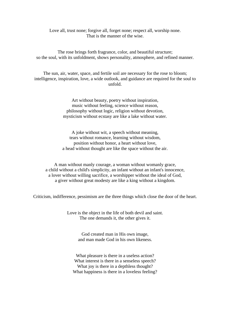Love all, trust none; forgive all, forget none; respect all, worship none. That is the manner of the wise.

The rose brings forth fragrance, color, and beautiful structure; so the soul, with its unfoldment, shows personality, atmosphere, and refined manner.

The sun, air, water, space, and fertile soil are necessary for the rose to bloom; intelligence, inspiration, love, a wide outlook, and guidance are required for the soul to unfold.

> Art without beauty, poetry without inspiration, music without feeling, science without reason, philosophy without logic, religion without devotion, mysticism without ecstasy are like a lake without water.

> A joke without wit, a speech without meaning, tears without romance, learning without wisdom, position without honor, a heart without love, a head without thought are like the space without the air.

A man without manly courage, a woman without womanly grace, a child without a child's simplicity, an infant without an infant's innocence, a lover without willing sacrifice, a worshipper without the ideal of God, a giver without great modesty are like a king without a kingdom.

Criticism, indifference, pessimism are the three things which close the door of the heart.

Love is the object in the life of both devil and saint. The one demands it, the other gives it.

> God created man in His own image, and man made God in his own likeness.

What pleasure is there in a useless action? What interest is there in a senseless speech? What joy is there in a depthless thought? What happiness is there in a loveless feeling?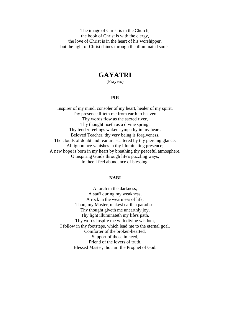The image of Christ is in the Church, the book of Christ is with the clergy, the love of Christ is in the heart of his worshipper, but the light of Christ shines through the illuminated souls.

# **GAYATRI**

(Prayers)

#### **PIR**

Inspirer of my mind, consoler of my heart, healer of my spirit, Thy presence lifteth me from earth to heaven, Thy words flow as the sacred river, Thy thought riseth as a divine spring, Thy tender feelings waken sympathy in my heart. Beloved Teacher, thy very being is forgiveness. The clouds of doubt and fear are scattered by thy piercing glance; All ignorance vanishes in thy illuminating presence; A new hope is born in my heart by breathing thy peaceful atmosphere. O inspiring Guide through life's puzzling ways, In thee I feel abundance of blessing.

### **NABI**

A torch in the darkness, A staff during my weakness, A rock in the weariness of life, Thou, my Master, makest earth a paradise. Thy thought giveth me unearthly joy, Thy light illuminateth my life's path, Thy words inspire me with divine wisdom, I follow in thy footsteps, which lead me to the eternal goal. Comforter of the broken-hearted, Support of those in need, Friend of the lovers of truth, Blessed Master, thou art the Prophet of God.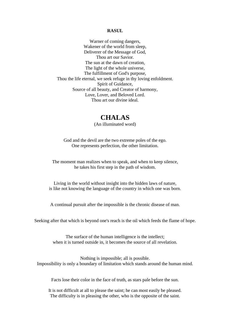#### **RASUL**

Warner of coming dangers, Wakener of the world from sleep, Deliverer of the Message of God, Thou art our Savior. The sun at the dawn of creation, The light of the whole universe, The fulfillment of God's purpose, Thou the life eternal, we seek refuge in thy loving enfoldment. Spirit of Guidance, Source of all beauty, and Creator of harmony, Love, Lover, and Beloved Lord. Thou art our divine ideal.

### **CHALAS**

(An illuminated word)

God and the devil are the two extreme poles of the ego. One represents perfection, the other limitation.

The moment man realizes when to speak, and when to keep silence, he takes his first step in the path of wisdom.

Living in the world without insight into the hidden laws of nature, is like not knowing the language of the country in which one was born.

A continual pursuit after the impossible is the chronic disease of man.

Seeking after that which is beyond one's reach is the oil which feeds the flame of hope.

The surface of the human intelligence is the intellect; when it is turned outside in, it becomes the source of all revelation.

Nothing is impossible; all is possible. Impossibility is only a boundary of limitation which stands around the human mind.

Facts lose their color in the face of truth, as stars pale before the sun.

It is not difficult at all to please the saint; he can most easily be pleased. The difficulty is in pleasing the other, who is the opposite of the saint.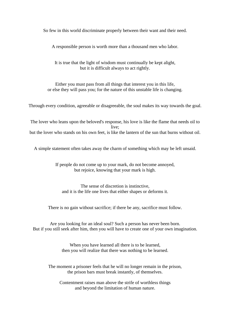So few in this world discriminate properly between their want and their need.

A responsible person is worth more than a thousand men who labor.

It is true that the light of wisdom must continually be kept alight, but it is difficult always to act rightly.

Either you must pass from all things that interest you in this life, or else they will pass you; for the nature of this unstable life is changing.

Through every condition, agreeable or disagreeable, the soul makes its way towards the goal.

The lover who leans upon the beloved's response, his love is like the flame that needs oil to live; but the lover who stands on his own feet, is like the lantern of the sun that burns without oil.

A simple statement often takes away the charm of something which may be left unsaid.

If people do not come up to your mark, do not become annoyed, but rejoice, knowing that your mark is high.

The sense of discretion is instinctive, and it is the life one lives that either shapes or deforms it.

There is no gain without sacrifice; if there be any, sacrifice must follow.

Are you looking for an ideal soul? Such a person has never been born. But if you still seek after him, then you will have to create one of your own imagination.

> When you have learned all there is to be learned, then you will realize that there was nothing to be learned.

The moment a prisoner feels that he will no longer remain in the prison, the prison bars must break instantly, of themselves.

Contentment raises man above the strife of worthless things and beyond the limitation of human nature.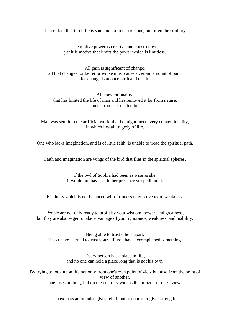It is seldom that too little is said and too much is done, but often the contrary.

The motive power is creative and constructive, yet it is motive that limits the power which is limitless.

All pain is significant of change; all that changes for better or worse must cause a certain amount of pain, for change is at once birth and death.

All conventionality, that has limited the life of man and has removed it far from nature, comes from sex distinction.

Man was sent into the artificial world that he might meet every conventionality, in which lies all tragedy of life.

One who lacks imagination, and is of little faith, is unable to tread the spiritual path.

Faith and imagination are wings of the bird that flies in the spiritual spheres.

If the owl of Sophia had been as wise as she, it would not have sat in her presence so spellbound.

Kindness which is not balanced with firmness may prove to be weakness.

People are not only ready to profit by your wisdom, power, and greatness, but they are also eager to take advantage of your ignorance, weakness, and inability.

Being able to trust others apart, if you have learned to trust yourself, you have accomplished something.

> Every person has a place in life, and no one can hold a place long that is not his own.

By trying to look upon life not only from one's own point of view but also from the point of view of another, one loses nothing, but on the contrary widens the horizon of one's view.

To express an impulse gives relief, hut to control it gives strength.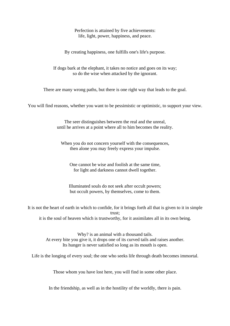Perfection is attained by five achievements: life, light, power, happiness, and peace.

By creating happiness, one fulfills one's life's purpose.

If dogs bark at the elephant, it takes no notice and goes on its way; so do the wise when attacked by the ignorant.

There are many wrong paths, but there is one right way that leads to the goal.

You will find reasons, whether you want to be pessimistic or optimistic, to support your view.

The seer distinguishes between the real and the unreal, until he arrives at a point where all to him becomes the reality.

When you do not concern yourself with the consequences, then alone you may freely express your impulse.

One cannot be wise and foolish at the same time, for light and darkness cannot dwell together.

Illuminated souls do not seek after occult powers; but occult powers, by themselves, come to them.

It is not the heart of earth in which to confide, for it brings forth all that is given to it in simple trust; it is the soul of heaven which is trustworthy, for it assimilates all in its own being.

> Why? is an animal with a thousand tails. At every bite you give it, it drops one of its curved tails and raises another. Its hunger is never satisfied so long as its mouth is open.

Life is the longing of every soul; the one who seeks life through death becomes immortal.

Those whom you have lost here, you will find in some other place.

In the friendship, as well as in the hostility of the worldly, there is pain.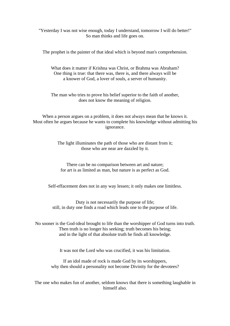"Yesterday I was not wise enough, today I understand, tomorrow I will do better!" So man thinks and life goes on.

The prophet is the painter of that ideal which is beyond man's comprehension.

What does it matter if Krishna was Christ, or Brahma was Abraham? One thing is true: that there was, there is, and there always will be a knower of God, a lover of souls, a server of humanity.

The man who tries to prove his belief superior to the faith of another, does not know the meaning of religion.

When a person argues on a problem, it does not always mean that he knows it. Most often he argues because he wants to complete his knowledge without admitting his ignorance.

> The light illuminates the path of those who are distant from it; those who are near are dazzled by it.

There can be no comparison between art and nature; for art is as limited as man, but nature is as perfect as God.

Self-effacement does not in any way lessen; it only makes one limitless.

Duty is not necessarily the purpose of life; still, in duty one finds a road which leads one to the purpose of life.

No sooner is the God-ideal brought to life than the worshipper of God turns into truth. Then truth is no longer his seeking; truth becomes his being; and in the light of that absolute truth he finds all knowledge.

It was not the Lord who was crucified, it was his limitation.

If an idol made of rock is made God by its worshippers, why then should a personality not become Divinity for the devotees?

The one who makes fun of another, seldom knows that there is something laughable in himself also.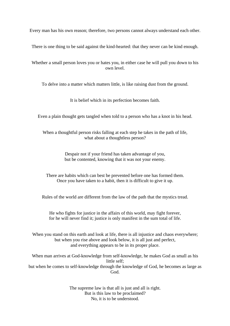Every man has his own reason; therefore, two persons cannot always understand each other.

There is one thing to be said against the kind-hearted: that they never can be kind enough.

Whether a small person loves you or hates you, in either case he will pull you down to his own level.

To delve into a matter which matters little, is like raising dust from the ground.

It is belief which in its perfection becomes faith.

Even a plain thought gets tangled when told to a person who has a knot in his head.

When a thoughtful person risks falling at each step he takes in the path of life, what about a thoughtless person?

> Despair not if your friend has taken advantage of you, but be contented, knowing that it was not your enemy.

There are habits which can best be prevented before one has formed them. Once you have taken to a habit, then it is difficult to give it up.

Rules of the world are different from the law of the path that the mystics tread.

He who fights for justice in the affairs of this world, may fight forever, for he will never find it; justice is only manifest in the sum total of life.

When you stand on this earth and look at life, there is all injustice and chaos everywhere; but when you rise above and look below, it is all just and perfect, and everything appears to be in its proper place.

When man arrives at God-knowledge from self-knowledge, he makes God as small as his little self; but when he comes to self-knowledge through the knowledge of God, he becomes as large as God.

> The supreme law is that all is just and all is right. But is this law to be proclaimed? No, it is to be understood.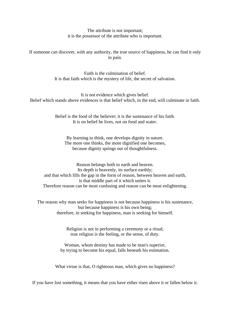The attribute is not important; it is the possessor of the attribute who is important.

If someone can discover, with any authority, the true source of happiness, he can find it only in pain.

> Faith is the culmination of belief. It is that faith which is the mystery of life, the secret of salvation.

It is not evidence which gives belief. Belief which stands above evidences is that belief which, in the end, will culminate in faith.

> Belief is the food of the believer; it is the sustenance of his faith. It is on belief he lives, not on food and water.

By learning to think, one develops dignity in nature. The more one thinks, the more dignified one becomes, because dignity springs out of thoughtfulness.

Reason belongs both to earth and heaven. Its depth is heavenly, its surface earthly; and that which fills the gap in the form of reason, between heaven and earth, is that middle part of it which unites it. Therefore reason can be most confusing and reason can be most enlightening.

The reason why man seeks for happiness is not because happiness is his sustenance, but because happiness is his own being; therefore, in seeking for happiness, man is seeking for himself.

> Religion is not in performing a ceremony or a ritual; true religion is the feeling, or the sense, of duty.

Woman, whom destiny has made to be man's superior, by trying to become his equal, falls beneath his estimation.

What virtue is that, O righteous man, which gives no happiness?

If you have lost something, it means that you have either risen above it or fallen below it.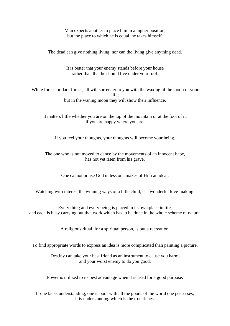Man expects another to place him in a higher position, but the place to which he is equal, he takes himself.

The dead can give nothing living, nor can the living give anything dead.

It is better that your enemy stands before your house rather than that he should live under your roof.

White forces or dark forces, all will surrender to you with the waxing of the moon of your life; but in the waning moon they will show their influence.

It matters little whether you are on the top of the mountain or at the foot of it, if you are happy where you are.

If you feel your thoughts, your thoughts will become your being.

The one who is not moved to dance by the movements of an innocent babe, has not yet risen from his grave.

One cannot praise God unless one makes of Him an ideal.

Watching with interest the winning ways of a little child, is a wonderful love-making.

Every thing and every being is placed in its own place in life, and each is busy carrying out that work which has to be done in the whole scheme of nature.

A religious ritual, for a spiritual person, is but a recreation.

To find appropriate words to express an idea is more complicated than painting a picture.

Destiny can take your best friend as an instrument to cause you harm, and your worst enemy to do you good.

Power is utilized to its best advantage when it is used for a good purpose.

If one lacks understanding, one is poor with all the goods of the world one possesses; it is understanding which is the true riches.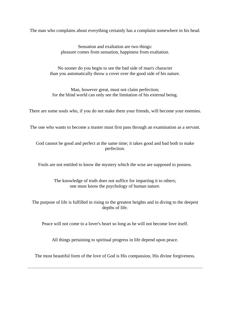The man who complains about everything certainly has a complaint somewhere in his head.

Sensation and exaltation are two things: pleasure comes from sensation, happiness from exaltation.

No sooner do you begin to see the bad side of man's character than you automatically throw a cover over the good side of his nature.

Man, however great, must not claim perfection; for the blind world can only see the limitation of his external being.

There are some souls who, if you do not make them your friends, will become your enemies.

The one who wants to become a master must first pass through an examination as a servant.

God cannot be good and perfect at the same time; it takes good and bad both to make perfection.

Fools are not entitled to know the mystery which the wise are supposed to possess.

The knowledge of truth does not suffice for imparting it to others; one must know the psychology of human nature.

The purpose of life is fulfilled in rising to the greatest heights and in diving to the deepest depths of life.

Peace will not come to a lover's heart so long as he will not become love itself.

All things pertaining to spiritual progress in life depend upon peace.

The most beautiful form of the love of God is His compassion, His divine forgiveness.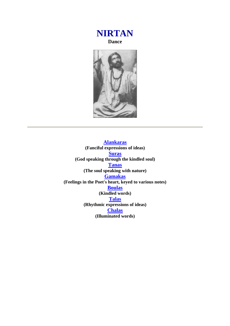



**Alankaras (Fanciful expressions of ideas) Suras (God speaking through the kindled soul) Tanas (The soul speaking with nature) Gamakas (Feelings in the Poet's heart, keyed to various notes) Boulas (Kindled words) Talas (Rhythmic expressions of ideas) Chalas (Illuminated words)**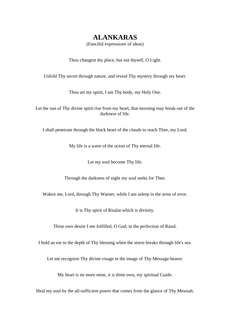# **ALANKARAS**

(Fanciful expressions of ideas)

Thou changest thy place, but not thyself, O Light.

Unfold Thy secret through nature, and reveal Thy mystery through my heart.

Thou art my spirit, I am Thy body, my Holy One.

Let the sun of Thy divine spirit rise from my heart, that morning may break out of the darkness of life.

I shall penetrate through the black heart of the clouds to reach Thee, my Lord.

My life is a wave of the ocean of Thy eternal life.

Let my soul become Thy life.

Through the darkness of night my soul seeks for Thee.

Waken me, Lord, through Thy Warner, while I am asleep in the arms of error.

It is Thy spirit of Risalat which is divinity.

Thine own desire I see fulfilled, O God, in the perfection of Rasul.

I hold an ear to the depth of Thy blessing when the storm breaks through life's sea.

Let me recognize Thy divine visage in the image of Thy Message-bearer.

My heart is no more mine, it is thine own, my spiritual Guide.

Heal my soul by the all-sufficient power that comes from the glance of Thy Messiah.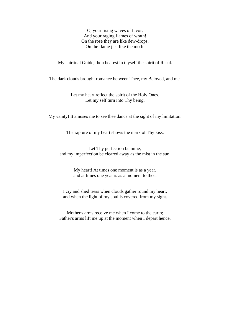O, your rising waves of favor, And your raging flames of wrath! On the rose they are like dew-drops, On the flame just like the moth.

My spiritual Guide, thou bearest in thyself the spirit of Rasul.

The dark clouds brought romance between Thee, my Beloved, and me.

Let my heart reflect the spirit of the Holy Ones. Let my self turn into Thy being.

My vanity! It amuses me to see thee dance at the sight of my limitation.

The rapture of my heart shows the mark of Thy kiss.

Let Thy perfection be mine, and my imperfection be cleared away as the mist in the sun.

> My heart! At times one moment is as a year, and at times one year is as a moment to thee.

I cry and shed tears when clouds gather round my heart, and when the light of my soul is covered from my sight.

Mother's arms receive me when I come to the earth; Father's arms lift me up at the moment when I depart hence.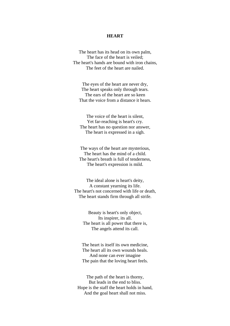#### **HEART**

The heart has its head on its own palm, The face of the heart is veiled; The heart's hands are bound with iron chains, The feet of the heart are nailed.

The eyes of the heart are never dry, The heart speaks only through tears. The ears of the heart are so keen That the voice from a distance it hears.

The voice of the heart is silent, Yet far-reaching is heart's cry. The heart has no question nor answer, The heart is expressed in a sigh.

The ways of the heart are mysterious, The heart has the mind of a child. The heart's breath is full of tenderness, The heart's expression is mild.

The ideal alone is heart's deity, A constant yearning its life. The heart's not concerned with life or death, The heart stands firm through all strife.

> Beauty is heart's only object, Its inspirer, its all. The heart is all power that there is, The angels attend its call.

The heart is itself its own medicine, The heart all its own wounds heals. And none can ever imagine The pain that the loving heart feels.

The path of the heart is thorny, But leads in the end to bliss. Hope is the staff the heart holds in hand, And the goal heart shall not miss.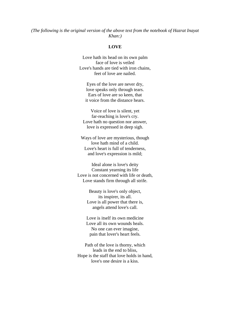*(The following is the original version of the above text from the notebook of Hazrat Inayat Khan:)*

#### **LOVE**

Love hath its head on its own palm face of love is veiled Love's hands are tied with iron chains, feet of love are nailed.

Eyes of the love are never dry, love speaks only through tears. Ears of love are so keen, that it voice from the distance hears.

Voice of love is silent, yet far-reaching is love's cry. Love hath no question nor answer, love is expressed in deep sigh.

Ways of love are mysterious, though love hath mind of a child. Love's heart is full of tenderness, and love's expression is mild;

Ideal alone is love's deity Constant yearning its life Love is not concerned with life or death, Love stands firm through all strife.

> Beauty is love's only object, its inspirer, its all. Love is all power that there is, angels attend love's call.

Love is itself its own medicine Love all its own wounds heals. No one can ever imagine, pain that lover's heart feels.

Path of the love is thorny, which leads in the end to bliss, Hope is the staff that love holds in hand, love's one desire is a kiss.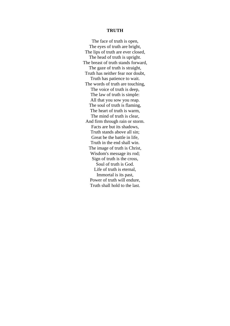#### **TRUTH**

The face of truth is open, The eyes of truth are bright, The lips of truth are ever closed, The head of truth is upright. The breast of truth stands forward, The gaze of truth is straight, Truth has neither fear nor doubt, Truth has patience to wait. The words of truth are touching, The voice of truth is deep, The law of truth is simple: All that you sow you reap. The soul of truth is flaming, The heart of truth is warm, The mind of truth is clear, And firm through rain or storm. Facts are but its shadows, Truth stands above all sin; Great be the battle in life, Truth in the end shall win. The image of truth is Christ, Wisdom's message its rod; Sign of truth is the cross, Soul of truth is God. Life of truth is eternal, Immortal is its past, Power of truth will endure, Truth shall hold to the last.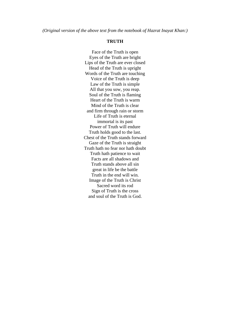#### **TRUTH**

Face of the Truth is open Eyes of the Truth are bright Lips of the Truth are ever closed Head of the Truth is upright Words of the Truth are touching Voice of the Truth is deep Law of the Truth is simple All that you sow, you reap. Soul of the Truth is flaming Heart of the Truth is warm Mind of the Truth is clear and firm through rain or storm Life of Truth is eternal immortal is its past Power of Truth will endure Truth holds good to the last. Chest of the Truth stands forward Gaze of the Truth is straight Truth hath no fear nor hath doubt Truth hath patience to wait Facts are all shadows and Truth stands above all sin great in life be the battle Truth in the end will win. Image of the Truth is Christ Sacred word its rod Sign of Truth is the cross and soul of the Truth is God.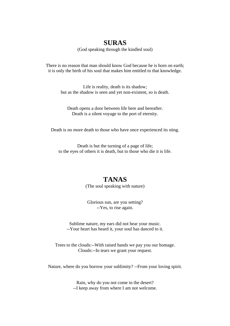# **SURAS**

(God speaking through the kindled soul)

There is no reason that man should know God because he is horn on earth; it is only the birth of his soul that makes him entitled to that knowledge.

> Life is reality, death is its shadow; but as the shadow is seen and yet non-existent, so is death.

Death opens a door between life here and hereafter. Death is a silent voyage to the port of eternity.

Death is no more death to those who have once experienced its sting.

Death is but the turning of a page of life; to the eyes of others it is death, but to those who die it is life.

# **TANAS**

(The soul speaking with nature)

Glorious sun, are you setting? --Yes, to rise again.

Sublime nature, my ears did not hear your music. --Your heart has heard it, your soul has danced to it.

Trees to the clouds:--With raised hands we pay you our homage. Clouds:--In tears we grant your request.

Nature, where do you borrow your sublimity? --From your loving spirit.

Rain, why do you not come in the desert? --I keep away from where I am not welcome.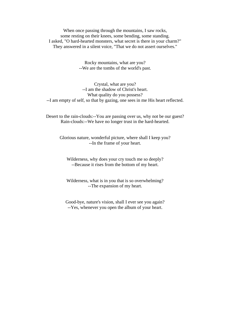When once passing through the mountains, I saw rocks, some resting on their knees, some bending, some standing. I asked, "O hard-hearted monsters, what secret is there in your charm?" They answered in a silent voice, "That we do not assert ourselves."

> Rocky mountains, what are you? --We are the tombs of the world's past.

Crystal, what are you? --I am the shadow of Christ's heart. What quality do you possess? --I am empty of self, so that by gazing, one sees in me His heart reflected.

Desert to the rain-clouds:--You are passing over us, why not be our guest? Rain-clouds:--We have no longer trust in the hard-hearted.

Glorious nature, wonderful picture, where shall I keep you? --In the frame of your heart.

Wilderness, why does your cry touch me so deeply? --Because it rises from the bottom of my heart.

Wilderness, what is in you that is so overwhelming? --The expansion of my heart.

Good-bye, nature's vision, shall I ever see you again? --Yes, whenever you open the album of your heart.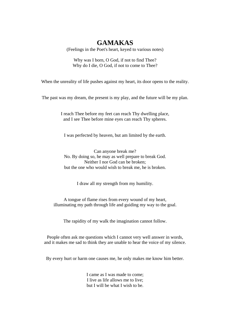# **GAMAKAS**

(Feelings in the Poet's heart, keyed to various notes)

Why was I born, O God, if not to find Thee? Why do I die, O God, if not to come to Thee?

When the unreality of life pushes against my heart, its door opens to the reality.

The past was my dream, the present is my play, and the future will be my plan.

I reach Thee before my feet can reach Thy dwelling place, and I see Thee before mine eyes can reach Thy spheres.

I was perfected by heaven, but am limited by the earth.

Can anyone break me? No. By doing so, he may as well prepare to break God. Neither I nor God can be broken; but the one who would wish to break me, he is broken.

I draw all my strength from my humility.

A tongue of flame rises from every wound of my heart, illuminating my path through life and guiding my way to the goal.

The rapidity of my walk the imagination cannot follow.

People often ask me questions which I cannot very well answer in words, and it makes me sad to think they are unable to hear the voice of my silence.

By every hurt or harm one causes me, he only makes me know him better.

I came as I was made to come; I live as life allows me to live; but I will be what I wish to be.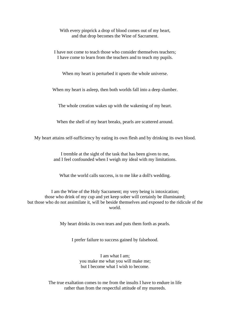With every pinprick a drop of blood comes out of my heart, and that drop becomes the Wine of Sacrament.

I have not come to teach those who consider themselves teachers; I have come to learn from the teachers and to teach my pupils.

When my heart is perturbed it upsets the whole universe.

When my heart is asleep, then both worlds fall into a deep slumber.

The whole creation wakes up with the wakening of my heart.

When the shell of my heart breaks, pearls are scattered around.

My heart attains self-sufficiency by eating its own flesh and by drinking its own blood.

I tremble at the sight of the task that has been given to me, and I feel confounded when I weigh my ideal with my limitations.

What the world calls success, is to me like a doll's wedding.

I am the Wine of the Holy Sacrament; my very being is intoxication; those who drink of my cup and yet keep sober will certainly be illuminated; but those who do not assimilate it, will be beside themselves and exposed to the ridicule of the world.

My heart drinks its own tears and puts them forth as pearls.

I prefer failure to success gained by falsehood.

I am what I am; you make me what you will make me; but I become what I wish to become.

The true exaltation comes to me from the insults I have to endure in life rather than from the respectful attitude of my mureeds.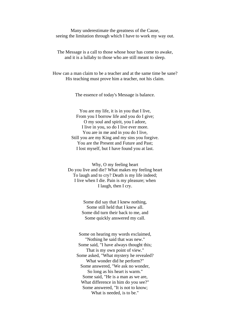Many underestimate the greatness of the Cause, seeing the limitation through which I have to work my way out.

The Message is a call to those whose hour has come to awake, and it is a lullaby to those who are still meant to sleep.

How can a man claim to be a teacher and at the same time be sane? His teaching must prove him a teacher, not his claim.

The essence of today's Message is balance.

You are my life, it is in you that I live, From you I borrow life and you do I give; O my soul and spirit, you I adore, I live in you, so do I live ever more. You are in me and in you do I live, Still you are my King and my sins you forgive. You are the Present and Future and Past; I lost myself, but I have found you at last.

Why, O my feeling heart Do you live and die? What makes my feeling heart To laugh and to cry? Death is my life indeed; I live when I die. Pain is my pleasure; when I laugh, then I cry.

> Some did say that I knew nothing, Some still held that I knew all. Some did turn their back to me, and Some quickly answered my call.

Some on hearing my words exclaimed, "Nothing he said that was new." Some said, "I have always thought this; That is my own point of view." Some asked, "What mystery he revealed? What wonder did he perform?" Some answered, "We ask no wonder, So long as his heart is warm." Some said, "He is a man as we are, What difference in him do you see?" Some answered, "It is not to know; What is needed, is to be."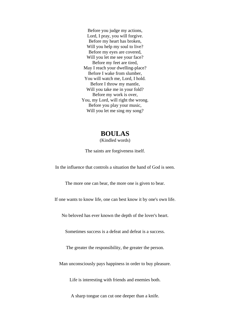Before you judge my actions, Lord, I pray, you will forgive. Before my heart has broken, Will you help my soul to live? Before my eyes are covered, Will you let me see your face? Before my feet are tired, May I reach your dwelling-place? Before I wake from slumber, You will watch me, Lord, I hold. Before I throw my mantle, Will you take me in your fold? Before my work is over, You, my Lord, will right the wrong. Before you play your music, Will you let me sing my song?

# **BOULAS**

(Kindled words)

The saints are forgiveness itself.

In the influence that controls a situation the hand of God is seen.

The more one can bear, the more one is given to bear.

If one wants to know life, one can best know it by one's own life.

No beloved has ever known the depth of the lover's heart.

Sometimes success is a defeat and defeat is a success.

The greater the responsibility, the greater the person.

Man unconsciously pays happiness in order to buy pleasure.

Life is interesting with friends and enemies both.

A sharp tongue can cut one deeper than a knife.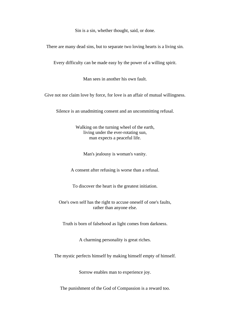Sin is a sin, whether thought, said, or done.

There are many dead sins, but to separate two loving hearts is a living sin.

Every difficulty can be made easy by the power of a willing spirit.

Man sees in another his own fault.

Give not nor claim love by force, for love is an affair of mutual willingness.

Silence is an unadmitting consent and an uncommitting refusal.

Walking on the turning wheel of the earth, living under the ever-rotating sun, man expects a peaceful life.

Man's jealousy is woman's vanity.

A consent after refusing is worse than a refusal.

To discover the heart is the greatest initiation.

One's own self has the right to accuse oneself of one's faults, rather than anyone else.

Truth is born of falsehood as light comes from darkness.

A charming personality is great riches.

The mystic perfects himself by making himself empty of himself.

Sorrow enables man to experience joy.

The punishment of the God of Compassion is a reward too.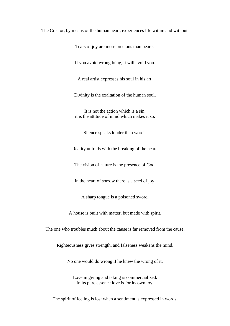The Creator, by means of the human heart, experiences life within and without.

Tears of joy are more precious than pearls.

If you avoid wrongdoing, it will avoid you.

A real artist expresses his soul in his art.

Divinity is the exaltation of the human soul.

It is not the action which is a sin; it is the attitude of mind which makes it so.

Silence speaks louder than words.

Reality unfolds with the breaking of the heart.

The vision of nature is the presence of God.

In the heart of sorrow there is a seed of joy.

A sharp tongue is a poisoned sword.

A house is built with matter, but made with spirit.

The one who troubles much about the cause is far removed from the cause.

Righteousness gives strength, and falseness weakens the mind.

No one would do wrong if he knew the wrong of it.

Love in giving and taking is commercialized. In its pure essence love is for its own joy.

The spirit of feeling is lost when a sentiment is expressed in words.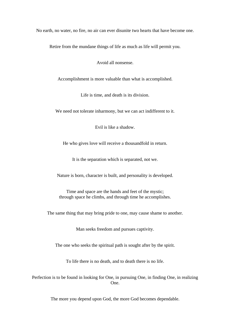No earth, no water, no fire, no air can ever disunite two hearts that have become one.

Retire from the mundane things of life as much as life will permit you.

Avoid all nonsense.

Accomplishment is more valuable than what is accomplished.

Life is time, and death is its division.

We need not tolerate inharmony, but we can act indifferent to it.

Evil is like a shadow.

He who gives love will receive a thousandfold in return.

It is the separation which is separated, not we.

Nature is born, character is built, and personality is developed.

Time and space are the hands and feet of the mystic; through space he climbs, and through time he accomplishes.

The same thing that may bring pride to one, may cause shame to another.

Man seeks freedom and pursues captivity.

The one who seeks the spiritual path is sought after by the spirit.

To life there is no death, and to death there is no life.

Perfection is to be found in looking for One, in pursuing One, in finding One, in realizing One.

The more you depend upon God, the more God becomes dependable.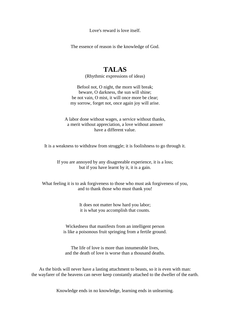Love's reward is love itself.

The essence of reason is the knowledge of God.

# **TALAS**

(Rhythmic expressions of ideas)

Befool not, O night, the morn will break; beware, O darkness, the sun will shine; be not vain, O mist, it will once more be clear; my sorrow, forget not, once again joy will arise.

A labor done without wages, a service without thanks, a merit without appreciation, a love without answer have a different value.

It is a weakness to withdraw from struggle; it is foolishness to go through it.

If you are annoyed by any disagreeable experience, it is a loss; but if you have learnt by it, it is a gain.

What feeling it is to ask forgiveness to those who must ask forgiveness of you, and to thank those who must thank you!

> It does not matter how hard you labor; it is what you accomplish that counts.

Wickedness that manifests from an intelligent person is like a poisonous fruit springing from a fertile ground.

The life of love is more than innumerable lives, and the death of love is worse than a thousand deaths.

As the birds will never have a lasting attachment to beasts, so it is even with man: the wayfarer of the heavens can never keep constantly attached to the dweller of the earth.

Knowledge ends in no knowledge, learning ends in unlearning.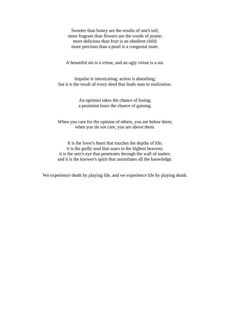Sweeter than honey are the results of one's toil; more fragrant than flowers are the words of praise; more delicious than fruit is an obedient child; more precious than a pearl is a congenial mate.

A beautiful sin is a virtue, and an ugly virtue is a sin.

Impulse is intoxicating; action is absorbing; but it is the result of every deed that leads man to realization.

> An optimist takes the chance of losing; a pessimist loses the chance of gaining.

When you care for the opinion of others, you are below them; when you do not care, you are above them.

It is the lover's heart that touches the depths of life; it is the godly soul that soars to the highest heavens; it is the seer's eye that penetrates through the wall of matter; and it is the knower's spirit that assimilates all the knowledge.

We experience death by playing life, and we experience life by playing death.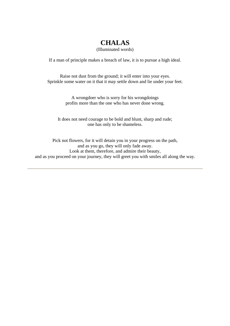# **CHALAS**

(Illuminated words)

If a man of principle makes a breach of law, it is to pursue a high ideal.

Raise not dust from the ground; it will enter into your eyes. Sprinkle some water on it that it may settle down and lie under your feet.

> A wrongdoer who is sorry for his wrongdoings profits more than the one who has never done wrong.

It does not need courage to be bold and blunt, sharp and rude; one has only to be shameless.

Pick not flowers, for it will detain you in your progress on the path, and as you go, they will only fade away. Look at them, therefore, and admire their beauty, and as you proceed on your journey, they will greet you with smiles all along the way.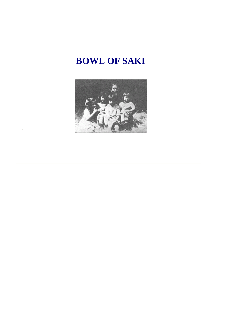# **BOWL OF SAKI**

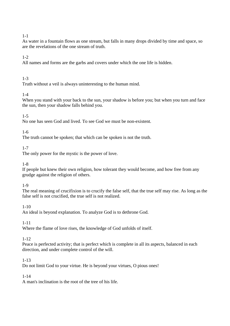As water in a fountain flows as one stream, but falls in many drops divided by time and space, so are the revelations of the one stream of truth.

1-2

All names and forms are the garbs and covers under which the one life is hidden.

#### 1-3

Truth without a veil is always uninteresting to the human mind.

# 1-4

When you stand with your back to the sun, your shadow is before you; but when you turn and face the sun, then your shadow falls behind you.

#### 1-5

No one has seen God and lived. To see God we must be non-existent.

#### 1-6

The truth cannot be spoken; that which can be spoken is not the truth.

1-7

The only power for the mystic is the power of love.

#### 1-8

If people but knew their own religion, how tolerant they would become, and how free from any grudge against the religion of others.

#### 1-9

The real meaning of crucifixion is to crucify the false self, that the true self may rise. As long as the false self is not crucified, the true self is not realized.

#### 1-10

An ideal is beyond explanation. To analyze God is to dethrone God.

1-11

Where the flame of love rises, the knowledge of God unfolds of itself.

#### 1-12

Peace is perfected activity; that is perfect which is complete in all its aspects, balanced in each direction, and under complete control of the will.

# 1-13

Do not limit God to your virtue. He is beyond your virtues, O pious ones!

#### 1-14

A man's inclination is the root of the tree of his life.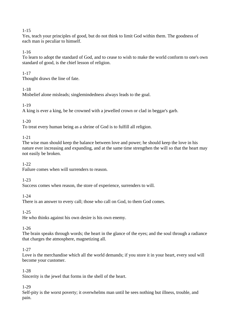Yes, teach your principles of good, but do not think to limit God within them. The goodness of each man is peculiar to himself.

# 1-16

To learn to adopt the standard of God, and to cease to wish to make the world conform to one's own standard of good, is the chief lesson of religion.

# 1-17

Thought draws the line of fate.

# 1-18

Misbelief alone misleads; singlemindedness always leads to the goal.

# 1-19

A king is ever a king, be he crowned with a jewelled crown or clad in beggar's garb.

# 1-20

To treat every human being as a shrine of God is to fulfill all religion.

1-21

The wise man should keep the balance between love and power; he should keep the love in his nature ever increasing and expanding, and at the same time strengthen the will so that the heart may not easily be broken.

# 1-22

Failure comes when will surrenders to reason.

# 1-23

Success comes when reason, the store of experience, surrenders to will.

# 1-24

There is an answer to every call; those who call on God, to them God comes.

# 1-25

He who thinks against his own desire is his own enemy.

# 1-26

The brain speaks through words; the heart in the glance of the eyes; and the soul through a radiance that charges the atmosphere, magnetizing all.

# 1-27

Love is the merchandise which all the world demands; if you store it in your heart, every soul will become your customer.

# 1-28

Sincerity is the jewel that forms in the shell of the heart.

# 1-29

Self-pity is the worst poverty; it overwhelms man until he sees nothing but illness, trouble, and pain.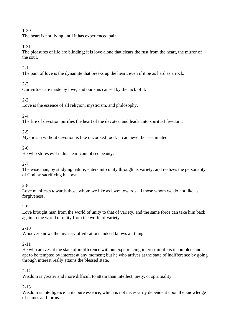The heart is not living until it has experienced pain.

#### 1-31

The pleasures of life are blinding; it is love alone that clears the rust from the heart, the mirror of the soul.

#### $2 - 1$

The pain of love is the dynamite that breaks up the heart, even if it be as hard as a rock.

# $2 - 2$

Our virtues are made by love, and our sins caused by the lack of it.

#### 2-3

Love is the essence of all religion, mysticism, and philosophy.

# $2 - 4$

The fire of devotion purifies the heart of the devotee, and leads unto spiritual freedom.

# 2-5

Mysticism without devotion is like uncooked food; it can never be assimilated.

2-6

He who stores evil in his heart cannot see beauty.

#### 2-7

The wise man, by studying nature, enters into unity through its variety, and realizes the personality of God by sacrificing his own.

#### 2-8

Love manifests towards those whom we like as love; towards all those whom we do not like as forgiveness.

#### $2-9$

Love brought man from the world of unity to that of variety, and the same force can take him back again to the world of unity from the world of variety.

# 2-10

Whoever knows the mystery of vibrations indeed knows all things.

# 2-11

He who arrives at the state of indifference without experiencing interest in life is incomplete and apt to be tempted by interest at any moment; but he who arrives at the state of indifference by going through interest really attains the blessed state.

# 2-12

Wisdom is greater and more difficult to attain than intellect, piety, or spirituality.

# 2-13

Wisdom is intelligence in its pure essence, which is not necessarily dependent upon the knowledge of names and forms.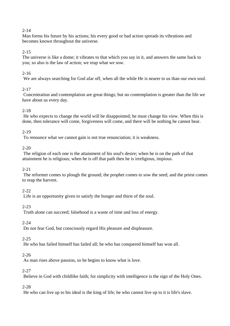Man forms his future by his actions; his every good or bad action spreads its vibrations and becomes known throughout the universe.

#### 2-15

The universe is like a dome; it vibrates to that which you say in it, and answers the same back to you; so also is the law of action; we reap what we sow.

#### 2-16

We are always searching for God afar off, when all the while He is nearer to us than our own soul.

# 2-17

 Concentration and contemplation are great things; but no contemplation is greater than the life we have about us every day.

#### 2-18

 He who expects to change the world will be disappointed; he must change his view. When this is done, then tolerance will come, forgiveness will come, and there will be nothing he cannot bear.

#### 2-19

To renounce what we cannot gain is not true renunciation; it is weakness.

#### 2-20

 The religion of each one is the attainment of his soul's desire; when he is on the path of that attainment he is religious; when he is off that path then he is irreligious, impious.

#### 2-21

 The reformer comes to plough the ground; the prophet comes to sow the seed; and the priest comes to reap the harvest.

# 2-22

Life is an opportunity given to satisfy the hunger and thirst of the soul.

#### 2-23

Truth alone can succeed; falsehood is a waste of time and loss of energy.

#### 2-24

Do not fear God, but consciously regard His pleasure and displeasure.

#### 2-25

He who has failed himself has failed all; he who has conquered himself has won all.

# 2-26

As man rises above passion, so he begins to know what is love.

#### 2-27

Believe in God with childlike faith; for simplicity with intelligence is the sign of the Holy Ones.

#### 2-28

He who can live up to his ideal is the king of life; he who cannot live up to it is life's slave.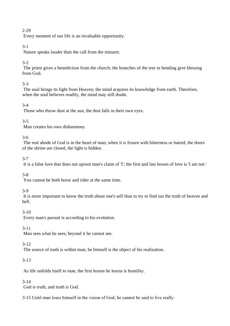Every moment of our life is an invaluable opportunity.

#### 3-1

Nature speaks louder than the call from the minaret.

#### 3-2

 The priest gives a benediction from the church; the branches of the tree in bending give blessing from God.

# 3-3

 The soul brings its light from Heaven; the mind acquires its knowledge from earth. Therefore, when the soul believes readily, the mind may still doubt.

# 3-4

Those who throw dust at the sun, the dust falls in their own eyes.

# 3-5

Man creates his own disharmony.

3-6

 The real abode of God is in the heart of man; when it is frozen with bitterness or hatred, the doors of the shrine are closed, the light is hidden.

#### 3-7

It is a false love that does not uproot man's claim of 'I'; the first and last lesson of love is 'I am not.'

#### 3-8

You cannot be both horse and rider at the same time.

#### 3-9

 It is more important to know the truth about one's self than to try to find out the truth of heaven and hell.

# 3-10

Every man's pursuit is according to his evolution.

# 3-11

Man sees what he sees; beyond it he cannot see.

#### 3-12

The source of truth is within man; he himself is the object of his realization.

# 3-13

As life unfolds itself to man, the first lesson he learns is humility.

#### 3-14

God is truth, and truth is God.

3-15 Until man loses himself in the vision of God, he cannot be said to live really.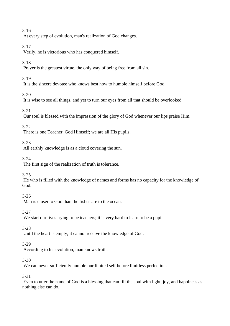At every step of evolution, man's realization of God changes.

# 3-17

Verily, he is victorious who has conquered himself.

# 3-18

Prayer is the greatest virtue, the only way of being free from all sin.

# 3-19

It is the sincere devotee who knows best how to humble himself before God.

# 3-20

It is wise to see all things, and yet to turn our eyes from all that should be overlooked.

# 3-21

Our soul is blessed with the impression of the glory of God whenever our lips praise Him.

# 3-22

There is one Teacher, God Himself; we are all His pupils.

# 3-23

All earthly knowledge is as a cloud covering the sun.

# 3-24

The first sign of the realization of truth is tolerance.

# 3-25

 He who is filled with the knowledge of names and forms has no capacity for the knowledge of God.

# 3-26

Man is closer to God than the fishes are to the ocean.

# 3-27

We start our lives trying to be teachers; it is very hard to learn to be a pupil.

# 3-28

Until the heart is empty, it cannot receive the knowledge of God.

# 3-29

According to his evolution, man knows truth.

# 3-30

We can never sufficiently humble our limited self before limitless perfection.

# 3-31

 Even to utter the name of God is a blessing that can fill the soul with light, joy, and happiness as nothing else can do.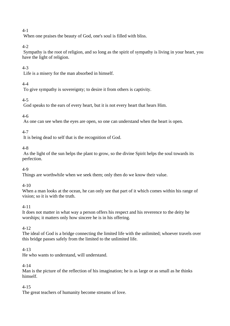When one praises the beauty of God, one's soul is filled with bliss.

#### $4 - 2$

 Sympathy is the root of religion, and so long as the spirit of sympathy is living in your heart, you have the light of religion.

# 4-3

Life is a misery for the man absorbed in himself.

# 4-4

To give sympathy is sovereignty; to desire it from others is captivity.

#### 4-5

God speaks to the ears of every heart, but it is not every heart that hears Him.

# 4-6

As one can see when the eyes are open, so one can understand when the heart is open.

#### 4-7

It is being dead to self that is the recognition of God.

#### 4-8

 As the light of the sun helps the plant to grow, so the divine Spirit helps the soul towards its perfection.

#### 4-9

Things are worthwhile when we seek them; only then do we know their value.

#### 4-10

When a man looks at the ocean, he can only see that part of it which comes within his range of vision; so it is with the truth.

# 4-11

It does not matter in what way a person offers his respect and his reverence to the deity he worships; it matters only how sincere he is in his offering.

#### 4-12

The ideal of God is a bridge connecting the limited life with the unlimited; whoever travels over this bridge passes safely from the limited to the unlimited life.

#### 4-13

He who wants to understand, will understand.

#### 4-14

Man is the picture of the reflection of his imagination; he is as large or as small as he thinks himself.

#### 4-15

The great teachers of humanity become streams of love.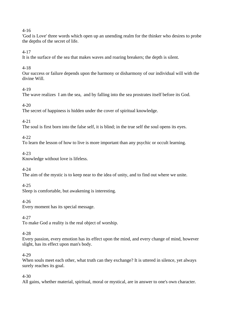'God is Love' three words which open up an unending realm for the thinker who desires to probe the depths of the secret of life.

#### 4-17

It is the surface of the sea that makes waves and roaring breakers; the depth is silent.

#### 4-18

Our success or failure depends upon the harmony or disharmony of our individual will with the divine Will.

#### 4-19

The wave realizes I am the sea, and by falling into the sea prostrates itself before its God.

# 4-20

The secret of happiness is hidden under the cover of spiritual knowledge.

4-21

The soul is first born into the false self, it is blind; in the true self the soul opens its eyes.

4-22

To learn the lesson of how to live is more important than any psychic or occult learning.

4-23

Knowledge without love is lifeless.

4-24

The aim of the mystic is to keep near to the idea of unity, and to find out where we unite.

#### 4-25

Sleep is comfortable, but awakening is interesting.

4-26

Every moment has its special message.

4-27

To make God a reality is the real object of worship.

#### 4-28

Every passion, every emotion has its effect upon the mind, and every change of mind, however slight, has its effect upon man's body.

# 4-29

When souls meet each other, what truth can they exchange? It is uttered in silence, yet always surely reaches its goal.

# 4-30

All gains, whether material, spiritual, moral or mystical, are in answer to one's own character.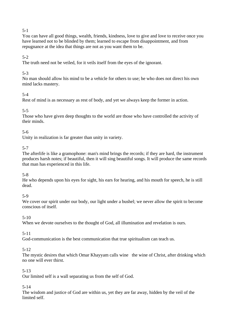You can have all good things, wealth, friends, kindness, love to give and love to receive once you have learned not to be blinded by them; learned to escape from disappointment, and from repugnance at the idea that things are not as you want them to be.

# 5-2

The truth need not be veiled, for it veils itself from the eyes of the ignorant.

# 5-3

No man should allow his mind to be a vehicle for others to use; he who does not direct his own mind lacks mastery.

# 5-4

Rest of mind is as necessary as rest of body, and yet we always keep the former in action.

# 5-5

Those who have given deep thoughts to the world are those who have controlled the activity of their minds.

# 5-6

Unity in realization is far greater than unity in variety.

# 5-7

The afterlife is like a gramophone: man's mind brings the records; if they are hard, the instrument produces harsh notes; if beautiful, then it will sing beautiful songs. It will produce the same records that man has experienced in this life.

# 5-8

He who depends upon his eyes for sight, his ears for hearing, and his mouth for speech, he is still dead.

# 5-9

We cover our spirit under our body, our light under a bushel; we never allow the spirit to become conscious of itself.

# 5-10

When we devote ourselves to the thought of God, all illumination and revelation is ours.

# 5-11

God-communication is the best communication that true spiritualism can teach us.

# 5-12

The mystic desires that which Omar Khayyam calls wine the wine of Christ, after drinking which no one will ever thirst.

# 5-13

Our limited self is a wall separating us from the self of God.

# 5-14

The wisdom and justice of God are within us, yet they are far away, hidden by the veil of the limited self.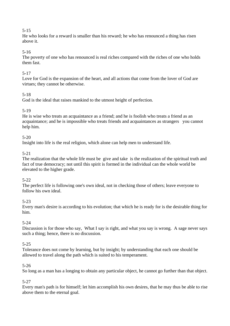He who looks for a reward is smaller than his reward; he who has renounced a thing has risen above it.

#### 5-16

The poverty of one who has renounced is real riches compared with the riches of one who holds them fast.

#### 5-17

Love for God is the expansion of the heart, and all actions that come from the lover of God are virtues; they cannot be otherwise.

#### 5-18

God is the ideal that raises mankind to the utmost height of perfection.

#### 5-19

He is wise who treats an acquaintance as a friend; and he is foolish who treats a friend as an acquaintance; and he is impossible who treats friends and acquaintances as strangers you cannot help him.

#### 5-20

Insight into life is the real religion, which alone can help men to understand life.

#### 5-21

The realization that the whole life must be give and take is the realization of the spiritual truth and fact of true democracy; not until this spirit is formed in the individual can the whole world be elevated to the higher grade.

#### 5-22

The perfect life is following one's own ideal, not in checking those of others; leave everyone to follow his own ideal.

#### 5-23

Every man's desire is according to his evolution; that which he is ready for is the desirable thing for him.

# 5-24

Discussion is for those who say, What I say is right, and what you say is wrong. A sage never says such a thing; hence, there is no discussion.

#### 5-25

Tolerance does not come by learning, but by insight; by understanding that each one should be allowed to travel along the path which is suited to his temperament.

#### 5-26

So long as a man has a longing to obtain any particular object, he cannot go further than that object.

#### 5-27

Every man's path is for himself; let him accomplish his own desires, that he may thus be able to rise above them to the eternal goal.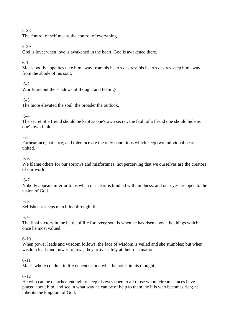The control of self means the control of everything.

#### 5-29

God is love; when love is awakened in the heart, God is awakened there.

#### 6-1

Man's bodily appetites take him away from his heart's desires; his heart's desires keep him away from the abode of his soul.

# 6-2

Words are but the shadows of thought and feelings.

# 6-3

The more elevated the soul, the broader the outlook.

# 6-4

The secret of a friend should be kept as one's own secret; the fault of a friend one should hide as one's own fault.

#### 6-5

Forbearance, patience, and tolerance are the only conditions which keep two individual hearts united.

#### 6-6

We blame others for our sorrows and misfortunes, not perceiving that we ourselves are the creators of our world.

#### 6-7

Nobody appears inferior to us when our heart is kindled with kindness, and our eyes are open to the vision of God.

#### 6-8

Selfishness keeps man blind through life.

#### 6-9

The final victory in the battle of life for every soul is when he has risen above the things which once he most valued.

#### 6-10

When power leads and wisdom follows, the face of wisdom is veiled and she stumbles; but when wisdom leads and power follows, they arrive safely at their destination.

# 6-11

Man's whole conduct in life depends upon what he holds in his thought.

# 6-12

He who can be detached enough to keep his eyes open to all those whom circumstances have placed about him, and see in what way he can be of help to them, he it is who becomes rich; he inherits the kingdom of God.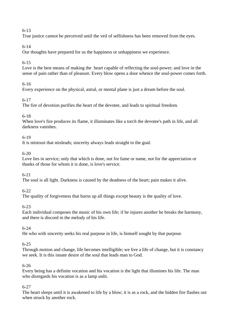True justice cannot be perceived until the veil of selfishness has been removed from the eyes.

#### 6-14

Our thoughts have prepared for us the happiness or unhappiness we experience.

#### 6-15

Love is the best means of making the heart capable of reflecting the soul-power; and love in the sense of pain rather than of pleasure. Every blow opens a door whence the soul-power comes forth.

# 6-16

Every experience on the physical, astral, or mental plane is just a dream before the soul.

# 6-17

The fire of devotion purifies the heart of the devotee, and leads to spiritual freedom.

#### 6-18

When love's fire produces its flame, it illuminates like a torch the devotee's path in life, and all darkness vanishes.

#### 6-19

It is mistrust that misleads; sincerity always leads straight to the goal.

#### 6-20

Love lies in service; only that which is done, not for fame or name, not for the appreciation or thanks of those for whom it is done, is love's service.

# 6-21

The soul is all light. Darkness is caused by the deadness of the heart; pain makes it alive.

# 6-22

The quality of forgiveness that burns up all things except beauty is the quality of love.

#### 6-23

Each individual composes the music of his own life; if he injures another he breaks the harmony, and there is discord in the melody of his life.

#### 6-24

He who with sincerity seeks his real purpose in life, is himself sought by that purpose.

# 6-25

Through motion and change, life becomes intelligible; we live a life of change, but it is constancy we seek. It is this innate desire of the soul that leads man to God.

#### 6-26

Every being has a definite vocation and his vocation is the light that illumines his life. The man who disregards his vocation is as a lamp unlit.

#### 6-27

The heart sleeps until it is awakened to life by a blow; it is as a rock, and the hidden fire flashes out when struck by another rock.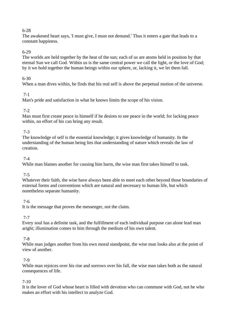The awakened heart says, 'I must give, I must not demand.' Thus it enters a gate that leads to a constant happiness.

#### 6-29

The worlds are held together by the heat of the sun; each of us are atoms held in position by that eternal Sun we call God. Within us is the same central power we call the light, or the love of God; by it we hold together the human beings within our sphere, or, lacking it, we let them fall.

#### 6-30

When a man dives within, he finds that his real self is above the perpetual motion of the universe.

#### 7-1

Man's pride and satisfaction in what he knows limits the scope of his vision.

#### 7-2

Man must first create peace in himself if he desires to see peace in the world; for lacking peace within, no effort of his can bring any result.

#### 7-3

The knowledge of self is the essential knowledge; it gives knowledge of humanity. In the understanding of the human being lies that understanding of nature which reveals the law of creation.

#### 7-4

While man blames another for causing him harm, the wise man first takes himself to task.

#### 7-5

Whatever their faith, the wise have always been able to meet each other beyond those boundaries of external forms and conventions which are natural and necessary to human life, but which nonetheless separate humanity.

#### 7-6

It is the message that proves the messenger, not the claim.

#### 7-7

Every soul has a definite task, and the fulfillment of each individual purpose can alone lead man aright; illumination comes to him through the medium of his own talent.

#### 7-8

While man judges another from his own moral standpoint, the wise man looks also at the point of view of another.

#### 7-9

While man rejoices over his rise and sorrows over his fall, the wise man takes both as the natural consequences of life.

#### 7-10

It is the lover of God whose heart is filled with devotion who can commune with God, not he who makes an effort with his intellect to analyze God.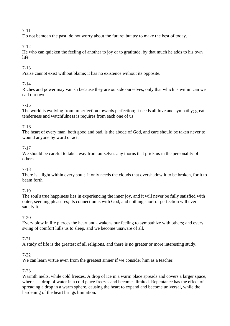Do not bemoan the past; do not worry about the future; but try to make the best of today.

# 7-12

He who can quicken the feeling of another to joy or to gratitude, by that much he adds to his own life.

# 7-13

Praise cannot exist without blame; it has no existence without its opposite.

# 7-14

Riches and power may vanish because they are outside ourselves; only that which is within can we call our own.

# 7-15

The world is evolving from imperfection towards perfection; it needs all love and sympathy; great tenderness and watchfulness is requires from each one of us.

# 7-16

The heart of every man, both good and bad, is the abode of God, and care should be taken never to wound anyone by word or act.

#### 7-17

We should be careful to take away from ourselves any thorns that prick us in the personality of others.

# 7-18

There is a light within every soul; it only needs the clouds that overshadow it to be broken, for it to beam forth.

# 7-19

The soul's true happiness lies in experiencing the inner joy, and it will never be fully satisfied with outer, seeming pleasures; its connection is with God, and nothing short of perfection will ever satisfy it.

# 7-20

Every blow in life pierces the heart and awakens our feeling to sympathize with others; and every swing of comfort lulls us to sleep, and we become unaware of all.

# 7-21

A study of life is the greatest of all religions, and there is no greater or more interesting study.

# 7-22

We can learn virtue even from the greatest sinner if we consider him as a teacher.

# 7-23

Warmth melts, while cold freezes. A drop of ice in a warm place spreads and covers a larger space, whereas a drop of water in a cold place freezes and becomes limited. Repentance has the effect of spreading a drop in a warm sphere, causing the heart to expand and become universal, while the hardening of the heart brings limitation.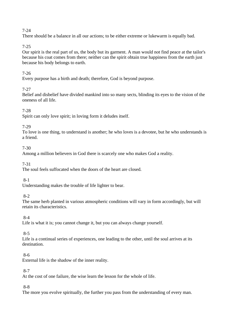There should be a balance in all our actions; to be either extreme or lukewarm is equally bad.

# 7-25

Our spirit is the real part of us, the body but its garment. A man would not find peace at the tailor's because his coat comes from there; neither can the spirit obtain true happiness from the earth just because his body belongs to earth.

# 7-26

Every purpose has a birth and death; therefore, God is beyond purpose.

# 7-27

Belief and disbelief have divided mankind into so many sects, blinding its eyes to the vision of the oneness of all life.

# 7-28

Spirit can only love spirit; in loving form it deludes itself.

# 7-29

To love is one thing, to understand is another; he who loves is a devotee, but he who understands is a friend.

# 7-30

Among a million believers in God there is scarcely one who makes God a reality.

7-31

The soul feels suffocated when the doors of the heart are closed.

# 8-1

Understanding makes the trouble of life lighter to bear.

# 8-2

The same herb planted in various atmospheric conditions will vary in form accordingly, but will retain its characteristics.

# 8-4

Life is what it is; you cannot change it, but you can always change yourself.

# 8-5

Life is a continual series of experiences, one leading to the other, until the soul arrives at its destination.

# 8-6

External life is the shadow of the inner reality.

# 8-7

At the cost of one failure, the wise learn the lesson for the whole of life.

# 8-8

The more you evolve spiritually, the further you pass from the understanding of every man.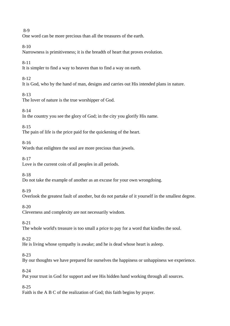One word can be more precious than all the treasures of the earth.

#### 8-10

Narrowness is primitiveness; it is the breadth of heart that proves evolution.

#### 8-11

It is simpler to find a way to heaven than to find a way on earth.

#### 8-12

It is God, who by the hand of man, designs and carries out His intended plans in nature.

# 8-13

The lover of nature is the true worshipper of God.

# 8-14

In the country you see the glory of God; in the city you glorify His name.

# 8-15

The pain of life is the price paid for the quickening of the heart.

# 8-16

Words that enlighten the soul are more precious than jewels.

#### 8-17

Love is the current coin of all peoples in all periods.

#### 8-18

Do not take the example of another as an excuse for your own wrongdoing.

#### 8-19

Overlook the greatest fault of another, but do not partake of it yourself in the smallest degree.

#### 8-20

Cleverness and complexity are not necessarily wisdom.

#### 8-21

The whole world's treasure is too small a price to pay for a word that kindles the soul.

#### 8-22

He is living whose sympathy is awake; and he is dead whose heart is asleep.

# 8-23

By our thoughts we have prepared for ourselves the happiness or unhappiness we experience.

#### 8-24

Put your trust in God for support and see His hidden hand working through all sources.

#### 8-25

Faith is the A B C of the realization of God; this faith begins by prayer.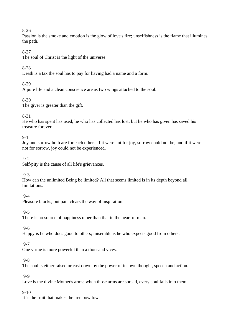Passion is the smoke and emotion is the glow of love's fire; unselfishness is the flame that illumines the path.

#### 8-27

The soul of Christ is the light of the universe.

# 8-28

Death is a tax the soul has to pay for having had a name and a form.

8-29

A pure life and a clean conscience are as two wings attached to the soul.

8-30

The giver is greater than the gift.

# 8-31

He who has spent has used; he who has collected has lost; but he who has given has saved his treasure forever.

# 9-1

Joy and sorrow both are for each other. If it were not for joy, sorrow could not be; and if it were not for sorrow, joy could not be experienced.

# 9-2

Self-pity is the cause of all life's grievances.

#### 9-3

How can the unlimited Being be limited? All that seems limited is in its depth beyond all limitations.

9-4

Pleasure blocks, but pain clears the way of inspiration.

9-5

There is no source of happiness other than that in the heart of man.

9-6

Happy is he who does good to others; miserable is he who expects good from others.

# 9-7

One virtue is more powerful than a thousand vices.

# 9-8

The soul is either raised or cast down by the power of its own thought, speech and action.

#### 9-9

Love is the divine Mother's arms; when those arms are spread, every soul falls into them.

#### 9-10

It is the fruit that makes the tree bow low.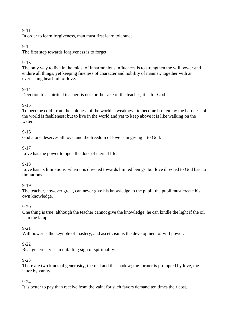In order to learn forgiveness, man must first learn tolerance.

# 9-12

The first step towards forgiveness is to forget.

# 9-13

The only way to live in the midst of inharmonious influences is to strengthen the will power and endure all things, yet keeping fineness of character and nobility of manner, together with an everlasting heart full of love.

# 9-14

Devotion to a spiritual teacher is not for the sake of the teacher; it is for God.

# 9-15

To become cold from the coldness of the world is weakness; to become broken by the hardness of the world is feebleness; but to live in the world and yet to keep above it is like walking on the water.

# 9-16

God alone deserves all love, and the freedom of love is in giving it to God.

9-17

Love has the power to open the door of eternal life.

9-18

Love has its limitations when it is directed towards limited beings, but love directed to God has no limitations.

#### 9-19

The teacher, however great, can never give his knowledge to the pupil; the pupil must create his own knowledge.

#### 9-20

One thing is true: although the teacher cannot give the knowledge, he can kindle the light if the oil is in the lamp.

# 9-21

Will power is the keynote of mastery, and asceticism is the development of will power.

# 9-22

Real generosity is an unfailing sign of spirituality.

#### 9-23

There are two kinds of generosity, the real and the shadow; the former is prompted by love, the latter by vanity.

#### 9-24

It is better to pay than receive from the vain; for such favors demand ten times their cost.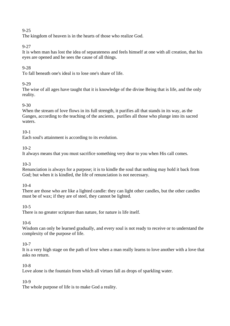The kingdom of heaven is in the hearts of those who realize God.

# 9-27

It is when man has lost the idea of separateness and feels himself at one with all creation, that his eyes are opened and he sees the cause of all things.

# 9-28

To fall beneath one's ideal is to lose one's share of life.

# 9-29

The wise of all ages have taught that it is knowledge of the divine Being that is life, and the only reality.

# 9-30

When the stream of love flows in its full strength, it purifies all that stands in its way, as the Ganges, according to the teaching of the ancients, purifies all those who plunge into its sacred waters.

#### $10 - 1$

Each soul's attainment is according to its evolution.

#### $10-2$

It always means that you must sacrifice something very dear to you when His call comes.

#### 10-3

Renunciation is always for a purpose; it is to kindle the soul that nothing may hold it back from God; but when it is kindled, the life of renunciation is not necessary.

#### $10 - 4$

There are those who are like a lighted candle: they can light other candles, but the other candles must be of wax; if they are of steel, they cannot be lighted.

#### 10-5

There is no greater scripture than nature, for nature is life itself.

#### 10-6

Wisdom can only be learned gradually, and every soul is not ready to receive or to understand the complexity of the purpose of life.

#### 10-7

It is a very high stage on the path of love when a man really learns to love another with a love that asks no return.

#### 10-8

Love alone is the fountain from which all virtues fall as drops of sparkling water.

#### 10-9

The whole purpose of life is to make God a reality.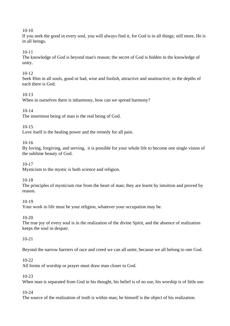If you seek the good in every soul, you will always find it, for God is in all things; still more, He is in all beings.

# 10-11

The knowledge of God is beyond man's reason; the secret of God is hidden in the knowledge of unity.

# 10-12

Seek Him in all souls, good or bad, wise and foolish, attractive and unattractive; in the depths of each there is God.

# 10-13

When in ourselves there is inharmony, how can we spread harmony?

# 10-14

The innermost being of man is the real being of God.

# 10-15

Love itself is the healing power and the remedy for all pain.

# 10-16

By loving, forgiving, and serving, it is possible for your whole life to become one single vision of the sublime beauty of God.

#### 10-17

Mysticism to the mystic is both science and religion.

# 10-18

The principles of mysticism rise from the heart of man; they are learnt by intuition and proved by reason.

# 10-19

Your work in life must be your religion, whatever your occupation may be.

# 10-20

The true joy of every soul is in the realization of the divine Spirit, and the absence of realization keeps the soul in despair.

# 10-21

Beyond the narrow barriers of race and creed we can all unite, because we all belong to one God.

# 10-22

All forms of worship or prayer must draw man closer to God.

# 10-23

When man is separated from God in his thought, his belief is of no use, his worship is of little use.

# 10-24

The source of the realization of truth is within man; he himself is the object of his realization.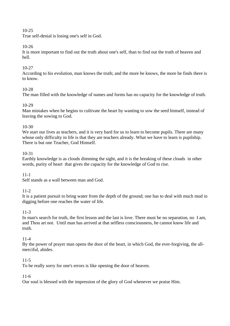True self-denial is losing one's self in God.

# 10-26

It is more important to find out the truth about one's self, than to find out the truth of heaven and hell.

# 10-27

According to his evolution, man knows the truth; and the more he knows, the more he finds there is to know.

# 10-28

The man filled with the knowledge of names and forms has no capacity for the knowledge of truth.

# 10-29

Man mistakes when he begins to cultivate the heart by wanting to sow the seed himself, instead of leaving the sowing to God.

#### 10-30

We start our lives as teachers, and it is very hard for us to learn to become pupils. There are many whose only difficulty in life is that they are teachers already. What we have to learn is pupilship. There is but one Teacher, God Himself.

#### 10-31

Earthly knowledge is as clouds dimming the sight, and it is the breaking of these clouds in other words, purity of heart that gives the capacity for the knowledge of God to rise.

#### 11-1

Self stands as a wall between man and God.

#### 11-2

It is a patient pursuit to bring water from the depth of the ground; one has to deal with much mud in digging before one reaches the water of life.

#### 11-3

In man's search for truth, the first lesson and the last is love. There must be no separation, no I am, and Thou art not. Until man has arrived at that selfless consciousness, he cannot know life and truth.

#### 11-4

By the power of prayer man opens the door of the heart, in which God, the ever-forgiving, the allmerciful, abides.

#### 11-5

To be really sorry for one's errors is like opening the door of heaven.

#### 11-6

Our soul is blessed with the impression of the glory of God whenever we praise Him.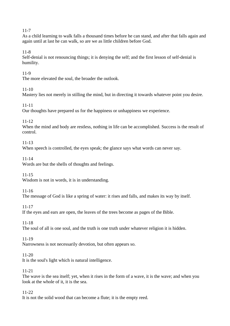As a child learning to walk falls a thousand times before he can stand, and after that falls again and again until at last he can walk, so are we as little children before God.

# 11-8

Self-denial is not renouncing things; it is denying the self; and the first lesson of self-denial is humility.

# 11-9

The more elevated the soul, the broader the outlook.

# 11-10

Mastery lies not merely in stilling the mind, but in directing it towards whatever point you desire.

# 11-11

Our thoughts have prepared us for the happiness or unhappiness we experience.

# 11-12

When the mind and body are restless, nothing in life can be accomplished. Success is the result of control.

# 11-13

When speech is controlled, the eyes speak; the glance says what words can never say.

# 11-14

Words are but the shells of thoughts and feelings.

# 11-15

Wisdom is not in words, it is in understanding.

# 11-16

The message of God is like a spring of water: it rises and falls, and makes its way by itself.

# 11-17

If the eyes and ears are open, the leaves of the trees become as pages of the Bible.

# 11-18

The soul of all is one soul, and the truth is one truth under whatever religion it is hidden.

# 11-19

Narrowness is not necessarily devotion, but often appears so.

# 11-20

It is the soul's light which is natural intelligence.

# 11-21

The wave is the sea itself; yet, when it rises in the form of a wave, it is the wave; and when you look at the whole of it, it is the sea.

# 11-22

It is not the solid wood that can become a flute; it is the empty reed.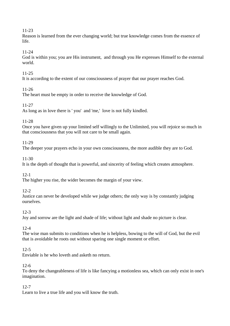Reason is learned from the ever changing world; but true knowledge comes from the essence of life.

# 11-24

God is within you; you are His instrument, and through you He expresses Himself to the external world.

# 11-25

It is according to the extent of our consciousness of prayer that our prayer reaches God.

# 11-26

The heart must be empty in order to receive the knowledge of God.

# 11-27

As long as in love there is ' you' and 'me,' love is not fully kindled.

# 11-28

Once you have given up your limited self willingly to the Unlimited, you will rejoice so much in that consciousness that you will not care to be small again.

# 11-29

The deeper your prayers echo in your own consciousness, the more audible they are to God.

# 11-30

It is the depth of thought that is powerful, and sincerity of feeling which creates atmosphere.

# 12-1

The higher you rise, the wider becomes the margin of your view.

# 12-2

Justice can never be developed while we judge others; the only way is by constantly judging ourselves.

#### $12-3$

Joy and sorrow are the light and shade of life; without light and shade no picture is clear.

# $12 - 4$

The wise man submits to conditions when he is helpless, bowing to the will of God, but the evil that is avoidable he roots out without sparing one single moment or effort.

#### $12-5$

Enviable is he who loveth and asketh no return.

# $12-6$

To deny the changeableness of life is like fancying a motionless sea, which can only exist in one's imagination.

#### 12-7

Learn to live a true life and you will know the truth.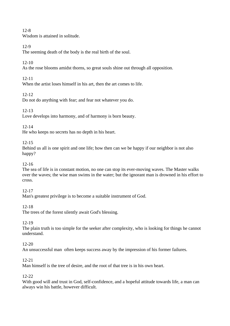Wisdom is attained in solitude.

# 12-9

The seeming death of the body is the real birth of the soul.

# 12-10

As the rose blooms amidst thorns, so great souls shine out through all opposition.

# 12-11

When the artist loses himself in his art, then the art comes to life.

# 12-12

Do not do anything with fear; and fear not whatever you do.

# 12-13

Love develops into harmony, and of harmony is born beauty.

# 12-14

He who keeps no secrets has no depth in his heart.

# 12-15

Behind us all is one spirit and one life; how then can we be happy if our neighbor is not also happy?

# 12-16

The sea of life is in constant motion, no one can stop its ever-moving waves. The Master walks over the waves; the wise man swims in the water; but the ignorant man is drowned in his effort to cross.

# 12-17

Man's greatest privilege is to become a suitable instrument of God.

# 12-18

The trees of the forest silently await God's blessing.

# 12-19

The plain truth is too simple for the seeker after complexity, who is looking for things he cannot understand.

# 12-20

An unsuccessful man often keeps success away by the impression of his former failures.

# 12-21

Man himself is the tree of desire, and the root of that tree is in his own heart.

# 12-22

With good will and trust in God, self-confidence, and a hopeful attitude towards life, a man can always win his battle, however difficult.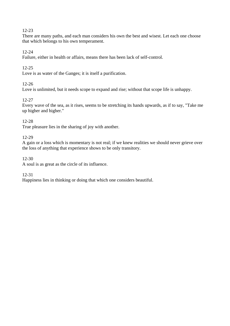There are many paths, and each man considers his own the best and wisest. Let each one choose that which belongs to his own temperament.

# 12-24

Failure, either in health or affairs, means there has been lack of self-control.

# 12-25

Love is as water of the Ganges; it is itself a purification.

# 12-26

Love is unlimited, but it needs scope to expand and rise; without that scope life is unhappy.

# 12-27

Every wave of the sea, as it rises, seems to be stretching its hands upwards, as if to say, "Take me up higher and higher."

# 12-28

True pleasure lies in the sharing of joy with another.

#### 12-29

A gain or a loss which is momentary is not real; if we knew realities we should never grieve over the loss of anything that experience shows to be only transitory.

# 12-30

A soul is as great as the circle of its influence.

#### 12-31

Happiness lies in thinking or doing that which one considers beautiful.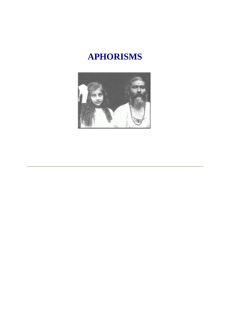# **APHORISMS**

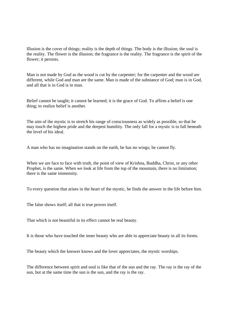Illusion is the cover of things; reality is the depth of things. The body is the illusion; the soul is the reality. The flower is the illusion; the fragrance is the reality. The fragrance is the spirit of the flower; it persists.

Man is not made by God as the wood is cut by the carpenter; for the carpenter and the wood are different, while God and man are the same. Man is made of the substance of God; man is in God, and all that is in God is in man.

Belief cannot be taught; it cannot be learned; it is the grace of God. To affirm a belief is one thing; to realize belief is another.

The aim of the mystic is to stretch his range of consciousness as widely as possible, so that he may touch the highest pride and the deepest humility. The only fall for a mystic is to fall beneath the level of his ideal.

A man who has no imagination stands on the earth, he has no wings; he cannot fly.

When we are face to face with truth, the point of view of Krishna, Buddha, Christ, or any other Prophet, is the same. When we look at life from the top of the mountain, there is no limitation; there is the same immensity.

To every question that arises in the heart of the mystic, he finds the answer in the life before him.

The false shows itself; all that is true proves itself.

That which is not beautiful in its effect cannot be real beauty.

It is those who have touched the inner beauty who are able to appreciate beauty in all its forms.

The beauty which the knower knows and the lover appreciates, the mystic worships.

The difference between spirit and soul is like that of the sun and the ray. The ray is the ray of the sun, but at the same time the sun is the sun, and the ray is the ray.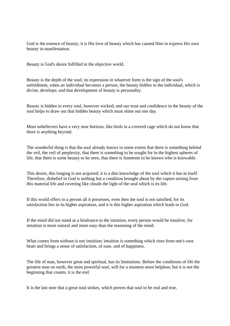God is the essence of beauty; it is His love of beauty which has caused Him to express His own beauty in manifestation.

Beauty is God's desire fulfilled in the objective world.

Beauty is the depth of the soul; its expression in whatever form is the sign of the soul's unfoldment, when an individual becomes a person, the beauty hidden in the individual, which is divine, develops; and that development of beauty is personality.

Beauty is hidden in every soul, however wicked; and our trust and confidence in the beauty of the soul helps to draw out that hidden beauty which must shine out one day.

Most unbelievers have a very near horizon, like birds in a covered cage which do not know that there is anything beyond.

The wonderful thing is that the soul already knows to some extent that there is something behind the veil, the veil of perplexity, that there is something to be sought for in the highest spheres of life, that there is some beauty to be seen, that there is Someone to be known who is knowable.

This desire, this longing is not acquired; it is a dim knowledge of the soul which it has in itself. Therefore, disbelief in God is nothing but a condition brought about by the vapors arising from this material life and covering like clouds the light of the soul which is its life.

If this world offers to a person all it possesses, even then the soul is not satisfied, for its satisfaction lies in its higher aspiration, and it is this higher aspiration which leads to God.

If the mind did not stand as a hindrance to the intuition, every person would be intuitive, for intuition is more natural and more easy than the reasoning of the mind.

What comes from without is not intuition; intuition is something which rises from one's own heart and brings a sense of satisfaction, of ease, and of happiness.

The life of man, however great and spiritual, has its limitations. Before the conditions of life the greatest man on earth, the most powerful soul, will for a moment seem helpless; but it is not the beginning that counts; it is the end.

It is the last note that a great soul strikes, which proves that soul to be real and true.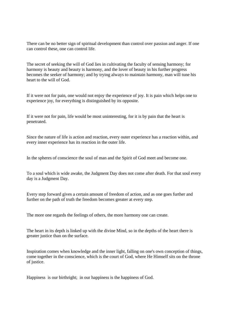There can be no better sign of spiritual development than control over passion and anger. If one can control these, one can control life.

The secret of seeking the will of God lies in cultivating the faculty of sensing harmony; for harmony is beauty and beauty is harmony, and the lover of beauty in his further progress becomes the seeker of harmony; and by trying always to maintain harmony, man will tune his heart to the will of God.

If it were not for pain, one would not enjoy the experience of joy. It is pain which helps one to experience joy, for everything is distinguished by its opposite.

If it were not for pain, life would be most uninteresting, for it is by pain that the heart is penetrated.

Since the nature of life is action and reaction, every outer experience has a reaction within, and every inner experience has its reaction in the outer life.

In the spheres of conscience the soul of man and the Spirit of God meet and become one.

To a soul which is wide awake, the Judgment Day does not come after death. For that soul every day is a Judgment Day.

Every step forward gives a certain amount of freedom of action, and as one goes further and further on the path of truth the freedom becomes greater at every step.

The more one regards the feelings of others, the more harmony one can create.

The heart in its depth is linked up with the divine Mind, so in the depths of the heart there is greater justice than on the surface.

Inspiration comes when knowledge and the inner light, falling on one's own conception of things, come together in the conscience, which is the court of God, where He Himself sits on the throne of justice.

Happiness is our birthright; in our happiness is the happiness of God.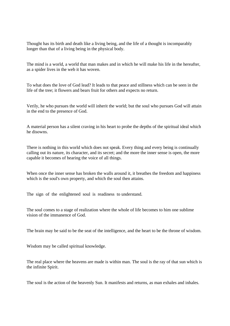Thought has its birth and death like a living being, and the life of a thought is incomparably longer than that of a living being in the physical body.

The mind is a world, a world that man makes and in which he will make his life in the hereafter, as a spider lives in the web it has woven.

To what does the love of God lead? It leads to that peace and stillness which can be seen in the life of the tree; it flowers and bears fruit for others and expects no return.

Verily, he who pursues the world will inherit the world; but the soul who pursues God will attain in the end to the presence of God.

A material person has a silent craving in his heart to probe the depths of the spiritual ideal which he disowns.

There is nothing in this world which does not speak. Every thing and every being is continually calling out its nature, its character, and its secret; and the more the inner sense is open, the more capable it becomes of hearing the voice of all things.

When once the inner sense has broken the walls around it, it breathes the freedom and happiness which is the soul's own property, and which the soul then attains.

The sign of the enlightened soul is readiness to understand.

The soul comes to a stage of realization where the whole of life becomes to him one sublime vision of the immanence of God.

The brain may be said to be the seat of the intelligence, and the heart to be the throne of wisdom.

Wisdom may be called spiritual knowledge.

The real place where the heavens are made is within man. The soul is the ray of that sun which is the infinite Spirit.

The soul is the action of the heavenly Sun. It manifests and returns, as man exhales and inhales.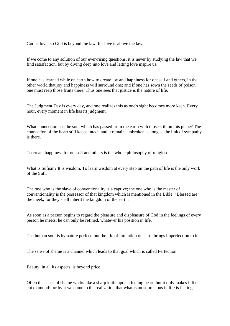God is love; so God is beyond the law, for love is above the law.

If we come to any solution of our ever-rising questions, it is never by studying the law that we find satisfaction, but by diving deep into love and letting love inspire us.

If one has learned while on earth how to create joy and happiness for oneself and others, in the other world that joy and happiness will surround one; and if one has sown the seeds of poison, one must reap those fruits there. Thus one sees that justice is the nature of life.

The Judgment Day is every day, and one realizes this as one's sight becomes more keen. Every hour, every moment in life has its judgment.

What connection has the soul which has passed from the earth with those still on this plane? The connection of the heart still keeps intact, and it remains unbroken as long as the link of sympathy is there.

To create happiness for oneself and others is the whole philosophy of religion.

What is Sufism? It is wisdom. To learn wisdom at every step on the path of life is the only work of the Sufi.

The one who is the slave of conventionality is a captive; the one who is the master of conventionality is the possessor of that kingdom which is mentioned in the Bible: "Blessed are the meek, for they shall inherit the kingdom of the earth."

As soon as a person begins to regard the pleasure and displeasure of God in the feelings of every person he meets, he can only be refined, whatever his position in life.

The human soul is by nature perfect, but the life of limitation on earth brings imperfection to it.

The sense of shame is a channel which leads to that goal which is called Perfection.

Beauty, in all its aspects, is beyond price.

Often the sense of shame works like a sharp knife upon a feeling heart, but it only makes it like a cut diamond: for by it we come to the realization that what is most precious in life is feeling.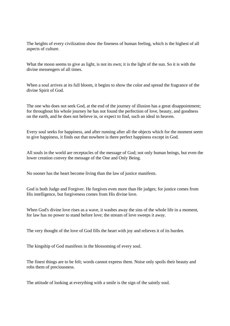The heights of every civilization show the fineness of human feeling, which is the highest of all aspects of culture.

What the moon seems to give as light, is not its own; it is the light of the sun. So it is with the divine messengers of all times.

When a soul arrives at its full bloom, it begins to show the color and spread the fragrance of the divine Spirit of God.

The one who does not seek God, at the end of the journey of illusion has a great disappointment; for throughout his whole journey he has not found the perfection of love, beauty, and goodness on the earth, and he does not believe in, or expect to find, such an ideal in heaven.

Every soul seeks for happiness, and after running after all the objects which for the moment seem to give happiness, it finds out that nowhere is there perfect happiness except in God.

All souls in the world are receptacles of the message of God; not only human beings, but even the lower creation convey the message of the One and Only Being.

No sooner has the heart become living than the law of justice manifests.

God is both Judge and Forgiver. He forgives even more than He judges; for justice comes from His intelligence, but forgiveness comes from His divine love.

When God's divine love rises as a wave, it washes away the sins of the whole life in a moment, for law has no power to stand before love; the stream of love sweeps it away.

The very thought of the love of God fills the heart with joy and relieves it of its burden.

The kingship of God manifests in the blossoming of every soul.

The finest things are to be felt; words cannot express them. Noise only spoils their beauty and robs them of preciousness.

The attitude of looking at everything with a smile is the sign of the saintly soul.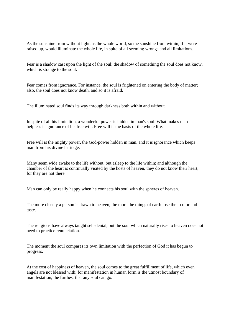As the sunshine from without lightens the whole world, so the sunshine from within, if it were raised up, would illuminate the whole life, in spite of all seeming wrongs and all limitations.

Fear is a shadow cast upon the light of the soul; the shadow of something the soul does not know, which is strange to the soul.

Fear comes from ignorance. For instance, the soul is frightened on entering the body of matter; also, the soul does not know death, and so it is afraid.

The illuminated soul finds its way through darkness both within and without.

In spite of all his limitation, a wonderful power is hidden in man's soul. What makes man helpless is ignorance of his free will. Free will is the basis of the whole life.

Free will is the mighty power, the God-power hidden in man, and it is ignorance which keeps man from his divine heritage.

Many seem wide awake to the life without, but asleep to the life within; and although the chamber of the heart is continually visited by the hosts of heaven, they do not know their heart, for they are not there.

Man can only be really happy when he connects his soul with the spheres of heaven.

The more closely a person is drawn to heaven, the more the things of earth lose their color and taste.

The religions have always taught self-denial, but the soul which naturally rises to heaven does not need to practice renunciation.

The moment the soul compares its own limitation with the perfection of God it has begun to progress.

At the cost of happiness of heaven, the soul comes to the great fulfillment of life, which even angels are not blessed with; for manifestation in human form is the utmost boundary of manifestation, the furthest that any soul can go.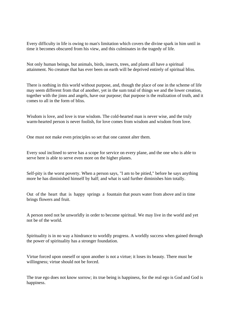Every difficulty in life is owing to man's limitation which covers the divine spark in him until in time it becomes obscured from his view, and this culminates in the tragedy of life.

Not only human beings, but animals, birds, insects, trees, and plants all have a spiritual attainment. No creature that has ever been on earth will be deprived entirely of spiritual bliss.

There is nothing in this world without purpose, and, though the place of one in the scheme of life may seem different from that of another, yet in the sum total of things we and the lower creation, together with the jinns and angels, have our purpose; that purpose is the realization of truth, and it comes to all in the form of bliss.

Wisdom is love, and love is true wisdom. The cold-hearted man is never wise, and the truly warm-hearted person is never foolish, for love comes from wisdom and wisdom from love.

One must not make even principles so set that one cannot alter them.

Every soul inclined to serve has a scope for service on every plane, and the one who is able to serve here is able to serve even more on the higher planes.

Self-pity is the worst poverty. When a person says, "I am to be pitied," before he says anything more he has diminished himself by half; and what is said further diminishes him totally.

Out of the heart that is happy springs a fountain that pours water from above and in time brings flowers and fruit.

A person need not be unworldly in order to become spiritual. We may live in the world and yet not be of the world.

Spirituality is in no way a hindrance to worldly progress. A worldly success when gained through the power of spirituality has a stronger foundation.

Virtue forced upon oneself or upon another is not a virtue; it loses its beauty. There must be willingness; virtue should not be forced.

The true ego does not know sorrow; its true being is happiness, for the real ego is God and God is happiness.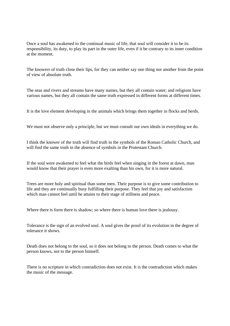Once a soul has awakened to the continual music of life, that soul will consider it to be its responsibility, its duty, to play its part in the outer life, even if it be contrary to its inner condition at the moment.

The knowers of truth close their lips, for they can neither say one thing nor another from the point of view of absolute truth.

The seas and rivers and streams have many names, but they all contain water; and religions have various names, but they all contain the same truth expressed in different forms at different times.

It is the love element developing in the animals which brings them together in flocks and herds.

We must not observe only a principle, but we must consult our own ideals in everything we do.

I think the knower of the truth will find truth in the symbols of the Roman Catholic Church, and will find the same truth in the absence of symbols in the Protestant Church.

If the soul were awakened to feel what the birds feel when singing in the forest at dawn, man would know that their prayer is even more exalting than his own, for it is more natural.

Trees are more holy and spiritual than some men. Their purpose is to give some contribution to life and they are continually busy fulfilling their purpose. They feel that joy and satisfaction which man cannot feel until he attains to their stage of stillness and peace.

Where there is form there is shadow; so where there is human love there is jealousy.

Tolerance is the sign of an evolved soul. A soul gives the proof of its evolution in the degree of tolerance it shows.

Death does not belong to the soul, so it does not belong to the person. Death comes to what the person knows, not to the person himself.

There is no scripture in which contradiction does not exist. It is the contradiction which makes the music of the message.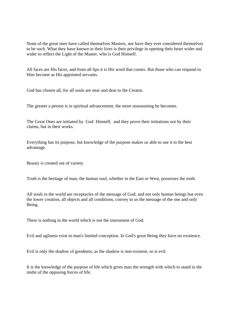None of the great ones have called themselves Masters, nor have they ever considered themselves to be such. What they have known in their lives is their privilege in opening their heart wider and wider to reflect the Light of the Master, who is God Himself.

All faces are His faces, and from all lips it is His word that comes. But those who can respond to Him become as His appointed servants.

God has chosen all, for all souls are near and dear to the Creator.

The greater a person is in spiritual advancement, the more unassuming he becomes.

The Great Ones are initiated by God Himself, and they prove their initiations not by their claims, but in their works.

Everything has its purpose, but knowledge of the purpose makes us able to use it to the best advantage.

Beauty is created out of variety.

Truth is the heritage of man; the human soul, whether in the East or West, possesses the truth.

All souls in the world are receptacles of the message of God; and not only human beings but even the lower creation, all objects and all conditions, convey to us the message of the one and only Being.

There is nothing in the world which is not the instrument of God.

Evil and ugliness exist in man's limited conception. In God's great Being they have no existence.

Evil is only the shadow of goodness; as the shadow is non-existent, so is evil.

It is the knowledge of the purpose of life which gives man the strength with which to stand in the midst of the opposing forces of life.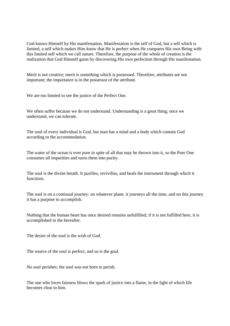God knows Himself by His manifestation. Manifestation is the self of God, but a self which is limited, a self which makes Him know that He is perfect when He compares His own Being with this limited self which we call nature. Therefore, the purpose of the whole of creation is the realization that God Himself gains by discovering His own perfection through His manifestation.

Merit is not creative; merit is something which is possessed. Therefore, attributes are not important; the importance is in the possessor of the attribute.

We are too limited to see the justice of the Perfect One.

We often suffer because we do not understand. Understanding is a great thing; once we understand, we can tolerate.

The soul of every individual is God, but man has a mind and a body which contain God according to the accommodation.

The water of the ocean is ever pure in spite of all that may be thrown into it, so the Pure One consumes all impurities and turns them into purity.

The soul is the divine breath. It purifies, revivifies, and heals the instrument through which it functions.

The soul is on a continual journey: on whatever plane, it journeys all the time, and on this journey it has a purpose to accomplish.

Nothing that the human heart has once desired remains unfulfilled; if it is not fulfilled here, it is accomplished in the hereafter.

The desire of the soul is the wish of God.

The source of the soul is perfect, and so is the goal.

No soul perishes; the soul was not born to perish.

The one who loves fairness blows the spark of justice into a flame, in the light of which life becomes clear to him.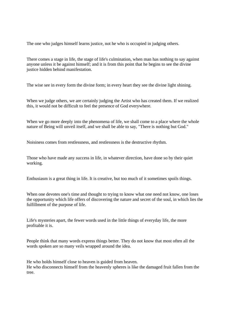The one who judges himself learns justice, not he who is occupied in judging others.

There comes a stage in life, the stage of life's culmination, when man has nothing to say against anyone unless it be against himself; and it is from this point that he begins to see the divine justice hidden behind manifestation.

The wise see in every form the divine form; in every heart they see the divine light shining.

When we judge others, we are certainly judging the Artist who has created them. If we realized this, it would not be difficult to feel the presence of God everywhere.

When we go more deeply into the phenomena of life, we shall come to a place where the whole nature of Being will unveil itself, and we shall be able to say, "There is nothing but God."

Noisiness comes from restlessness, and restlessness is the destructive rhythm.

Those who have made any success in life, in whatever direction, have done so by their quiet working.

Enthusiasm is a great thing in life. It is creative, but too much of it sometimes spoils things.

When one devotes one's time and thought to trying to know what one need not know, one loses the opportunity which life offers of discovering the nature and secret of the soul, in which lies the fulfillment of the purpose of life.

Life's mysteries apart, the fewer words used in the little things of everyday life, the more profitable it is.

People think that many words express things better. They do not know that most often all the words spoken are so many veils wrapped around the idea.

He who holds himself close to heaven is guided from heaven. He who disconnects himself from the heavenly spheres is like the damaged fruit fallen from the tree.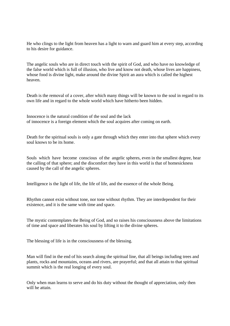He who clings to the light from heaven has a light to warn and guard him at every step, according to his desire for guidance.

The angelic souls who are in direct touch with the spirit of God, and who have no knowledge of the false world which is full of illusion, who live and know not death, whose lives are happiness, whose food is divine light, make around the divine Spirit an aura which is called the highest heaven.

Death is the removal of a cover, after which many things will be known to the soul in regard to its own life and in regard to the whole world which have hitherto been hidden.

Innocence is the natural condition of the soul and the lack of innocence is a foreign element which the soul acquires after coming on earth.

Death for the spiritual souls is only a gate through which they enter into that sphere which every soul knows to be its home.

Souls which have become conscious of the angelic spheres, even in the smallest degree, hear the calling of that sphere; and the discomfort they have in this world is that of homesickness caused by the call of the angelic spheres.

Intelligence is the light of life, the life of life, and the essence of the whole Being.

Rhythm cannot exist without tone, nor tone without rhythm. They are interdependent for their existence, and it is the same with time and space.

The mystic contemplates the Being of God, and so raises his consciousness above the limitations of time and space and liberates his soul by lifting it to the divine spheres.

The blessing of life is in the consciousness of the blessing.

Man will find in the end of his search along the spiritual line, that all beings including trees and plants, rocks and mountains, oceans and rivers, are prayerful; and that all attain to that spiritual summit which is the real longing of every soul.

Only when man learns to serve and do his duty without the thought of appreciation, only then will he attain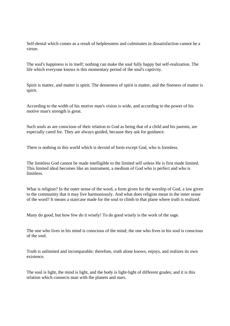Self-denial which comes as a result of helplessness and culminates in dissatisfaction cannot be a virtue.

The soul's happiness is in itself; nothing can make the soul fully happy but self-realization. The life which everyone knows is this momentary period of the soul's captivity.

Spirit is matter, and matter is spirit. The denseness of spirit is matter, and the fineness of matter is spirit.

According to the width of his motive man's vision is wide, and according to the power of his motive man's strength is great.

Such souls as are conscious of their relation to God as being that of a child and his parents, are especially cared for. They are always guided, because they ask for guidance.

There is nothing in this world which is devoid of form except God, who is formless.

The limitless God cannot be made intelligible to the limited self unless He is first made limited. This limited ideal becomes like an instrument, a medium of God who is perfect and who is limitless.

What is religion? In the outer sense of the word, a form given for the worship of God, a law given to the community that it may live harmoniously. And what does religion mean in the inner sense of the word? It means a staircase made for the soul to climb to that plane where truth is realized.

Many do good, but how few do it wisely! To do good wisely is the work of the sage.

The one who lives in his mind is conscious of the mind; the one who lives in his soul is conscious of the soul.

Truth is unlimited and incomparable; therefore, truth alone knows, enjoys, and realizes its own existence.

The soul is light, the mind is light, and the body is light-light of different grades; and it is this relation which connects man with the planets and stars.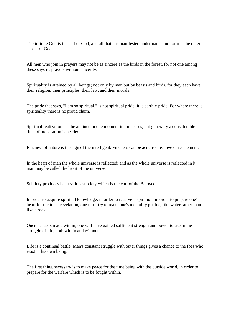The infinite God is the self of God, and all that has manifested under name and form is the outer aspect of God.

All men who join in prayers may not be as sincere as the birds in the forest, for not one among these says its prayers without sincerity.

Spirituality is attained by all beings; not only by man but by beasts and birds, for they each have their religion, their principles, their law, and their morals.

The pride that says, "I am so spiritual," is not spiritual pride; it is earthly pride. For where there is spirituality there is no proud claim.

Spiritual realization can be attained in one moment in rare cases, but generally a considerable time of preparation is needed.

Fineness of nature is the sign of the intelligent. Fineness can be acquired by love of refinement.

In the heart of man the whole universe is reflected; and as the whole universe is reflected in it, man may be called the heart of the universe.

Subtlety produces beauty; it is subtlety which is the curl of the Beloved.

In order to acquire spiritual knowledge, in order to receive inspiration, in order to prepare one's heart for the inner revelation, one must try to make one's mentality pliable, like water rather than like a rock.

Once peace is made within, one will have gained sufficient strength and power to use in the struggle of life, both within and without.

Life is a continual battle. Man's constant struggle with outer things gives a chance to the foes who exist in his own being.

The first thing necessary is to make peace for the time being with the outside world, in order to prepare for the warfare which is to be fought within.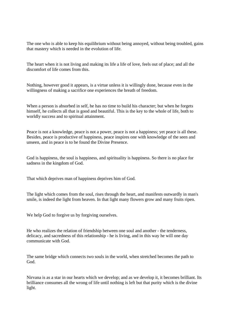The one who is able to keep his equilibrium without being annoyed, without being troubled, gains that mastery which is needed in the evolution of life.

The heart when it is not living and making its life a life of love, feels out of place; and all the discomfort of life comes from this.

Nothing, however good it appears, is a virtue unless it is willingly done, because even in the willingness of making a sacrifice one experiences the breath of freedom.

When a person is absorbed in self, he has no time to build his character; but when he forgets himself, he collects all that is good and beautiful. This is the key to the whole of life, both to worldly success and to spiritual attainment.

Peace is not a knowledge, peace is not a power, peace is not a happiness; yet peace is all these. Besides, peace is productive of happiness, peace inspires one with knowledge of the seen and unseen, and in peace is to be found the Divine Presence.

God is happiness, the soul is happiness, and spirituality is happiness. So there is no place for sadness in the kingdom of God.

That which deprives man of happiness deprives him of God.

The light which comes from the soul, rises through the heart, and manifests outwardly in man's smile, is indeed the light from heaven. In that light many flowers grow and many fruits ripen.

We help God to forgive us by forgiving ourselves.

He who realizes the relation of friendship between one soul and another - the tenderness, delicacy, and sacredness of this relationship - he is living, and in this way he will one day communicate with God.

The same bridge which connects two souls in the world, when stretched becomes the path to God.

Nirvana is as a star in our hearts which we develop; and as we develop it, it becomes brilliant. Its brilliance consumes all the wrong of life until nothing is left but that purity which is the divine light.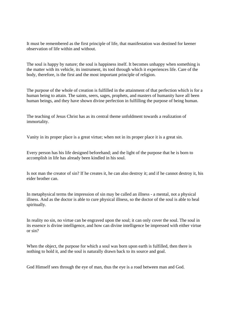It must be remembered as the first principle of life, that manifestation was destined for keener observation of life within and without.

The soul is happy by nature; the soul is happiness itself. It becomes unhappy when something is the matter with its vehicle, its instrument, its tool through which it experiences life. Care of the body, therefore, is the first and the most important principle of religion.

The purpose of the whole of creation is fulfilled in the attainment of that perfection which is for a human being to attain. The saints, seers, sages, prophets, and masters of humanity have all been human beings, and they have shown divine perfection in fulfilling the purpose of being human.

The teaching of Jesus Christ has as its central theme unfoldment towards a realization of immortality.

Vanity in its proper place is a great virtue; when not in its proper place it is a great sin.

Every person has his life designed beforehand; and the light of the purpose that he is born to accomplish in life has already been kindled in his soul.

Is not man the creator of sin? If he creates it, he can also destroy it; and if he cannot destroy it, his eider brother can.

In metaphysical terms the impression of sin may be called an illness - a mental, not a physical illness. And as the doctor is able to cure physical illness, so the doctor of the soul is able to heal spiritually.

In reality no sin, no virtue can be engraved upon the soul; it can only cover the soul. The soul in its essence is divine intelligence, and how can divine intelligence be impressed with either virtue or sin?

When the object, the purpose for which a soul was born upon earth is fulfilled, then there is nothing to hold it, and the soul is naturally drawn back to its source and goal.

God Himself sees through the eye of man, thus the eye is a road between man and God.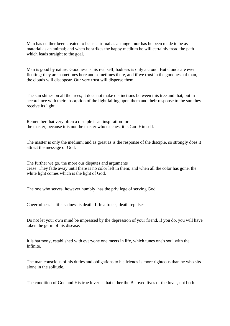Man has neither been created to be as spiritual as an angel, nor has he been made to be as material as an animal; and when he strikes the happy medium he will certainly tread the path which leads straight to the goal.

Man is good by nature. Goodness is his real self; badness is only a cloud. But clouds are ever floating; they are sometimes here and sometimes there, and if we trust in the goodness of man, the clouds will disappear. Our very trust will disperse them.

The sun shines on all the trees; it does not make distinctions between this tree and that, but in accordance with their absorption of the light falling upon them and their response to the sun they receive its light.

Remember that very often a disciple is an inspiration for the master, because it is not the master who teaches, it is God Himself.

The master is only the medium; and as great as is the response of the disciple, so strongly does it attract the message of God.

The further we go, the more our disputes and arguments cease. They fade away until there is no color left in them; and when all the color has gone, the white light comes which is the light of God.

The one who serves, however humbly, has the privilege of serving God.

Cheerfulness is life, sadness is death. Life attracts, death repulses.

Do not let your own mind be impressed by the depression of your friend. If you do, you will have taken the germ of his disease.

It is harmony, established with everyone one meets in life, which tunes one's soul with the Infinite.

The man conscious of his duties and obligations to his friends is more righteous than he who sits alone in the solitude.

The condition of God and His true lover is that either the Beloved lives or the lover, not both.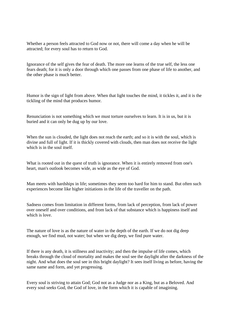Whether a person feels attracted to God now or not, there will come a day when he will be attracted; for every soul has to return to God.

Ignorance of the self gives the fear of death. The more one learns of the true self, the less one fears death; for it is only a door through which one passes from one phase of life to another, and the other phase is much better.

Humor is the sign of light from above. When that light touches the mind, it tickles it, and it is the tickling of the mind that produces humor.

Renunciation is not something which we must torture ourselves to learn. It is in us, but it is buried and it can only be dug up by our love.

When the sun is clouded, the light does not reach the earth; and so it is with the soul, which is divine and full of light. If it is thickly covered with clouds, then man does not receive the light which is in the soul itself.

What is rooted out in the quest of truth is ignorance. When it is entirely removed from one's heart, man's outlook becomes wide, as wide as the eye of God.

Man meets with hardships in life; sometimes they seem too hard for him to stand. But often such experiences become like higher initiations in the life of the traveller on the path.

Sadness comes from limitation in different forms, from lack of perception, from lack of power over oneself and over conditions, and from lack of that substance which is happiness itself and which is love.

The nature of love is as the nature of water in the depth of the earth. If we do not dig deep enough, we find mud, not water; but when we dig deep, we find pure water.

If there is any death, it is stillness and inactivity; and then the impulse of life comes, which breaks through the cloud of mortality and makes the soul see the daylight after the darkness of the night. And what does the soul see in this bright daylight? It sees itself living as before, having the same name and form, and yet progressing.

Every soul is striving to attain God; God not as a Judge nor as a King, but as a Beloved. And every soul seeks God, the God of love, in the form which it is capable of imagining.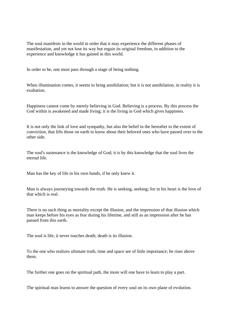The soul manifests in the world in order that it may experience the different phases of manifestation, and yet not lose its way but regain its original freedom, in addition to the experience and knowledge it has gained in this world.

In order to be, one must pass through a stage of being nothing.

When illumination comes, it seems to bring annihilation; but it is not annihilation, in reality it is exaltation.

Happiness cannot come by merely believing in God. Believing is a process. By this process the God within is awakened and made living; it is the living in God which gives happiness.

It is not only the link of love and sympathy, but also the belief in the hereafter to the extent of conviction, that lifts those on earth to know about their beloved ones who have passed over to the other side.

The soul's sustenance is the knowledge of God; it is by this knowledge that the soul lives the eternal life.

Man has the key of life in his own hands, if he only knew it.

Man is always journeying towards the truth. He is seeking, seeking; for in his heart is the love of that which is real.

There is no such thing as mortality except the illusion, and the impression of that illusion which man keeps before his eyes as fear during his lifetime, and still as an impression after he has passed from this earth.

The soul is life, it never touches death; death is its illusion.

To the one who realizes ultimate truth, time and space are of little importance; he rises above them.

The further one goes on the spiritual path, the more will one have to learn to play a part.

The spiritual man learns to answer the question of every soul on its own plane of evolution.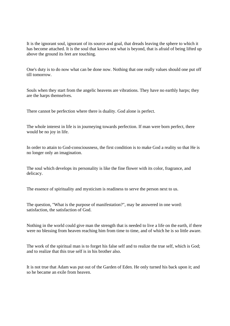It is the ignorant soul, ignorant of its source and goal, that dreads leaving the sphere to which it has become attached. It is the soul that knows not what is beyond, that is afraid of being lifted up above the ground its feet are touching.

One's duty is to do now what can be done now. Nothing that one really values should one put off till tomorrow.

Souls when they start from the angelic heavens are vibrations. They have no earthly harps; they are the harps themselves.

There cannot be perfection where there is duality. God alone is perfect.

The whole interest in life is in journeying towards perfection. If man were born perfect, there would be no joy in life.

In order to attain to God-consciousness, the first condition is to make God a reality so that He is no longer only an imagination.

The soul which develops its personality is like the fine flower with its color, fragrance, and delicacy.

The essence of spirituality and mysticism is readiness to serve the person next to us.

The question, "What is the purpose of manifestation?", may be answered in one word: satisfaction, the satisfaction of God.

Nothing in the world could give man the strength that is needed to live a life on the earth, if there were no blessing from heaven reaching him from time to time, and of which he is so little aware.

The work of the spiritual man is to forget his false self and to realize the true self, which is God; and to realize that this true self is in his brother also.

It is not true that Adam was put out of the Garden of Eden. He only turned his back upon it; and so he became an exile from heaven.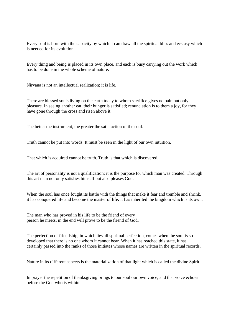Every soul is born with the capacity by which it can draw all the spiritual bliss and ecstasy which is needed for its evolution.

Every thing and being is placed in its own place, and each is busy carrying out the work which has to be done in the whole scheme of nature.

Nirvana is not an intellectual realization; it is life.

There are blessed souls living on the earth today to whom sacrifice gives no pain but only pleasure. In seeing another eat, their hunger is satisfied; renunciation is to them a joy, for they have gone through the cross and risen above it.

The better the instrument, the greater the satisfaction of the soul.

Truth cannot be put into words. It must be seen in the light of our own intuition.

That which is acquired cannot be truth. Truth is that which is discovered.

The art of personality is not a qualification; it is the purpose for which man was created. Through this art man not only satisfies himself but also pleases God.

When the soul has once fought its battle with the things that make it fear and tremble and shrink, it has conquered life and become the master of life. It has inherited the kingdom which is its own.

The man who has proved in his life to be the friend of every person he meets, in the end will prove to be the friend of God.

The perfection of friendship, in which lies all spiritual perfection, comes when the soul is so developed that there is no one whom it cannot bear. When it has reached this state, it has certainly passed into the ranks of those initiates whose names are written in the spiritual records.

Nature in its different aspects is the materialization of that light which is called the divine Spirit.

In prayer the repetition of thanksgiving brings to our soul our own voice, and that voice echoes before the God who is within.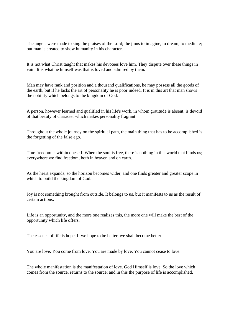The angels were made to sing the praises of the Lord; the jinns to imagine, to dream, to meditate; but man is created to show humanity in his character.

It is not what Christ taught that makes his devotees love him. They dispute over these things in vain. It is what he himself was that is loved and admired by them.

Man may have rank and position and a thousand qualifications, he may possess all the goods of the earth, but if he lacks the art of personality he is poor indeed. It is in this art that man shows the nobility which belongs to the kingdom of God.

A person, however learned and qualified in his life's work, in whom gratitude is absent, is devoid of that beauty of character which makes personality fragrant.

Throughout the whole journey on the spiritual path, the main thing that has to be accomplished is the forgetting of the false ego.

True freedom is within oneself. When the soul is free, there is nothing in this world that binds us; everywhere we find freedom, both in heaven and on earth.

As the heart expands, so the horizon becomes wider, and one finds greater and greater scope in which to build the kingdom of God.

Joy is not something brought from outside. It belongs to us, but it manifests to us as the result of certain actions.

Life is an opportunity, and the more one realizes this, the more one will make the best of the opportunity which life offers.

The essence of life is hope. If we hope to be better, we shall become better.

You are love. You come from love. You are made by love. You cannot cease to love.

The whole manifestation is the manifestation of love. God Himself is love. So the love which comes from the source, returns to the source; and in this the purpose of life is accomplished.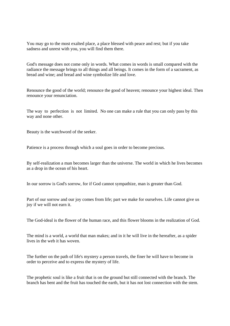You may go to the most exalted place, a place blessed with peace and rest; but if you take sadness and unrest with you, you will find them there.

God's message does not come only in words. What comes in words is small compared with the radiance the message brings to all things and all beings. It comes in the form of a sacrament, as bread and wine; and bread and wine symbolize life and love.

Renounce the good of the world; renounce the good of heaven; renounce your highest ideal. Then renounce your renunciation.

The way to perfection is not limited. No one can make a rule that you can only pass by this way and none other.

Beauty is the watchword of the seeker.

Patience is a process through which a soul goes in order to become precious.

By self-realization a man becomes larger than the universe. The world in which he lives becomes as a drop in the ocean of his heart.

In our sorrow is God's sorrow, for if God cannot sympathize, man is greater than God.

Part of our sorrow and our joy comes from life; part we make for ourselves. Life cannot give us joy if we will not earn it.

The God-ideal is the flower of the human race, and this flower blooms in the realization of God.

The mind is a world, a world that man makes; and in it he will live in the hereafter, as a spider lives in the web it has woven.

The further on the path of life's mystery a person travels, the finer he will have to become in order to perceive and to express the mystery of life.

The prophetic soul is like a fruit that is on the ground but still connected with the branch. The branch has bent and the fruit has touched the earth, but it has not lost connection with the stem.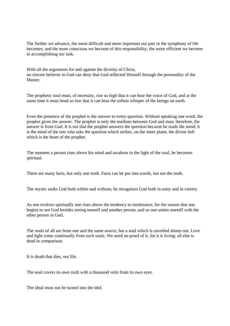The further we advance, the more difficult and more important our part in the symphony of life becomes; and the more conscious we become of this responsibility, the more efficient we become in accomplishing our task.

With all the arguments for and against the divinity of Christ, no sincere believer in God can deny that God reflected Himself through the personality of the Master.

The prophetic soul must, of necessity, rise so high that it can hear the voice of God, and at the same time it must bend so low that it can hear the softest whisper of the beings on earth.

Even the presence of the prophet is the answer to every question. Without speaking one word, the prophet gives the answer. The prophet is only the medium between God and man; therefore, the answer is from God. It is not that the prophet answers the question because he reads the mind; it is the mind of the one who asks the question which strikes, on the inner plane, the divine bell which is the heart of the prophet.

The moment a person rises above his mind and awakens in the light of the soul, he becomes spiritual.

There are many facts, but only one truth. Facts can be put into words, but not the truth.

The mystic seeks God both within and without; he recognizes God both in unity and in variety.

As one evolves spiritually one rises above the tendency to intolerance, for the reason that one begins to see God besides seeing oneself and another person, and so one unites oneself with the other person in God.

The souls of all are from one and the same source, but a soul which is unveiled shines out. Love and light come continually from such souls. We need no proof of it, for it is living; all else is dead in comparison.

It is death that dies, not life.

The soul covers its own truth with a thousand veils from its own eyes.

The ideal must not be turned into the idol.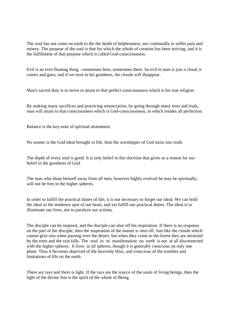The soul has not come on earth to die the death of helplessness, nor continually to suffer pain and misery. The purpose of the soul is that for which the whole of creation has been striving, and it is the fulfillment of that purpose which is called God-consciousness.

Evil is an ever-floating thing - sometimes here, sometimes there. So evil in man is just a cloud; it comes and goes; and if we trust in his goodness, the clouds will disappear.

Man's sacred duty is to strive to attain to that perfect consciousness which is his true religion.

By making many sacrifices and practicing renunciation, by going through many tests and trials, man will attain to that consciousness which is God-consciousness, in which resides all perfection.

Balance is the key-note of spiritual attainment.

No sooner is the God-ideal brought to life, than the worshipper of God turns into truth.

The depth of every soul is good. It is only belief in this doctrine that gives us a reason for our belief in the goodness of God.

The man who shuts himself away from all men, however highly evolved he may be spiritually, will not be free in the higher spheres.

In order to fulfill the practical duties of life, it is not necessary to forget our ideal. We can hold the ideal in the tenderest spot of our heart, and yet fulfill our practical duties. The ideal is to illuminate our lives, not to paralyze our actions.

The disciple can be inspired, and the disciple can shut off his inspiration. If there is no response on the part of the disciple, then the inspiration of the master is shut off. Just like the clouds which cannot give rain when passing over the desert, but when they come to the forest they are attracted by the trees and the rain falls. The soul in its manifestation on earth is not at all disconnected with the higher spheres. It lives in all spheres, though it is generally conscious on only one plane. Thus it becomes deprived of the heavenly bliss, and conscious of the troubles and limitations of life on the earth.

There are rays and there is light. If the rays are the source of the souls of living beings, then the light of the divine Sun is the spirit of the whole of Being.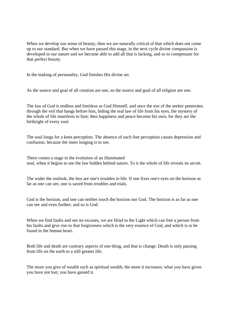When we develop our sense of beauty, then we are naturally critical of that which does not come up to our standard. But when we have passed this stage, in the next cycle divine compassion is developed in our nature and we become able to add all that is lacking, and so to compensate for that perfect beauty.

In the making of personality, God finishes His divine art.

As the source and goal of all creation are one, so the source and goal of all religion are one.

The law of God is endless and limitless as God Himself, and once the eye of the seeker penetrates through the veil that hangs before him, hiding the real law of life from his eyes, the mystery of the whole of life manifests to him; then happiness and peace become his own, for they are the birthright of every soul.

The soul longs for a keen perception. The absence of such fine perception causes depression and confusion, because the inner longing is to see.

There comes a stage in the evolution of an illuminated soul, when it begins to see the law hidden behind nature. To it the whole of life reveals its secret.

The wider the outlook, the less are one's troubles in life. If one fixes one's eyes on the horizon as far as one can see, one is saved from troubles and trials.

God is the horizon, and one can neither touch the horizon nor God. The horizon is as far as one can see and even further; and so is God.

When we find faults and see no excuses, we are blind to the Light which can free a person from his faults and give rise to that forgiveness which is the very essence of God, and which is to be found in the human heart.

Both life and death are contrary aspects of one thing, and that is change. Death is only passing from life on the earth to a still greater life.

The more you give of wealth such as spiritual wealth, the more it increases; what you have given you have not lost, you have gained it.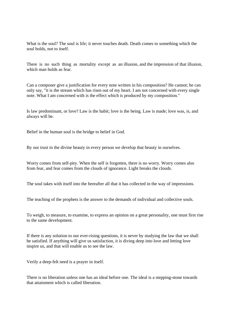What is the soul? The soul is life; it never touches death. Death comes to something which the soul holds, not to itself.

There is no such thing as mortality except as an illusion, and the impression of that illusion, which man holds as fear.

Can a composer give a justification for every note written in his composition? He cannot; he can only say, "it is the stream which has risen out of my heart. I am not concerned with every single note. What I am concerned with is the effect which is produced by my composition."

Is law predominant, or love? Law is the habit; love is the being. Law is made; love was, is, and always will be.

Belief in the human soul is the bridge to belief in God.

By our trust in the divine beauty in every person we develop that beauty in ourselves.

Worry comes from self-pity. When the self is forgotten, there is no worry. Worry comes also from fear, and fear comes from the clouds of ignorance. Light breaks the clouds.

The soul takes with itself into the hereafter all that it has collected in the way of impressions.

The teaching of the prophets is the answer to the demands of individual and collective souls.

To weigh, to measure, to examine, to express an opinion on a great personality, one must first rise to the same development.

If there is any solution to our ever-rising questions, it is never by studying the law that we shall be satisfied. If anything will give us satisfaction, it is diving deep into love and letting love inspire us, and that will enable us to see the law.

Verily a deep-felt need is a prayer in itself.

There is no liberation unless one has an ideal before one. The ideal is a stepping-stone towards that attainment which is called liberation.